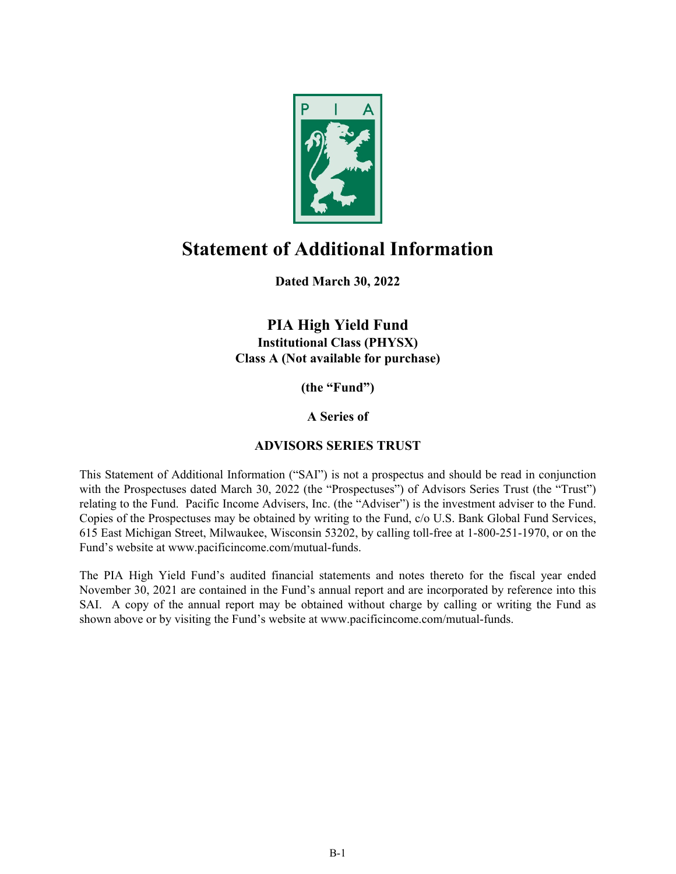

# **Statement of Additional Information**

**Dated March 30, 2022**

**PIA High Yield Fund Institutional Class (PHYSX) Class A (Not available for purchase)**

**(the "Fund")**

**A Series of** 

# **ADVISORS SERIES TRUST**

This Statement of Additional Information ("SAI") is not a prospectus and should be read in conjunction with the Prospectuses dated March 30, 2022 (the "Prospectuses") of Advisors Series Trust (the "Trust") relating to the Fund. Pacific Income Advisers, Inc. (the "Adviser") is the investment adviser to the Fund. Copies of the Prospectuses may be obtained by writing to the Fund, c/o U.S. Bank Global Fund Services, 615 East Michigan Street, Milwaukee, Wisconsin 53202, by calling toll-free at 1-800-251-1970, or on the Fund's website at www.pacificincome.com/mutual-funds.

The PIA High Yield Fund's audited financial statements and notes thereto for the fiscal year ended November 30, 2021 are contained in the Fund's annual report and are incorporated by reference into this SAI. A copy of the annual report may be obtained without charge by calling or writing the Fund as shown above or by visiting the Fund's website at www.pacificincome.com/mutual-funds.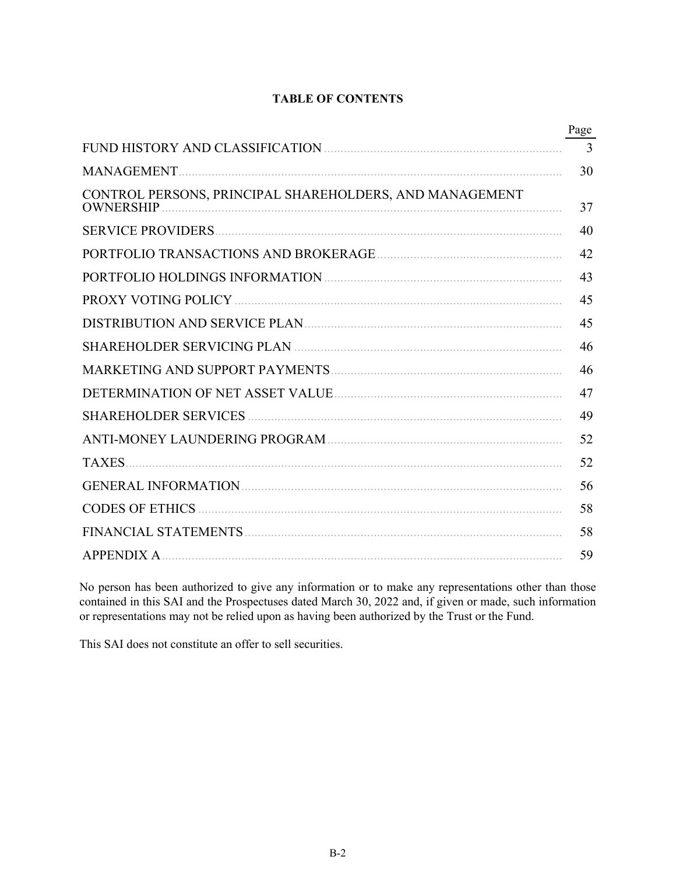# **TABLE OF CONTENTS**

|                                                                             | Page |
|-----------------------------------------------------------------------------|------|
|                                                                             | 3    |
|                                                                             | 30   |
| CONTROL PERSONS, PRINCIPAL SHAREHOLDERS, AND MANAGEMENT<br><b>OWNERSHIP</b> | 37   |
|                                                                             | 40   |
|                                                                             | 42   |
|                                                                             | 43   |
|                                                                             | 45   |
|                                                                             | 45   |
|                                                                             | 46   |
|                                                                             | 46   |
|                                                                             | 47   |
|                                                                             | 49   |
|                                                                             | 52   |
| <b>TAXES</b>                                                                | 52   |
|                                                                             | 56   |
|                                                                             | 58   |
|                                                                             | 58   |
| <b>APPENDIX A.</b>                                                          | 59   |

No person has been authorized to give any information or to make any representations other than those contained in this SAI and the Prospectuses dated March 30, 2022 and, if given or made, such information or representations may not be relied upon as having been authorized by the Trust or the Fund.

This SAI does not constitute an offer to sell securities.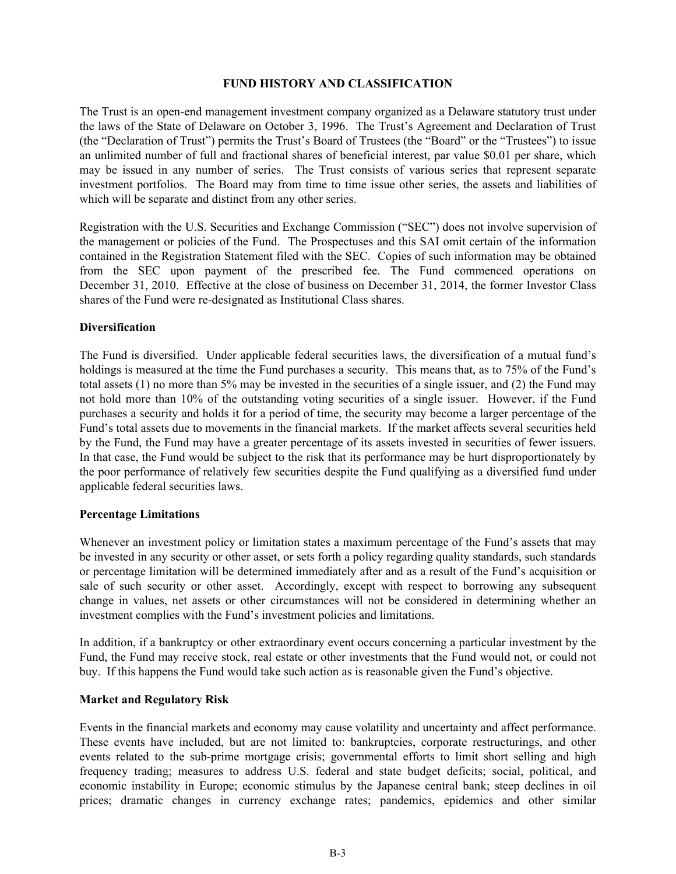#### **FUND HISTORY AND CLASSIFICATION**

<span id="page-2-0"></span>The Trust is an open‑end management investment company organized as a Delaware statutory trust under the laws of the State of Delaware on October 3, 1996. The Trust's Agreement and Declaration of Trust (the "Declaration of Trust") permits the Trust's Board of Trustees (the "Board" or the "Trustees") to issue an unlimited number of full and fractional shares of beneficial interest, par value \$0.01 per share, which may be issued in any number of series. The Trust consists of various series that represent separate investment portfolios. The Board may from time to time issue other series, the assets and liabilities of which will be separate and distinct from any other series.

Registration with the U.S. Securities and Exchange Commission ("SEC") does not involve supervision of the management or policies of the Fund. The Prospectuses and this SAI omit certain of the information contained in the Registration Statement filed with the SEC. Copies of such information may be obtained from the SEC upon payment of the prescribed fee. The Fund commenced operations on December 31, 2010. Effective at the close of business on December 31, 2014, the former Investor Class shares of the Fund were re-designated as Institutional Class shares.

#### **Diversification**

The Fund is diversified. Under applicable federal securities laws, the diversification of a mutual fund's holdings is measured at the time the Fund purchases a security. This means that, as to 75% of the Fund's total assets (1) no more than 5% may be invested in the securities of a single issuer, and (2) the Fund may not hold more than 10% of the outstanding voting securities of a single issuer. However, if the Fund purchases a security and holds it for a period of time, the security may become a larger percentage of the Fund's total assets due to movements in the financial markets. If the market affects several securities held by the Fund, the Fund may have a greater percentage of its assets invested in securities of fewer issuers. In that case, the Fund would be subject to the risk that its performance may be hurt disproportionately by the poor performance of relatively few securities despite the Fund qualifying as a diversified fund under applicable federal securities laws.

#### **Percentage Limitations**

Whenever an investment policy or limitation states a maximum percentage of the Fund's assets that may be invested in any security or other asset, or sets forth a policy regarding quality standards, such standards or percentage limitation will be determined immediately after and as a result of the Fund's acquisition or sale of such security or other asset. Accordingly, except with respect to borrowing any subsequent change in values, net assets or other circumstances will not be considered in determining whether an investment complies with the Fund's investment policies and limitations.

In addition, if a bankruptcy or other extraordinary event occurs concerning a particular investment by the Fund, the Fund may receive stock, real estate or other investments that the Fund would not, or could not buy. If this happens the Fund would take such action as is reasonable given the Fund's objective.

#### **Market and Regulatory Risk**

Events in the financial markets and economy may cause volatility and uncertainty and affect performance. These events have included, but are not limited to: bankruptcies, corporate restructurings, and other events related to the sub-prime mortgage crisis; governmental efforts to limit short selling and high frequency trading; measures to address U.S. federal and state budget deficits; social, political, and economic instability in Europe; economic stimulus by the Japanese central bank; steep declines in oil prices; dramatic changes in currency exchange rates; pandemics, epidemics and other similar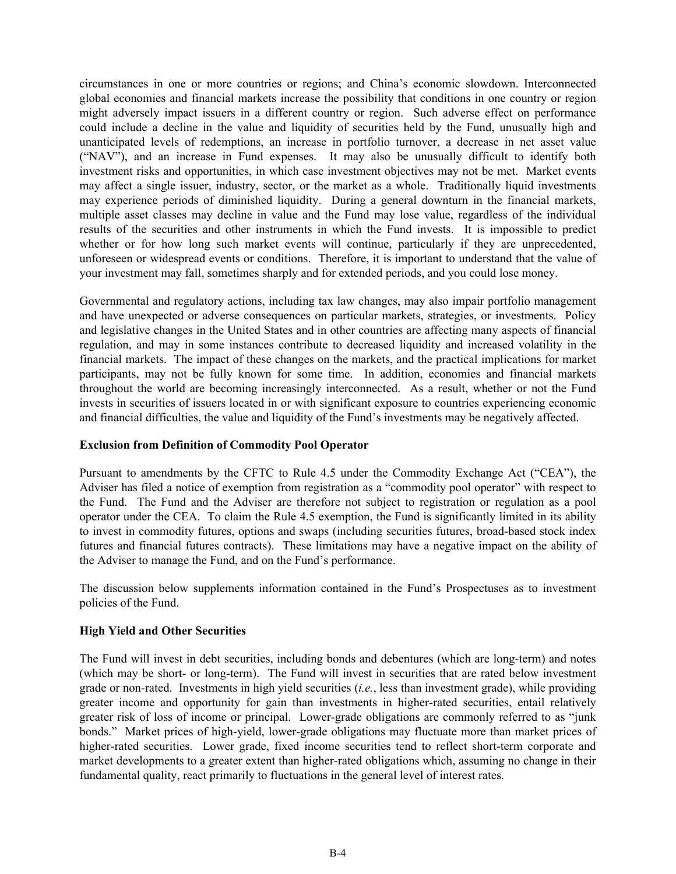circumstances in one or more countries or regions; and China's economic slowdown. Interconnected global economies and financial markets increase the possibility that conditions in one country or region might adversely impact issuers in a different country or region. Such adverse effect on performance could include a decline in the value and liquidity of securities held by the Fund, unusually high and unanticipated levels of redemptions, an increase in portfolio turnover, a decrease in net asset value ("NAV"), and an increase in Fund expenses. It may also be unusually difficult to identify both investment risks and opportunities, in which case investment objectives may not be met. Market events may affect a single issuer, industry, sector, or the market as a whole. Traditionally liquid investments may experience periods of diminished liquidity. During a general downturn in the financial markets, multiple asset classes may decline in value and the Fund may lose value, regardless of the individual results of the securities and other instruments in which the Fund invests. It is impossible to predict whether or for how long such market events will continue, particularly if they are unprecedented. unforeseen or widespread events or conditions. Therefore, it is important to understand that the value of your investment may fall, sometimes sharply and for extended periods, and you could lose money.

Governmental and regulatory actions, including tax law changes, may also impair portfolio management and have unexpected or adverse consequences on particular markets, strategies, or investments. Policy and legislative changes in the United States and in other countries are affecting many aspects of financial regulation, and may in some instances contribute to decreased liquidity and increased volatility in the financial markets. The impact of these changes on the markets, and the practical implications for market participants, may not be fully known for some time. In addition, economies and financial markets throughout the world are becoming increasingly interconnected. As a result, whether or not the Fund invests in securities of issuers located in or with significant exposure to countries experiencing economic and financial difficulties, the value and liquidity of the Fund's investments may be negatively affected.

#### **Exclusion from Definition of Commodity Pool Operator**

Pursuant to amendments by the CFTC to Rule 4.5 under the Commodity Exchange Act ("CEA"), the Adviser has filed a notice of exemption from registration as a "commodity pool operator" with respect to the Fund. The Fund and the Adviser are therefore not subject to registration or regulation as a pool operator under the CEA. To claim the Rule 4.5 exemption, the Fund is significantly limited in its ability to invest in commodity futures, options and swaps (including securities futures, broad-based stock index futures and financial futures contracts). These limitations may have a negative impact on the ability of the Adviser to manage the Fund, and on the Fund's performance.

The discussion below supplements information contained in the Fund's Prospectuses as to investment policies of the Fund.

#### **High Yield and Other Securities**

The Fund will invest in debt securities, including bonds and debentures (which are long-term) and notes (which may be short- or long-term). The Fund will invest in securities that are rated below investment grade or non-rated. Investments in high yield securities (*i.e.*, less than investment grade), while providing greater income and opportunity for gain than investments in higher-rated securities, entail relatively greater risk of loss of income or principal. Lower-grade obligations are commonly referred to as "junk bonds." Market prices of high-yield, lower-grade obligations may fluctuate more than market prices of higher-rated securities. Lower grade, fixed income securities tend to reflect short-term corporate and market developments to a greater extent than higher-rated obligations which, assuming no change in their fundamental quality, react primarily to fluctuations in the general level of interest rates.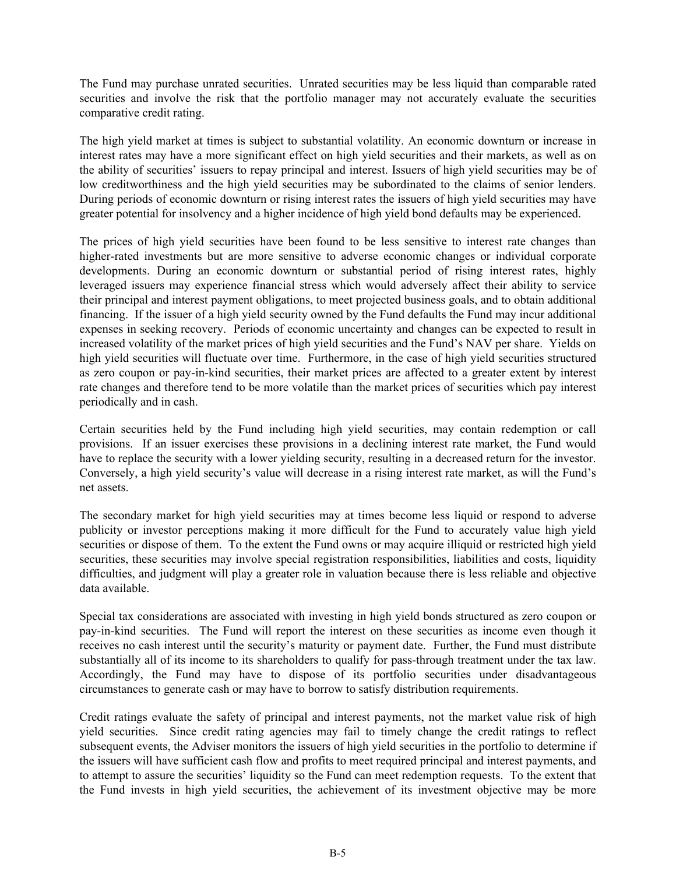The Fund may purchase unrated securities. Unrated securities may be less liquid than comparable rated securities and involve the risk that the portfolio manager may not accurately evaluate the securities comparative credit rating.

The high yield market at times is subject to substantial volatility. An economic downturn or increase in interest rates may have a more significant effect on high yield securities and their markets, as well as on the ability of securities' issuers to repay principal and interest. Issuers of high yield securities may be of low creditworthiness and the high yield securities may be subordinated to the claims of senior lenders. During periods of economic downturn or rising interest rates the issuers of high yield securities may have greater potential for insolvency and a higher incidence of high yield bond defaults may be experienced.

The prices of high yield securities have been found to be less sensitive to interest rate changes than higher-rated investments but are more sensitive to adverse economic changes or individual corporate developments. During an economic downturn or substantial period of rising interest rates, highly leveraged issuers may experience financial stress which would adversely affect their ability to service their principal and interest payment obligations, to meet projected business goals, and to obtain additional financing. If the issuer of a high yield security owned by the Fund defaults the Fund may incur additional expenses in seeking recovery. Periods of economic uncertainty and changes can be expected to result in increased volatility of the market prices of high yield securities and the Fund's NAV per share. Yields on high yield securities will fluctuate over time. Furthermore, in the case of high yield securities structured as zero coupon or pay-in-kind securities, their market prices are affected to a greater extent by interest rate changes and therefore tend to be more volatile than the market prices of securities which pay interest periodically and in cash.

Certain securities held by the Fund including high yield securities, may contain redemption or call provisions. If an issuer exercises these provisions in a declining interest rate market, the Fund would have to replace the security with a lower yielding security, resulting in a decreased return for the investor. Conversely, a high yield security's value will decrease in a rising interest rate market, as will the Fund's net assets.

The secondary market for high yield securities may at times become less liquid or respond to adverse publicity or investor perceptions making it more difficult for the Fund to accurately value high yield securities or dispose of them. To the extent the Fund owns or may acquire illiquid or restricted high yield securities, these securities may involve special registration responsibilities, liabilities and costs, liquidity difficulties, and judgment will play a greater role in valuation because there is less reliable and objective data available.

Special tax considerations are associated with investing in high yield bonds structured as zero coupon or pay-in-kind securities. The Fund will report the interest on these securities as income even though it receives no cash interest until the security's maturity or payment date. Further, the Fund must distribute substantially all of its income to its shareholders to qualify for pass-through treatment under the tax law. Accordingly, the Fund may have to dispose of its portfolio securities under disadvantageous circumstances to generate cash or may have to borrow to satisfy distribution requirements.

Credit ratings evaluate the safety of principal and interest payments, not the market value risk of high yield securities. Since credit rating agencies may fail to timely change the credit ratings to reflect subsequent events, the Adviser monitors the issuers of high yield securities in the portfolio to determine if the issuers will have sufficient cash flow and profits to meet required principal and interest payments, and to attempt to assure the securities' liquidity so the Fund can meet redemption requests. To the extent that the Fund invests in high yield securities, the achievement of its investment objective may be more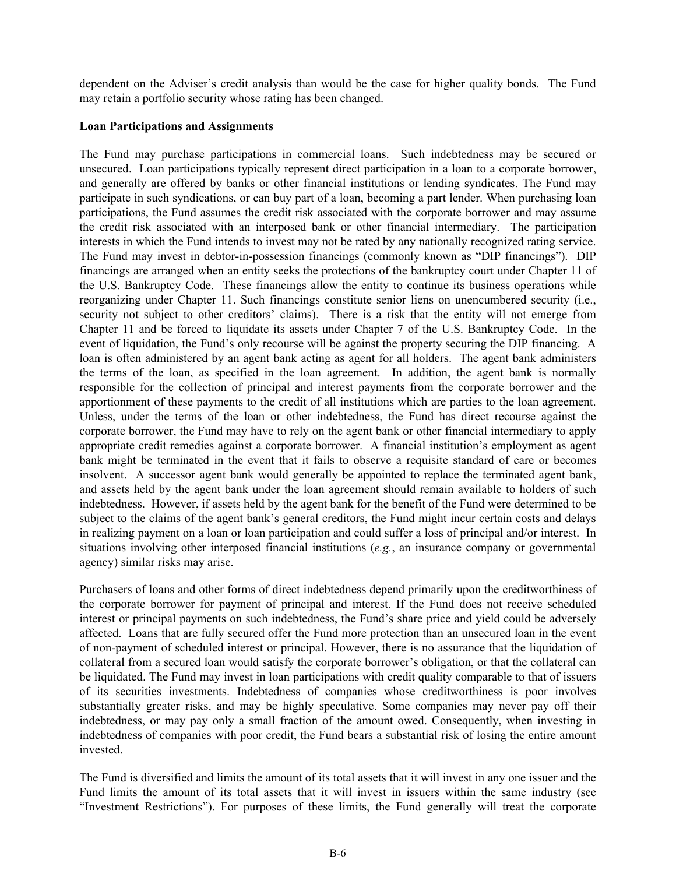dependent on the Adviser's credit analysis than would be the case for higher quality bonds. The Fund may retain a portfolio security whose rating has been changed.

#### **Loan Participations and Assignments**

The Fund may purchase participations in commercial loans. Such indebtedness may be secured or unsecured. Loan participations typically represent direct participation in a loan to a corporate borrower, and generally are offered by banks or other financial institutions or lending syndicates. The Fund may participate in such syndications, or can buy part of a loan, becoming a part lender. When purchasing loan participations, the Fund assumes the credit risk associated with the corporate borrower and may assume the credit risk associated with an interposed bank or other financial intermediary. The participation interests in which the Fund intends to invest may not be rated by any nationally recognized rating service. The Fund may invest in debtor-in-possession financings (commonly known as "DIP financings"). DIP financings are arranged when an entity seeks the protections of the bankruptcy court under Chapter 11 of the U.S. Bankruptcy Code. These financings allow the entity to continue its business operations while reorganizing under Chapter 11. Such financings constitute senior liens on unencumbered security (i.e., security not subject to other creditors' claims). There is a risk that the entity will not emerge from Chapter 11 and be forced to liquidate its assets under Chapter 7 of the U.S. Bankruptcy Code. In the event of liquidation, the Fund's only recourse will be against the property securing the DIP financing. A loan is often administered by an agent bank acting as agent for all holders. The agent bank administers the terms of the loan, as specified in the loan agreement. In addition, the agent bank is normally responsible for the collection of principal and interest payments from the corporate borrower and the apportionment of these payments to the credit of all institutions which are parties to the loan agreement. Unless, under the terms of the loan or other indebtedness, the Fund has direct recourse against the corporate borrower, the Fund may have to rely on the agent bank or other financial intermediary to apply appropriate credit remedies against a corporate borrower. A financial institution's employment as agent bank might be terminated in the event that it fails to observe a requisite standard of care or becomes insolvent. A successor agent bank would generally be appointed to replace the terminated agent bank, and assets held by the agent bank under the loan agreement should remain available to holders of such indebtedness. However, if assets held by the agent bank for the benefit of the Fund were determined to be subject to the claims of the agent bank's general creditors, the Fund might incur certain costs and delays in realizing payment on a loan or loan participation and could suffer a loss of principal and/or interest. In situations involving other interposed financial institutions (*e.g.*, an insurance company or governmental agency) similar risks may arise.

Purchasers of loans and other forms of direct indebtedness depend primarily upon the creditworthiness of the corporate borrower for payment of principal and interest. If the Fund does not receive scheduled interest or principal payments on such indebtedness, the Fund's share price and yield could be adversely affected. Loans that are fully secured offer the Fund more protection than an unsecured loan in the event of non-payment of scheduled interest or principal. However, there is no assurance that the liquidation of collateral from a secured loan would satisfy the corporate borrower's obligation, or that the collateral can be liquidated. The Fund may invest in loan participations with credit quality comparable to that of issuers of its securities investments. Indebtedness of companies whose creditworthiness is poor involves substantially greater risks, and may be highly speculative. Some companies may never pay off their indebtedness, or may pay only a small fraction of the amount owed. Consequently, when investing in indebtedness of companies with poor credit, the Fund bears a substantial risk of losing the entire amount invested.

The Fund is diversified and limits the amount of its total assets that it will invest in any one issuer and the Fund limits the amount of its total assets that it will invest in issuers within the same industry (see "Investment Restrictions"). For purposes of these limits, the Fund generally will treat the corporate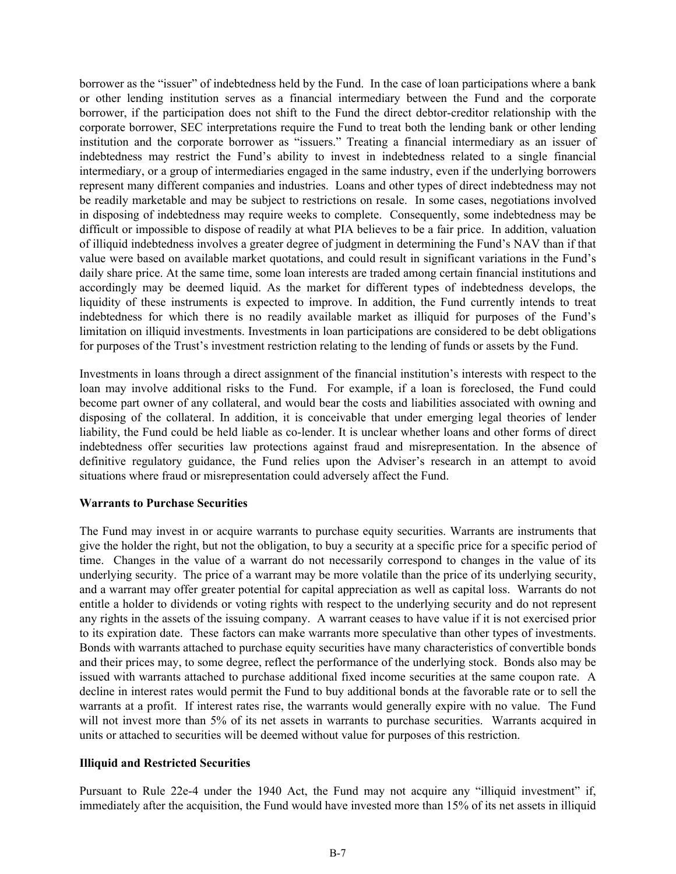borrower as the "issuer" of indebtedness held by the Fund. In the case of loan participations where a bank or other lending institution serves as a financial intermediary between the Fund and the corporate borrower, if the participation does not shift to the Fund the direct debtor-creditor relationship with the corporate borrower, SEC interpretations require the Fund to treat both the lending bank or other lending institution and the corporate borrower as "issuers." Treating a financial intermediary as an issuer of indebtedness may restrict the Fund's ability to invest in indebtedness related to a single financial intermediary, or a group of intermediaries engaged in the same industry, even if the underlying borrowers represent many different companies and industries. Loans and other types of direct indebtedness may not be readily marketable and may be subject to restrictions on resale. In some cases, negotiations involved in disposing of indebtedness may require weeks to complete. Consequently, some indebtedness may be difficult or impossible to dispose of readily at what PIA believes to be a fair price. In addition, valuation of illiquid indebtedness involves a greater degree of judgment in determining the Fund's NAV than if that value were based on available market quotations, and could result in significant variations in the Fund's daily share price. At the same time, some loan interests are traded among certain financial institutions and accordingly may be deemed liquid. As the market for different types of indebtedness develops, the liquidity of these instruments is expected to improve. In addition, the Fund currently intends to treat indebtedness for which there is no readily available market as illiquid for purposes of the Fund's limitation on illiquid investments. Investments in loan participations are considered to be debt obligations for purposes of the Trust's investment restriction relating to the lending of funds or assets by the Fund.

Investments in loans through a direct assignment of the financial institution's interests with respect to the loan may involve additional risks to the Fund. For example, if a loan is foreclosed, the Fund could become part owner of any collateral, and would bear the costs and liabilities associated with owning and disposing of the collateral. In addition, it is conceivable that under emerging legal theories of lender liability, the Fund could be held liable as co-lender. It is unclear whether loans and other forms of direct indebtedness offer securities law protections against fraud and misrepresentation. In the absence of definitive regulatory guidance, the Fund relies upon the Adviser's research in an attempt to avoid situations where fraud or misrepresentation could adversely affect the Fund.

#### **Warrants to Purchase Securities**

The Fund may invest in or acquire warrants to purchase equity securities. Warrants are instruments that give the holder the right, but not the obligation, to buy a security at a specific price for a specific period of time. Changes in the value of a warrant do not necessarily correspond to changes in the value of its underlying security. The price of a warrant may be more volatile than the price of its underlying security, and a warrant may offer greater potential for capital appreciation as well as capital loss. Warrants do not entitle a holder to dividends or voting rights with respect to the underlying security and do not represent any rights in the assets of the issuing company. A warrant ceases to have value if it is not exercised prior to its expiration date. These factors can make warrants more speculative than other types of investments. Bonds with warrants attached to purchase equity securities have many characteristics of convertible bonds and their prices may, to some degree, reflect the performance of the underlying stock. Bonds also may be issued with warrants attached to purchase additional fixed income securities at the same coupon rate. A decline in interest rates would permit the Fund to buy additional bonds at the favorable rate or to sell the warrants at a profit. If interest rates rise, the warrants would generally expire with no value. The Fund will not invest more than 5% of its net assets in warrants to purchase securities. Warrants acquired in units or attached to securities will be deemed without value for purposes of this restriction.

#### **Illiquid and Restricted Securities**

Pursuant to Rule 22e-4 under the 1940 Act, the Fund may not acquire any "illiquid investment" if, immediately after the acquisition, the Fund would have invested more than 15% of its net assets in illiquid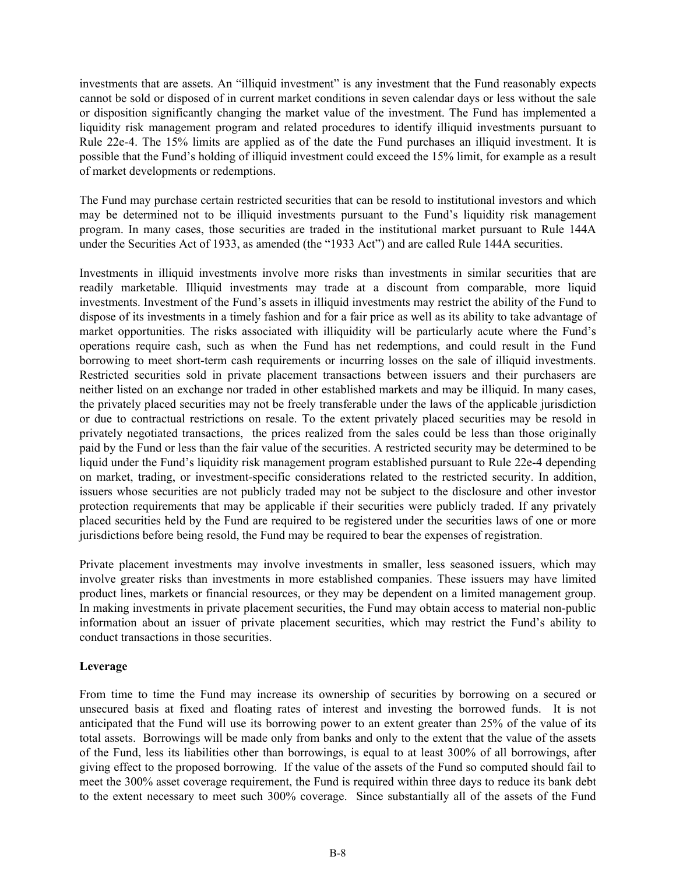investments that are assets. An "illiquid investment" is any investment that the Fund reasonably expects cannot be sold or disposed of in current market conditions in seven calendar days or less without the sale or disposition significantly changing the market value of the investment. The Fund has implemented a liquidity risk management program and related procedures to identify illiquid investments pursuant to Rule 22e-4. The 15% limits are applied as of the date the Fund purchases an illiquid investment. It is possible that the Fund's holding of illiquid investment could exceed the 15% limit, for example as a result of market developments or redemptions.

The Fund may purchase certain restricted securities that can be resold to institutional investors and which may be determined not to be illiquid investments pursuant to the Fund's liquidity risk management program. In many cases, those securities are traded in the institutional market pursuant to Rule 144A under the Securities Act of 1933, as amended (the "1933 Act") and are called Rule 144A securities.

Investments in illiquid investments involve more risks than investments in similar securities that are readily marketable. Illiquid investments may trade at a discount from comparable, more liquid investments. Investment of the Fund's assets in illiquid investments may restrict the ability of the Fund to dispose of its investments in a timely fashion and for a fair price as well as its ability to take advantage of market opportunities. The risks associated with illiquidity will be particularly acute where the Fund's operations require cash, such as when the Fund has net redemptions, and could result in the Fund borrowing to meet short-term cash requirements or incurring losses on the sale of illiquid investments. Restricted securities sold in private placement transactions between issuers and their purchasers are neither listed on an exchange nor traded in other established markets and may be illiquid. In many cases, the privately placed securities may not be freely transferable under the laws of the applicable jurisdiction or due to contractual restrictions on resale. To the extent privately placed securities may be resold in privately negotiated transactions, the prices realized from the sales could be less than those originally paid by the Fund or less than the fair value of the securities. A restricted security may be determined to be liquid under the Fund's liquidity risk management program established pursuant to Rule 22e-4 depending on market, trading, or investment-specific considerations related to the restricted security. In addition, issuers whose securities are not publicly traded may not be subject to the disclosure and other investor protection requirements that may be applicable if their securities were publicly traded. If any privately placed securities held by the Fund are required to be registered under the securities laws of one or more jurisdictions before being resold, the Fund may be required to bear the expenses of registration.

Private placement investments may involve investments in smaller, less seasoned issuers, which may involve greater risks than investments in more established companies. These issuers may have limited product lines, markets or financial resources, or they may be dependent on a limited management group. In making investments in private placement securities, the Fund may obtain access to material non-public information about an issuer of private placement securities, which may restrict the Fund's ability to conduct transactions in those securities.

#### **Leverage**

From time to time the Fund may increase its ownership of securities by borrowing on a secured or unsecured basis at fixed and floating rates of interest and investing the borrowed funds. It is not anticipated that the Fund will use its borrowing power to an extent greater than 25% of the value of its total assets. Borrowings will be made only from banks and only to the extent that the value of the assets of the Fund, less its liabilities other than borrowings, is equal to at least 300% of all borrowings, after giving effect to the proposed borrowing. If the value of the assets of the Fund so computed should fail to meet the 300% asset coverage requirement, the Fund is required within three days to reduce its bank debt to the extent necessary to meet such 300% coverage. Since substantially all of the assets of the Fund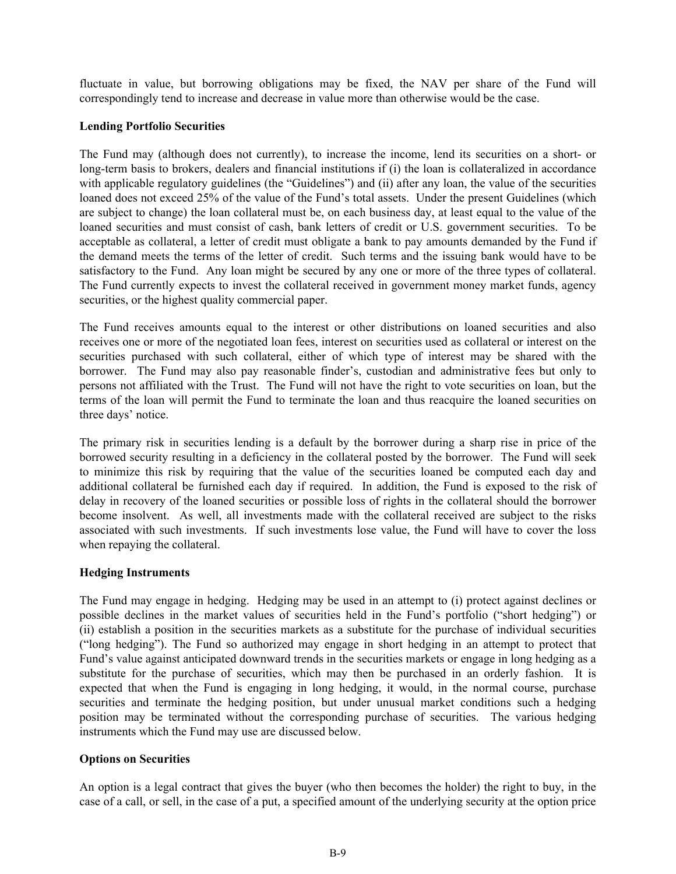fluctuate in value, but borrowing obligations may be fixed, the NAV per share of the Fund will correspondingly tend to increase and decrease in value more than otherwise would be the case.

#### **Lending Portfolio Securities**

The Fund may (although does not currently), to increase the income, lend its securities on a short- or long-term basis to brokers, dealers and financial institutions if (i) the loan is collateralized in accordance with applicable regulatory guidelines (the "Guidelines") and (ii) after any loan, the value of the securities loaned does not exceed 25% of the value of the Fund's total assets. Under the present Guidelines (which are subject to change) the loan collateral must be, on each business day, at least equal to the value of the loaned securities and must consist of cash, bank letters of credit or U.S. government securities. To be acceptable as collateral, a letter of credit must obligate a bank to pay amounts demanded by the Fund if the demand meets the terms of the letter of credit. Such terms and the issuing bank would have to be satisfactory to the Fund. Any loan might be secured by any one or more of the three types of collateral. The Fund currently expects to invest the collateral received in government money market funds, agency securities, or the highest quality commercial paper.

The Fund receives amounts equal to the interest or other distributions on loaned securities and also receives one or more of the negotiated loan fees, interest on securities used as collateral or interest on the securities purchased with such collateral, either of which type of interest may be shared with the borrower. The Fund may also pay reasonable finder's, custodian and administrative fees but only to persons not affiliated with the Trust. The Fund will not have the right to vote securities on loan, but the terms of the loan will permit the Fund to terminate the loan and thus reacquire the loaned securities on three days' notice.

The primary risk in securities lending is a default by the borrower during a sharp rise in price of the borrowed security resulting in a deficiency in the collateral posted by the borrower. The Fund will seek to minimize this risk by requiring that the value of the securities loaned be computed each day and additional collateral be furnished each day if required. In addition, the Fund is exposed to the risk of delay in recovery of the loaned securities or possible loss of rights in the collateral should the borrower become insolvent. As well, all investments made with the collateral received are subject to the risks associated with such investments. If such investments lose value, the Fund will have to cover the loss when repaying the collateral.

#### **Hedging Instruments**

The Fund may engage in hedging. Hedging may be used in an attempt to (i) protect against declines or possible declines in the market values of securities held in the Fund's portfolio ("short hedging") or (ii) establish a position in the securities markets as a substitute for the purchase of individual securities ("long hedging"). The Fund so authorized may engage in short hedging in an attempt to protect that Fund's value against anticipated downward trends in the securities markets or engage in long hedging as a substitute for the purchase of securities, which may then be purchased in an orderly fashion. It is expected that when the Fund is engaging in long hedging, it would, in the normal course, purchase securities and terminate the hedging position, but under unusual market conditions such a hedging position may be terminated without the corresponding purchase of securities. The various hedging instruments which the Fund may use are discussed below.

#### **Options on Securities**

An option is a legal contract that gives the buyer (who then becomes the holder) the right to buy, in the case of a call, or sell, in the case of a put, a specified amount of the underlying security at the option price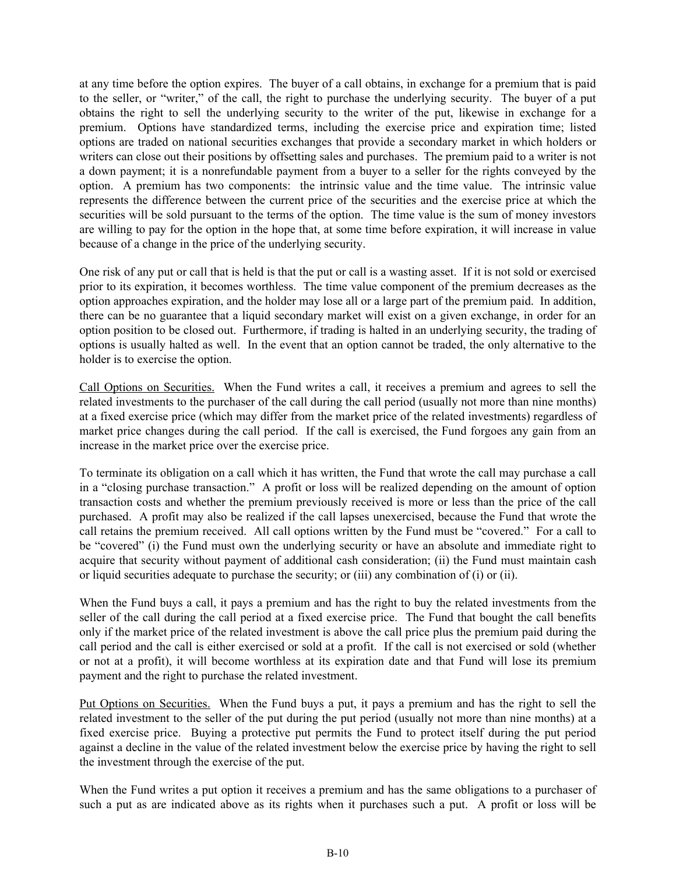at any time before the option expires. The buyer of a call obtains, in exchange for a premium that is paid to the seller, or "writer," of the call, the right to purchase the underlying security. The buyer of a put obtains the right to sell the underlying security to the writer of the put, likewise in exchange for a premium. Options have standardized terms, including the exercise price and expiration time; listed options are traded on national securities exchanges that provide a secondary market in which holders or writers can close out their positions by offsetting sales and purchases. The premium paid to a writer is not a down payment; it is a nonrefundable payment from a buyer to a seller for the rights conveyed by the option. A premium has two components: the intrinsic value and the time value. The intrinsic value represents the difference between the current price of the securities and the exercise price at which the securities will be sold pursuant to the terms of the option. The time value is the sum of money investors are willing to pay for the option in the hope that, at some time before expiration, it will increase in value because of a change in the price of the underlying security.

One risk of any put or call that is held is that the put or call is a wasting asset. If it is not sold or exercised prior to its expiration, it becomes worthless. The time value component of the premium decreases as the option approaches expiration, and the holder may lose all or a large part of the premium paid. In addition, there can be no guarantee that a liquid secondary market will exist on a given exchange, in order for an option position to be closed out. Furthermore, if trading is halted in an underlying security, the trading of options is usually halted as well. In the event that an option cannot be traded, the only alternative to the holder is to exercise the option.

Call Options on Securities. When the Fund writes a call, it receives a premium and agrees to sell the related investments to the purchaser of the call during the call period (usually not more than nine months) at a fixed exercise price (which may differ from the market price of the related investments) regardless of market price changes during the call period. If the call is exercised, the Fund forgoes any gain from an increase in the market price over the exercise price.

To terminate its obligation on a call which it has written, the Fund that wrote the call may purchase a call in a "closing purchase transaction." A profit or loss will be realized depending on the amount of option transaction costs and whether the premium previously received is more or less than the price of the call purchased. A profit may also be realized if the call lapses unexercised, because the Fund that wrote the call retains the premium received. All call options written by the Fund must be "covered." For a call to be "covered" (i) the Fund must own the underlying security or have an absolute and immediate right to acquire that security without payment of additional cash consideration; (ii) the Fund must maintain cash or liquid securities adequate to purchase the security; or (iii) any combination of (i) or (ii).

When the Fund buys a call, it pays a premium and has the right to buy the related investments from the seller of the call during the call period at a fixed exercise price. The Fund that bought the call benefits only if the market price of the related investment is above the call price plus the premium paid during the call period and the call is either exercised or sold at a profit. If the call is not exercised or sold (whether or not at a profit), it will become worthless at its expiration date and that Fund will lose its premium payment and the right to purchase the related investment.

Put Options on Securities. When the Fund buys a put, it pays a premium and has the right to sell the related investment to the seller of the put during the put period (usually not more than nine months) at a fixed exercise price. Buying a protective put permits the Fund to protect itself during the put period against a decline in the value of the related investment below the exercise price by having the right to sell the investment through the exercise of the put.

When the Fund writes a put option it receives a premium and has the same obligations to a purchaser of such a put as are indicated above as its rights when it purchases such a put. A profit or loss will be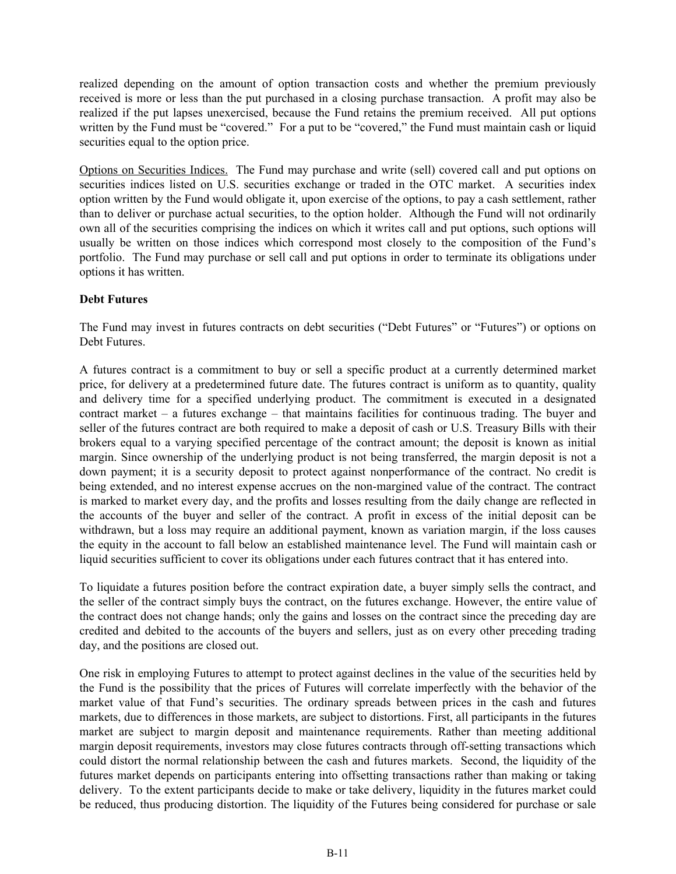realized depending on the amount of option transaction costs and whether the premium previously received is more or less than the put purchased in a closing purchase transaction. A profit may also be realized if the put lapses unexercised, because the Fund retains the premium received. All put options written by the Fund must be "covered." For a put to be "covered," the Fund must maintain cash or liquid securities equal to the option price.

Options on Securities Indices. The Fund may purchase and write (sell) covered call and put options on securities indices listed on U.S. securities exchange or traded in the OTC market. A securities index option written by the Fund would obligate it, upon exercise of the options, to pay a cash settlement, rather than to deliver or purchase actual securities, to the option holder. Although the Fund will not ordinarily own all of the securities comprising the indices on which it writes call and put options, such options will usually be written on those indices which correspond most closely to the composition of the Fund's portfolio. The Fund may purchase or sell call and put options in order to terminate its obligations under options it has written.

### **Debt Futures**

The Fund may invest in futures contracts on debt securities ("Debt Futures" or "Futures") or options on Debt Futures.

A futures contract is a commitment to buy or sell a specific product at a currently determined market price, for delivery at a predetermined future date. The futures contract is uniform as to quantity, quality and delivery time for a specified underlying product. The commitment is executed in a designated contract market – a futures exchange – that maintains facilities for continuous trading. The buyer and seller of the futures contract are both required to make a deposit of cash or U.S. Treasury Bills with their brokers equal to a varying specified percentage of the contract amount; the deposit is known as initial margin. Since ownership of the underlying product is not being transferred, the margin deposit is not a down payment; it is a security deposit to protect against nonperformance of the contract. No credit is being extended, and no interest expense accrues on the non-margined value of the contract. The contract is marked to market every day, and the profits and losses resulting from the daily change are reflected in the accounts of the buyer and seller of the contract. A profit in excess of the initial deposit can be withdrawn, but a loss may require an additional payment, known as variation margin, if the loss causes the equity in the account to fall below an established maintenance level. The Fund will maintain cash or liquid securities sufficient to cover its obligations under each futures contract that it has entered into.

To liquidate a futures position before the contract expiration date, a buyer simply sells the contract, and the seller of the contract simply buys the contract, on the futures exchange. However, the entire value of the contract does not change hands; only the gains and losses on the contract since the preceding day are credited and debited to the accounts of the buyers and sellers, just as on every other preceding trading day, and the positions are closed out.

One risk in employing Futures to attempt to protect against declines in the value of the securities held by the Fund is the possibility that the prices of Futures will correlate imperfectly with the behavior of the market value of that Fund's securities. The ordinary spreads between prices in the cash and futures markets, due to differences in those markets, are subject to distortions. First, all participants in the futures market are subject to margin deposit and maintenance requirements. Rather than meeting additional margin deposit requirements, investors may close futures contracts through off-setting transactions which could distort the normal relationship between the cash and futures markets. Second, the liquidity of the futures market depends on participants entering into offsetting transactions rather than making or taking delivery. To the extent participants decide to make or take delivery, liquidity in the futures market could be reduced, thus producing distortion. The liquidity of the Futures being considered for purchase or sale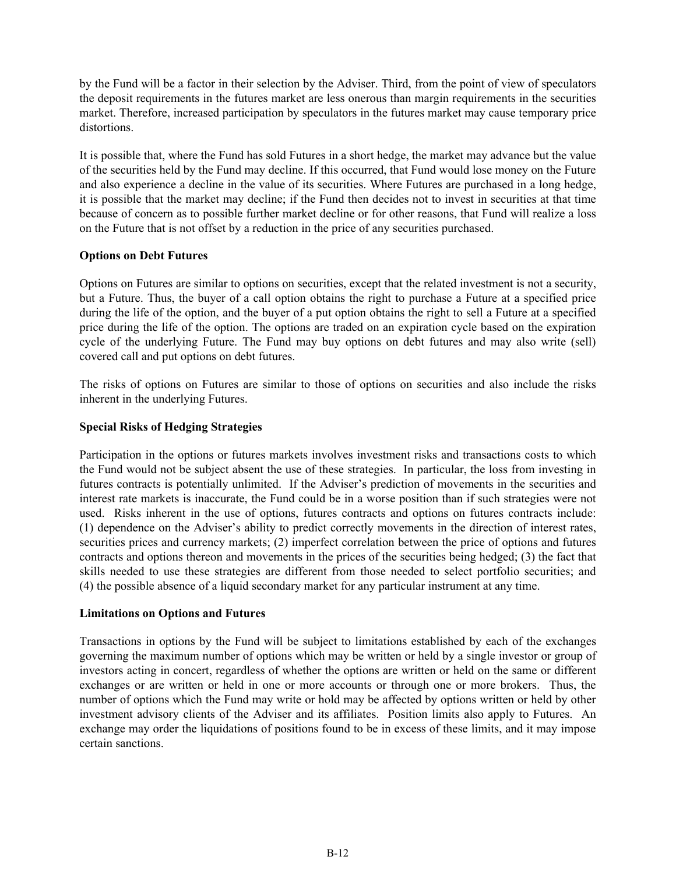by the Fund will be a factor in their selection by the Adviser. Third, from the point of view of speculators the deposit requirements in the futures market are less onerous than margin requirements in the securities market. Therefore, increased participation by speculators in the futures market may cause temporary price distortions.

It is possible that, where the Fund has sold Futures in a short hedge, the market may advance but the value of the securities held by the Fund may decline. If this occurred, that Fund would lose money on the Future and also experience a decline in the value of its securities. Where Futures are purchased in a long hedge, it is possible that the market may decline; if the Fund then decides not to invest in securities at that time because of concern as to possible further market decline or for other reasons, that Fund will realize a loss on the Future that is not offset by a reduction in the price of any securities purchased.

#### **Options on Debt Futures**

Options on Futures are similar to options on securities, except that the related investment is not a security, but a Future. Thus, the buyer of a call option obtains the right to purchase a Future at a specified price during the life of the option, and the buyer of a put option obtains the right to sell a Future at a specified price during the life of the option. The options are traded on an expiration cycle based on the expiration cycle of the underlying Future. The Fund may buy options on debt futures and may also write (sell) covered call and put options on debt futures.

The risks of options on Futures are similar to those of options on securities and also include the risks inherent in the underlying Futures.

### **Special Risks of Hedging Strategies**

Participation in the options or futures markets involves investment risks and transactions costs to which the Fund would not be subject absent the use of these strategies. In particular, the loss from investing in futures contracts is potentially unlimited. If the Adviser's prediction of movements in the securities and interest rate markets is inaccurate, the Fund could be in a worse position than if such strategies were not used. Risks inherent in the use of options, futures contracts and options on futures contracts include: (1) dependence on the Adviser's ability to predict correctly movements in the direction of interest rates, securities prices and currency markets; (2) imperfect correlation between the price of options and futures contracts and options thereon and movements in the prices of the securities being hedged; (3) the fact that skills needed to use these strategies are different from those needed to select portfolio securities; and (4) the possible absence of a liquid secondary market for any particular instrument at any time.

#### **Limitations on Options and Futures**

Transactions in options by the Fund will be subject to limitations established by each of the exchanges governing the maximum number of options which may be written or held by a single investor or group of investors acting in concert, regardless of whether the options are written or held on the same or different exchanges or are written or held in one or more accounts or through one or more brokers. Thus, the number of options which the Fund may write or hold may be affected by options written or held by other investment advisory clients of the Adviser and its affiliates. Position limits also apply to Futures. An exchange may order the liquidations of positions found to be in excess of these limits, and it may impose certain sanctions.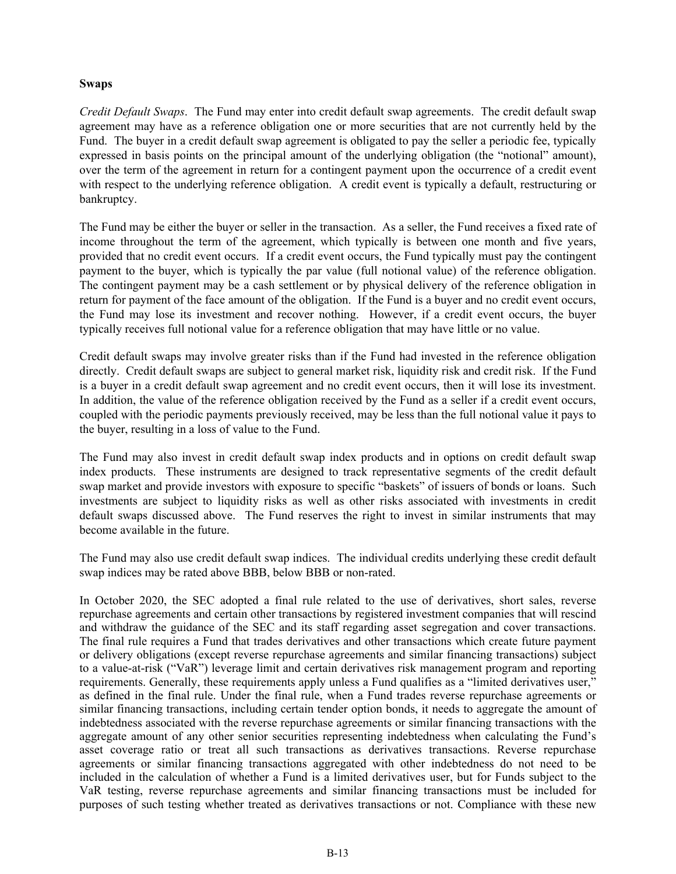#### **Swaps**

*Credit Default Swaps*. The Fund may enter into credit default swap agreements. The credit default swap agreement may have as a reference obligation one or more securities that are not currently held by the Fund. The buyer in a credit default swap agreement is obligated to pay the seller a periodic fee, typically expressed in basis points on the principal amount of the underlying obligation (the "notional" amount), over the term of the agreement in return for a contingent payment upon the occurrence of a credit event with respect to the underlying reference obligation. A credit event is typically a default, restructuring or bankruptcy.

The Fund may be either the buyer or seller in the transaction. As a seller, the Fund receives a fixed rate of income throughout the term of the agreement, which typically is between one month and five years, provided that no credit event occurs. If a credit event occurs, the Fund typically must pay the contingent payment to the buyer, which is typically the par value (full notional value) of the reference obligation. The contingent payment may be a cash settlement or by physical delivery of the reference obligation in return for payment of the face amount of the obligation. If the Fund is a buyer and no credit event occurs, the Fund may lose its investment and recover nothing. However, if a credit event occurs, the buyer typically receives full notional value for a reference obligation that may have little or no value.

Credit default swaps may involve greater risks than if the Fund had invested in the reference obligation directly. Credit default swaps are subject to general market risk, liquidity risk and credit risk. If the Fund is a buyer in a credit default swap agreement and no credit event occurs, then it will lose its investment. In addition, the value of the reference obligation received by the Fund as a seller if a credit event occurs, coupled with the periodic payments previously received, may be less than the full notional value it pays to the buyer, resulting in a loss of value to the Fund.

The Fund may also invest in credit default swap index products and in options on credit default swap index products. These instruments are designed to track representative segments of the credit default swap market and provide investors with exposure to specific "baskets" of issuers of bonds or loans. Such investments are subject to liquidity risks as well as other risks associated with investments in credit default swaps discussed above. The Fund reserves the right to invest in similar instruments that may become available in the future.

The Fund may also use credit default swap indices. The individual credits underlying these credit default swap indices may be rated above BBB, below BBB or non-rated.

In October 2020, the SEC adopted a final rule related to the use of derivatives, short sales, reverse repurchase agreements and certain other transactions by registered investment companies that will rescind and withdraw the guidance of the SEC and its staff regarding asset segregation and cover transactions. The final rule requires a Fund that trades derivatives and other transactions which create future payment or delivery obligations (except reverse repurchase agreements and similar financing transactions) subject to a value-at-risk ("VaR") leverage limit and certain derivatives risk management program and reporting requirements. Generally, these requirements apply unless a Fund qualifies as a "limited derivatives user," as defined in the final rule. Under the final rule, when a Fund trades reverse repurchase agreements or similar financing transactions, including certain tender option bonds, it needs to aggregate the amount of indebtedness associated with the reverse repurchase agreements or similar financing transactions with the aggregate amount of any other senior securities representing indebtedness when calculating the Fund's asset coverage ratio or treat all such transactions as derivatives transactions. Reverse repurchase agreements or similar financing transactions aggregated with other indebtedness do not need to be included in the calculation of whether a Fund is a limited derivatives user, but for Funds subject to the VaR testing, reverse repurchase agreements and similar financing transactions must be included for purposes of such testing whether treated as derivatives transactions or not. Compliance with these new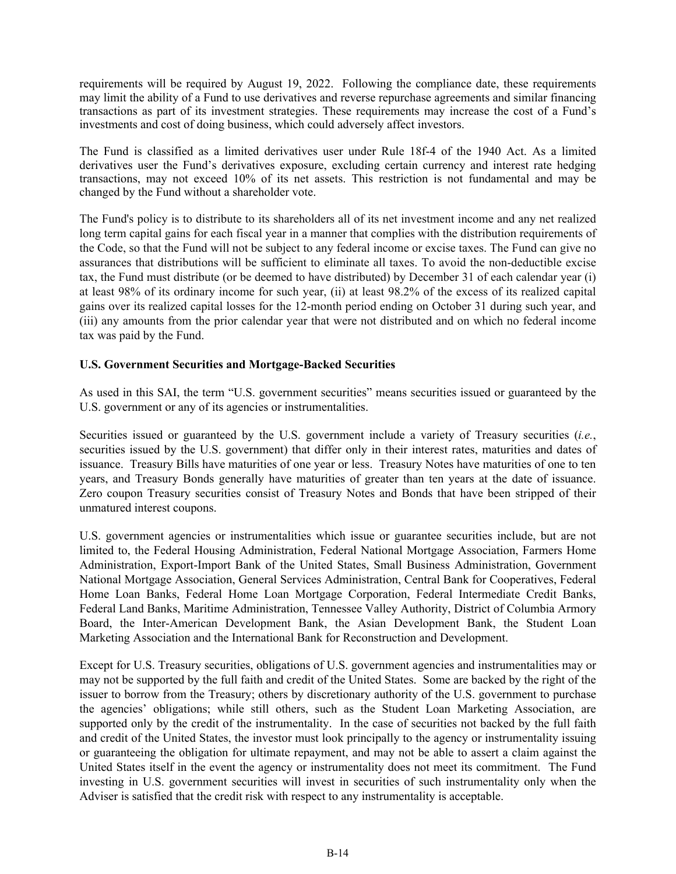requirements will be required by August 19, 2022. Following the compliance date, these requirements may limit the ability of a Fund to use derivatives and reverse repurchase agreements and similar financing transactions as part of its investment strategies. These requirements may increase the cost of a Fund's investments and cost of doing business, which could adversely affect investors.

The Fund is classified as a limited derivatives user under Rule 18f-4 of the 1940 Act. As a limited derivatives user the Fund's derivatives exposure, excluding certain currency and interest rate hedging transactions, may not exceed 10% of its net assets. This restriction is not fundamental and may be changed by the Fund without a shareholder vote.

The Fund's policy is to distribute to its shareholders all of its net investment income and any net realized long term capital gains for each fiscal year in a manner that complies with the distribution requirements of the Code, so that the Fund will not be subject to any federal income or excise taxes. The Fund can give no assurances that distributions will be sufficient to eliminate all taxes. To avoid the non-deductible excise tax, the Fund must distribute (or be deemed to have distributed) by December 31 of each calendar year (i) at least 98% of its ordinary income for such year, (ii) at least 98.2% of the excess of its realized capital gains over its realized capital losses for the 12-month period ending on October 31 during such year, and (iii) any amounts from the prior calendar year that were not distributed and on which no federal income tax was paid by the Fund.

#### **U.S. Government Securities and Mortgage-Backed Securities**

As used in this SAI, the term "U.S. government securities" means securities issued or guaranteed by the U.S. government or any of its agencies or instrumentalities.

Securities issued or guaranteed by the U.S. government include a variety of Treasury securities (*i.e.*, securities issued by the U.S. government) that differ only in their interest rates, maturities and dates of issuance. Treasury Bills have maturities of one year or less. Treasury Notes have maturities of one to ten years, and Treasury Bonds generally have maturities of greater than ten years at the date of issuance. Zero coupon Treasury securities consist of Treasury Notes and Bonds that have been stripped of their unmatured interest coupons.

U.S. government agencies or instrumentalities which issue or guarantee securities include, but are not limited to, the Federal Housing Administration, Federal National Mortgage Association, Farmers Home Administration, Export-Import Bank of the United States, Small Business Administration, Government National Mortgage Association, General Services Administration, Central Bank for Cooperatives, Federal Home Loan Banks, Federal Home Loan Mortgage Corporation, Federal Intermediate Credit Banks, Federal Land Banks, Maritime Administration, Tennessee Valley Authority, District of Columbia Armory Board, the Inter-American Development Bank, the Asian Development Bank, the Student Loan Marketing Association and the International Bank for Reconstruction and Development.

Except for U.S. Treasury securities, obligations of U.S. government agencies and instrumentalities may or may not be supported by the full faith and credit of the United States. Some are backed by the right of the issuer to borrow from the Treasury; others by discretionary authority of the U.S. government to purchase the agencies' obligations; while still others, such as the Student Loan Marketing Association, are supported only by the credit of the instrumentality. In the case of securities not backed by the full faith and credit of the United States, the investor must look principally to the agency or instrumentality issuing or guaranteeing the obligation for ultimate repayment, and may not be able to assert a claim against the United States itself in the event the agency or instrumentality does not meet its commitment. The Fund investing in U.S. government securities will invest in securities of such instrumentality only when the Adviser is satisfied that the credit risk with respect to any instrumentality is acceptable.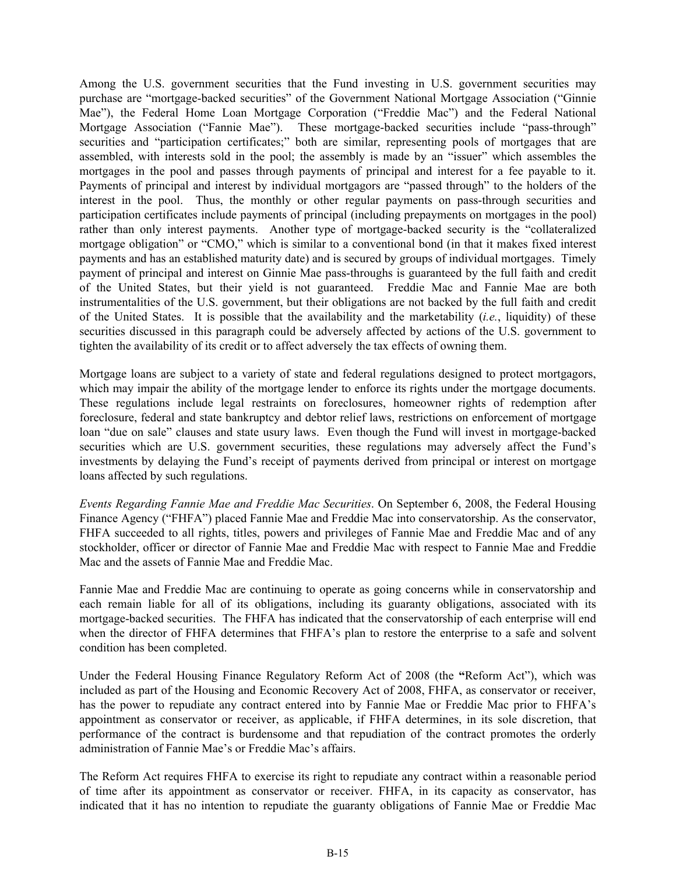Among the U.S. government securities that the Fund investing in U.S. government securities may purchase are "mortgage-backed securities" of the Government National Mortgage Association ("Ginnie Mae"), the Federal Home Loan Mortgage Corporation ("Freddie Mac") and the Federal National Mortgage Association ("Fannie Mae"). These mortgage-backed securities include "pass-through" securities and "participation certificates;" both are similar, representing pools of mortgages that are assembled, with interests sold in the pool; the assembly is made by an "issuer" which assembles the mortgages in the pool and passes through payments of principal and interest for a fee payable to it. Payments of principal and interest by individual mortgagors are "passed through" to the holders of the interest in the pool. Thus, the monthly or other regular payments on pass-through securities and participation certificates include payments of principal (including prepayments on mortgages in the pool) rather than only interest payments. Another type of mortgage-backed security is the "collateralized mortgage obligation" or "CMO," which is similar to a conventional bond (in that it makes fixed interest payments and has an established maturity date) and is secured by groups of individual mortgages. Timely payment of principal and interest on Ginnie Mae pass-throughs is guaranteed by the full faith and credit of the United States, but their yield is not guaranteed. Freddie Mac and Fannie Mae are both instrumentalities of the U.S. government, but their obligations are not backed by the full faith and credit of the United States. It is possible that the availability and the marketability (*i.e.*, liquidity) of these securities discussed in this paragraph could be adversely affected by actions of the U.S. government to tighten the availability of its credit or to affect adversely the tax effects of owning them.

Mortgage loans are subject to a variety of state and federal regulations designed to protect mortgagors, which may impair the ability of the mortgage lender to enforce its rights under the mortgage documents. These regulations include legal restraints on foreclosures, homeowner rights of redemption after foreclosure, federal and state bankruptcy and debtor relief laws, restrictions on enforcement of mortgage loan "due on sale" clauses and state usury laws. Even though the Fund will invest in mortgage-backed securities which are U.S. government securities, these regulations may adversely affect the Fund's investments by delaying the Fund's receipt of payments derived from principal or interest on mortgage loans affected by such regulations.

*Events Regarding Fannie Mae and Freddie Mac Securities*. On September 6, 2008, the Federal Housing Finance Agency ("FHFA") placed Fannie Mae and Freddie Mac into conservatorship. As the conservator, FHFA succeeded to all rights, titles, powers and privileges of Fannie Mae and Freddie Mac and of any stockholder, officer or director of Fannie Mae and Freddie Mac with respect to Fannie Mae and Freddie Mac and the assets of Fannie Mae and Freddie Mac.

Fannie Mae and Freddie Mac are continuing to operate as going concerns while in conservatorship and each remain liable for all of its obligations, including its guaranty obligations, associated with its mortgage-backed securities. The FHFA has indicated that the conservatorship of each enterprise will end when the director of FHFA determines that FHFA's plan to restore the enterprise to a safe and solvent condition has been completed.

Under the Federal Housing Finance Regulatory Reform Act of 2008 (the **"**Reform Act"), which was included as part of the Housing and Economic Recovery Act of 2008, FHFA, as conservator or receiver, has the power to repudiate any contract entered into by Fannie Mae or Freddie Mac prior to FHFA's appointment as conservator or receiver, as applicable, if FHFA determines, in its sole discretion, that performance of the contract is burdensome and that repudiation of the contract promotes the orderly administration of Fannie Mae's or Freddie Mac's affairs.

The Reform Act requires FHFA to exercise its right to repudiate any contract within a reasonable period of time after its appointment as conservator or receiver. FHFA, in its capacity as conservator, has indicated that it has no intention to repudiate the guaranty obligations of Fannie Mae or Freddie Mac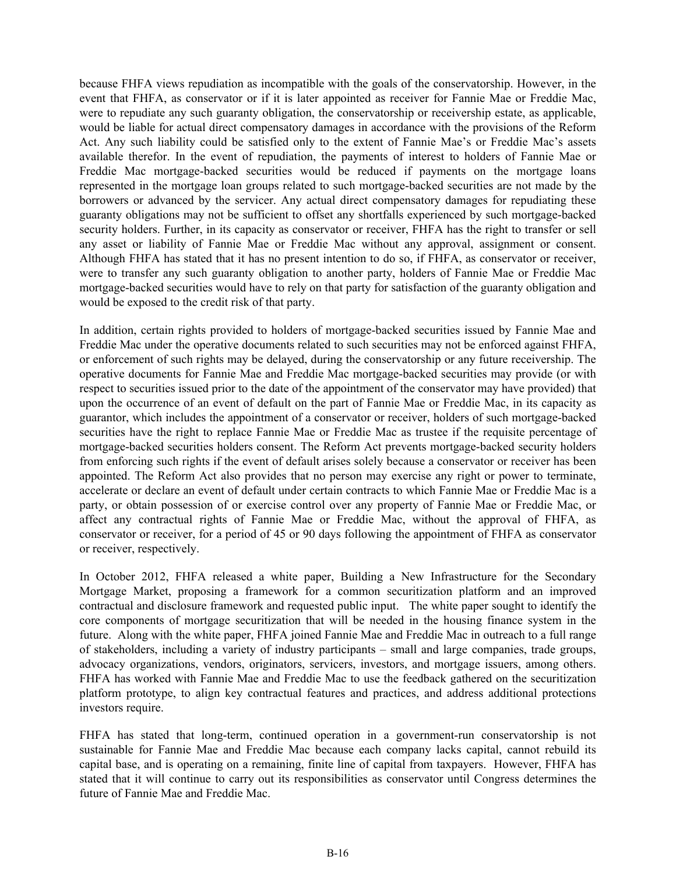because FHFA views repudiation as incompatible with the goals of the conservatorship. However, in the event that FHFA, as conservator or if it is later appointed as receiver for Fannie Mae or Freddie Mac, were to repudiate any such guaranty obligation, the conservatorship or receivership estate, as applicable, would be liable for actual direct compensatory damages in accordance with the provisions of the Reform Act. Any such liability could be satisfied only to the extent of Fannie Mae's or Freddie Mac's assets available therefor. In the event of repudiation, the payments of interest to holders of Fannie Mae or Freddie Mac mortgage-backed securities would be reduced if payments on the mortgage loans represented in the mortgage loan groups related to such mortgage-backed securities are not made by the borrowers or advanced by the servicer. Any actual direct compensatory damages for repudiating these guaranty obligations may not be sufficient to offset any shortfalls experienced by such mortgage-backed security holders. Further, in its capacity as conservator or receiver, FHFA has the right to transfer or sell any asset or liability of Fannie Mae or Freddie Mac without any approval, assignment or consent. Although FHFA has stated that it has no present intention to do so, if FHFA, as conservator or receiver, were to transfer any such guaranty obligation to another party, holders of Fannie Mae or Freddie Mac mortgage-backed securities would have to rely on that party for satisfaction of the guaranty obligation and would be exposed to the credit risk of that party.

In addition, certain rights provided to holders of mortgage-backed securities issued by Fannie Mae and Freddie Mac under the operative documents related to such securities may not be enforced against FHFA, or enforcement of such rights may be delayed, during the conservatorship or any future receivership. The operative documents for Fannie Mae and Freddie Mac mortgage-backed securities may provide (or with respect to securities issued prior to the date of the appointment of the conservator may have provided) that upon the occurrence of an event of default on the part of Fannie Mae or Freddie Mac, in its capacity as guarantor, which includes the appointment of a conservator or receiver, holders of such mortgage-backed securities have the right to replace Fannie Mae or Freddie Mac as trustee if the requisite percentage of mortgage-backed securities holders consent. The Reform Act prevents mortgage-backed security holders from enforcing such rights if the event of default arises solely because a conservator or receiver has been appointed. The Reform Act also provides that no person may exercise any right or power to terminate, accelerate or declare an event of default under certain contracts to which Fannie Mae or Freddie Mac is a party, or obtain possession of or exercise control over any property of Fannie Mae or Freddie Mac, or affect any contractual rights of Fannie Mae or Freddie Mac, without the approval of FHFA, as conservator or receiver, for a period of 45 or 90 days following the appointment of FHFA as conservator or receiver, respectively.

In October 2012, FHFA released a white paper, Building a New Infrastructure for the Secondary Mortgage Market, proposing a framework for a common securitization platform and an improved contractual and disclosure framework and requested public input. The white paper sought to identify the core components of mortgage securitization that will be needed in the housing finance system in the future. Along with the white paper, FHFA joined Fannie Mae and Freddie Mac in outreach to a full range of stakeholders, including a variety of industry participants – small and large companies, trade groups, advocacy organizations, vendors, originators, servicers, investors, and mortgage issuers, among others. FHFA has worked with Fannie Mae and Freddie Mac to use the feedback gathered on the securitization platform prototype, to align key contractual features and practices, and address additional protections investors require.

FHFA has stated that long-term, continued operation in a government-run conservatorship is not sustainable for Fannie Mae and Freddie Mac because each company lacks capital, cannot rebuild its capital base, and is operating on a remaining, finite line of capital from taxpayers. However, FHFA has stated that it will continue to carry out its responsibilities as conservator until Congress determines the future of Fannie Mae and Freddie Mac.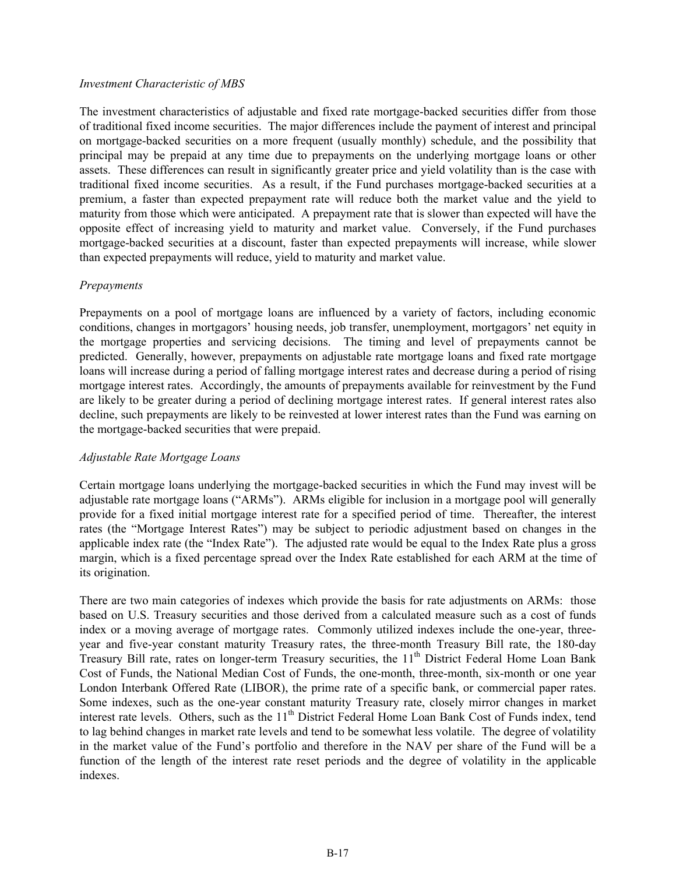#### *Investment Characteristic of MBS*

The investment characteristics of adjustable and fixed rate mortgage-backed securities differ from those of traditional fixed income securities. The major differences include the payment of interest and principal on mortgage-backed securities on a more frequent (usually monthly) schedule, and the possibility that principal may be prepaid at any time due to prepayments on the underlying mortgage loans or other assets. These differences can result in significantly greater price and yield volatility than is the case with traditional fixed income securities. As a result, if the Fund purchases mortgage-backed securities at a premium, a faster than expected prepayment rate will reduce both the market value and the yield to maturity from those which were anticipated. A prepayment rate that is slower than expected will have the opposite effect of increasing yield to maturity and market value. Conversely, if the Fund purchases mortgage-backed securities at a discount, faster than expected prepayments will increase, while slower than expected prepayments will reduce, yield to maturity and market value.

#### *Prepayments*

Prepayments on a pool of mortgage loans are influenced by a variety of factors, including economic conditions, changes in mortgagors' housing needs, job transfer, unemployment, mortgagors' net equity in the mortgage properties and servicing decisions. The timing and level of prepayments cannot be predicted. Generally, however, prepayments on adjustable rate mortgage loans and fixed rate mortgage loans will increase during a period of falling mortgage interest rates and decrease during a period of rising mortgage interest rates. Accordingly, the amounts of prepayments available for reinvestment by the Fund are likely to be greater during a period of declining mortgage interest rates. If general interest rates also decline, such prepayments are likely to be reinvested at lower interest rates than the Fund was earning on the mortgage-backed securities that were prepaid.

#### *Adjustable Rate Mortgage Loans*

Certain mortgage loans underlying the mortgage-backed securities in which the Fund may invest will be adjustable rate mortgage loans ("ARMs"). ARMs eligible for inclusion in a mortgage pool will generally provide for a fixed initial mortgage interest rate for a specified period of time. Thereafter, the interest rates (the "Mortgage Interest Rates") may be subject to periodic adjustment based on changes in the applicable index rate (the "Index Rate"). The adjusted rate would be equal to the Index Rate plus a gross margin, which is a fixed percentage spread over the Index Rate established for each ARM at the time of its origination.

There are two main categories of indexes which provide the basis for rate adjustments on ARMs: those based on U.S. Treasury securities and those derived from a calculated measure such as a cost of funds index or a moving average of mortgage rates. Commonly utilized indexes include the one-year, threeyear and five-year constant maturity Treasury rates, the three-month Treasury Bill rate, the 180-day Treasury Bill rate, rates on longer-term Treasury securities, the 11<sup>th</sup> District Federal Home Loan Bank Cost of Funds, the National Median Cost of Funds, the one-month, three-month, six-month or one year London Interbank Offered Rate (LIBOR), the prime rate of a specific bank, or commercial paper rates. Some indexes, such as the one-year constant maturity Treasury rate, closely mirror changes in market interest rate levels. Others, such as the 11<sup>th</sup> District Federal Home Loan Bank Cost of Funds index, tend to lag behind changes in market rate levels and tend to be somewhat less volatile. The degree of volatility in the market value of the Fund's portfolio and therefore in the NAV per share of the Fund will be a function of the length of the interest rate reset periods and the degree of volatility in the applicable indexes.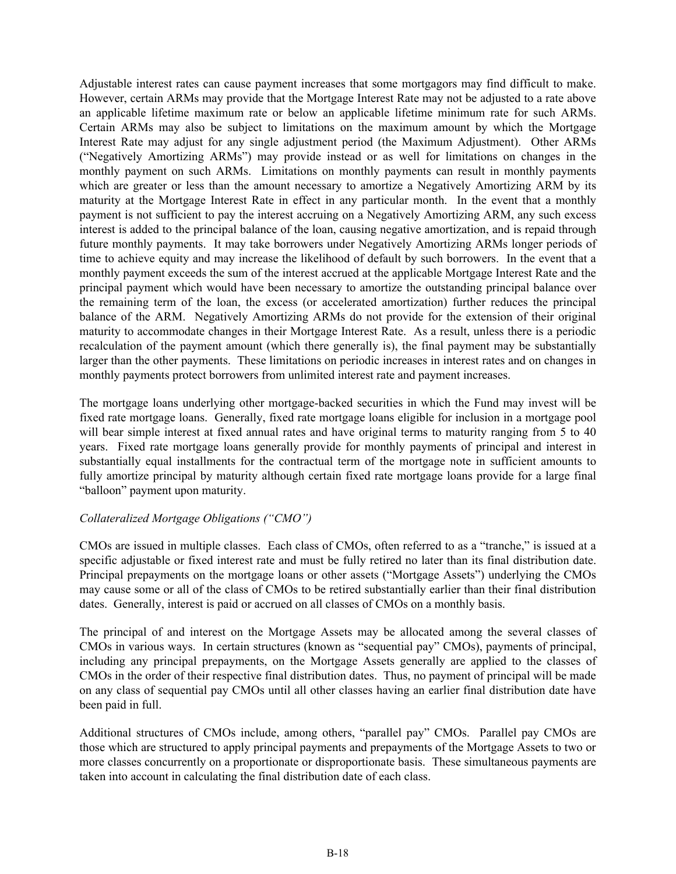Adjustable interest rates can cause payment increases that some mortgagors may find difficult to make. However, certain ARMs may provide that the Mortgage Interest Rate may not be adjusted to a rate above an applicable lifetime maximum rate or below an applicable lifetime minimum rate for such ARMs. Certain ARMs may also be subject to limitations on the maximum amount by which the Mortgage Interest Rate may adjust for any single adjustment period (the Maximum Adjustment). Other ARMs ("Negatively Amortizing ARMs") may provide instead or as well for limitations on changes in the monthly payment on such ARMs. Limitations on monthly payments can result in monthly payments which are greater or less than the amount necessary to amortize a Negatively Amortizing ARM by its maturity at the Mortgage Interest Rate in effect in any particular month. In the event that a monthly payment is not sufficient to pay the interest accruing on a Negatively Amortizing ARM, any such excess interest is added to the principal balance of the loan, causing negative amortization, and is repaid through future monthly payments. It may take borrowers under Negatively Amortizing ARMs longer periods of time to achieve equity and may increase the likelihood of default by such borrowers. In the event that a monthly payment exceeds the sum of the interest accrued at the applicable Mortgage Interest Rate and the principal payment which would have been necessary to amortize the outstanding principal balance over the remaining term of the loan, the excess (or accelerated amortization) further reduces the principal balance of the ARM. Negatively Amortizing ARMs do not provide for the extension of their original maturity to accommodate changes in their Mortgage Interest Rate. As a result, unless there is a periodic recalculation of the payment amount (which there generally is), the final payment may be substantially larger than the other payments. These limitations on periodic increases in interest rates and on changes in monthly payments protect borrowers from unlimited interest rate and payment increases.

The mortgage loans underlying other mortgage-backed securities in which the Fund may invest will be fixed rate mortgage loans. Generally, fixed rate mortgage loans eligible for inclusion in a mortgage pool will bear simple interest at fixed annual rates and have original terms to maturity ranging from 5 to 40 years. Fixed rate mortgage loans generally provide for monthly payments of principal and interest in substantially equal installments for the contractual term of the mortgage note in sufficient amounts to fully amortize principal by maturity although certain fixed rate mortgage loans provide for a large final "balloon" payment upon maturity.

#### *Collateralized Mortgage Obligations ("CMO")*

CMOs are issued in multiple classes. Each class of CMOs, often referred to as a "tranche," is issued at a specific adjustable or fixed interest rate and must be fully retired no later than its final distribution date. Principal prepayments on the mortgage loans or other assets ("Mortgage Assets") underlying the CMOs may cause some or all of the class of CMOs to be retired substantially earlier than their final distribution dates. Generally, interest is paid or accrued on all classes of CMOs on a monthly basis.

The principal of and interest on the Mortgage Assets may be allocated among the several classes of CMOs in various ways. In certain structures (known as "sequential pay" CMOs), payments of principal, including any principal prepayments, on the Mortgage Assets generally are applied to the classes of CMOs in the order of their respective final distribution dates. Thus, no payment of principal will be made on any class of sequential pay CMOs until all other classes having an earlier final distribution date have been paid in full.

Additional structures of CMOs include, among others, "parallel pay" CMOs. Parallel pay CMOs are those which are structured to apply principal payments and prepayments of the Mortgage Assets to two or more classes concurrently on a proportionate or disproportionate basis. These simultaneous payments are taken into account in calculating the final distribution date of each class.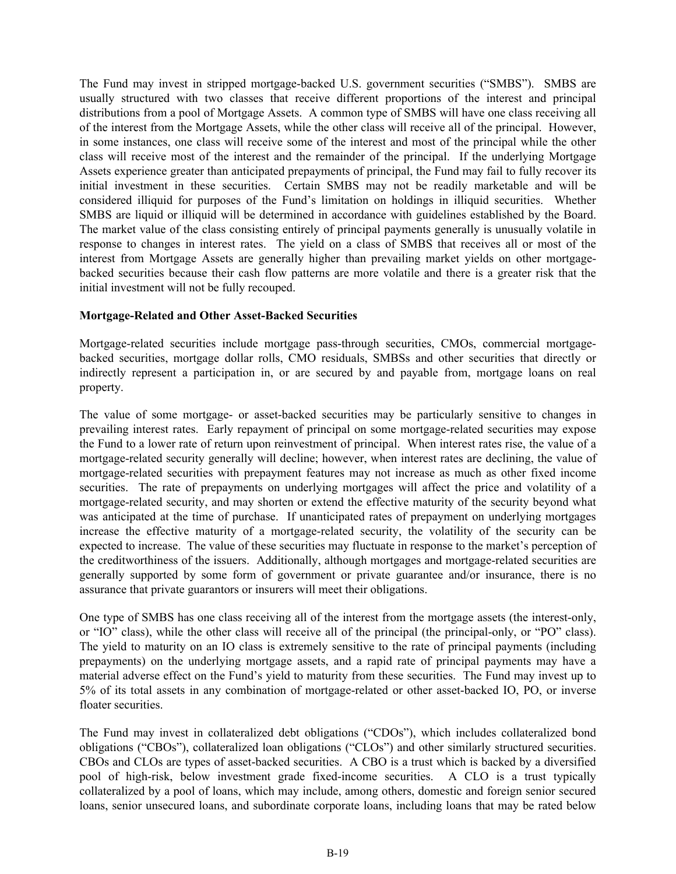The Fund may invest in stripped mortgage-backed U.S. government securities ("SMBS"). SMBS are usually structured with two classes that receive different proportions of the interest and principal distributions from a pool of Mortgage Assets. A common type of SMBS will have one class receiving all of the interest from the Mortgage Assets, while the other class will receive all of the principal. However, in some instances, one class will receive some of the interest and most of the principal while the other class will receive most of the interest and the remainder of the principal. If the underlying Mortgage Assets experience greater than anticipated prepayments of principal, the Fund may fail to fully recover its initial investment in these securities. Certain SMBS may not be readily marketable and will be considered illiquid for purposes of the Fund's limitation on holdings in illiquid securities. Whether SMBS are liquid or illiquid will be determined in accordance with guidelines established by the Board. The market value of the class consisting entirely of principal payments generally is unusually volatile in response to changes in interest rates. The yield on a class of SMBS that receives all or most of the interest from Mortgage Assets are generally higher than prevailing market yields on other mortgagebacked securities because their cash flow patterns are more volatile and there is a greater risk that the initial investment will not be fully recouped.

#### **Mortgage-Related and Other Asset-Backed Securities**

Mortgage-related securities include mortgage pass-through securities, CMOs, commercial mortgagebacked securities, mortgage dollar rolls, CMO residuals, SMBSs and other securities that directly or indirectly represent a participation in, or are secured by and payable from, mortgage loans on real property.

The value of some mortgage- or asset-backed securities may be particularly sensitive to changes in prevailing interest rates. Early repayment of principal on some mortgage-related securities may expose the Fund to a lower rate of return upon reinvestment of principal. When interest rates rise, the value of a mortgage-related security generally will decline; however, when interest rates are declining, the value of mortgage-related securities with prepayment features may not increase as much as other fixed income securities. The rate of prepayments on underlying mortgages will affect the price and volatility of a mortgage-related security, and may shorten or extend the effective maturity of the security beyond what was anticipated at the time of purchase. If unanticipated rates of prepayment on underlying mortgages increase the effective maturity of a mortgage-related security, the volatility of the security can be expected to increase. The value of these securities may fluctuate in response to the market's perception of the creditworthiness of the issuers. Additionally, although mortgages and mortgage-related securities are generally supported by some form of government or private guarantee and/or insurance, there is no assurance that private guarantors or insurers will meet their obligations.

One type of SMBS has one class receiving all of the interest from the mortgage assets (the interest-only, or "IO" class), while the other class will receive all of the principal (the principal-only, or "PO" class). The yield to maturity on an IO class is extremely sensitive to the rate of principal payments (including prepayments) on the underlying mortgage assets, and a rapid rate of principal payments may have a material adverse effect on the Fund's yield to maturity from these securities. The Fund may invest up to 5% of its total assets in any combination of mortgage-related or other asset-backed IO, PO, or inverse floater securities.

The Fund may invest in collateralized debt obligations ("CDOs"), which includes collateralized bond obligations ("CBOs"), collateralized loan obligations ("CLOs") and other similarly structured securities. CBOs and CLOs are types of asset-backed securities. A CBO is a trust which is backed by a diversified pool of high-risk, below investment grade fixed-income securities. A CLO is a trust typically collateralized by a pool of loans, which may include, among others, domestic and foreign senior secured loans, senior unsecured loans, and subordinate corporate loans, including loans that may be rated below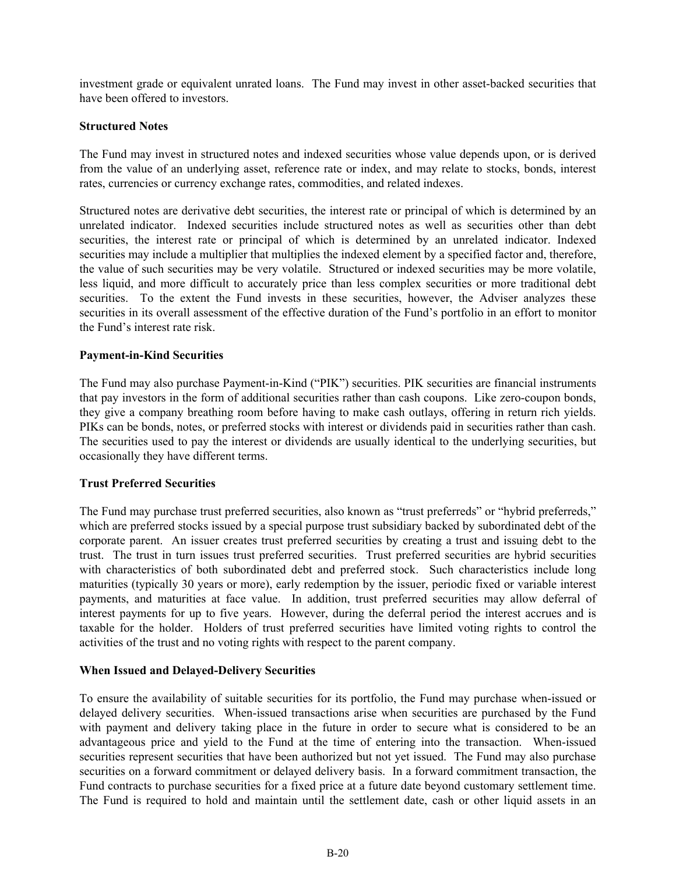investment grade or equivalent unrated loans. The Fund may invest in other asset-backed securities that have been offered to investors.

#### **Structured Notes**

The Fund may invest in structured notes and indexed securities whose value depends upon, or is derived from the value of an underlying asset, reference rate or index, and may relate to stocks, bonds, interest rates, currencies or currency exchange rates, commodities, and related indexes.

Structured notes are derivative debt securities, the interest rate or principal of which is determined by an unrelated indicator. Indexed securities include structured notes as well as securities other than debt securities, the interest rate or principal of which is determined by an unrelated indicator. Indexed securities may include a multiplier that multiplies the indexed element by a specified factor and, therefore, the value of such securities may be very volatile. Structured or indexed securities may be more volatile, less liquid, and more difficult to accurately price than less complex securities or more traditional debt securities. To the extent the Fund invests in these securities, however, the Adviser analyzes these securities in its overall assessment of the effective duration of the Fund's portfolio in an effort to monitor the Fund's interest rate risk.

#### **Payment-in-Kind Securities**

The Fund may also purchase Payment-in-Kind ("PIK") securities. PIK securities are financial instruments that pay investors in the form of additional securities rather than cash coupons. Like zero-coupon bonds, they give a company breathing room before having to make cash outlays, offering in return rich yields. PIKs can be bonds, notes, or preferred stocks with interest or dividends paid in securities rather than cash. The securities used to pay the interest or dividends are usually identical to the underlying securities, but occasionally they have different terms.

#### **Trust Preferred Securities**

The Fund may purchase trust preferred securities, also known as "trust preferreds" or "hybrid preferreds," which are preferred stocks issued by a special purpose trust subsidiary backed by subordinated debt of the corporate parent. An issuer creates trust preferred securities by creating a trust and issuing debt to the trust. The trust in turn issues trust preferred securities. Trust preferred securities are hybrid securities with characteristics of both subordinated debt and preferred stock. Such characteristics include long maturities (typically 30 years or more), early redemption by the issuer, periodic fixed or variable interest payments, and maturities at face value. In addition, trust preferred securities may allow deferral of interest payments for up to five years. However, during the deferral period the interest accrues and is taxable for the holder. Holders of trust preferred securities have limited voting rights to control the activities of the trust and no voting rights with respect to the parent company.

#### **When Issued and Delayed-Delivery Securities**

To ensure the availability of suitable securities for its portfolio, the Fund may purchase when-issued or delayed delivery securities. When-issued transactions arise when securities are purchased by the Fund with payment and delivery taking place in the future in order to secure what is considered to be an advantageous price and yield to the Fund at the time of entering into the transaction. When-issued securities represent securities that have been authorized but not yet issued. The Fund may also purchase securities on a forward commitment or delayed delivery basis. In a forward commitment transaction, the Fund contracts to purchase securities for a fixed price at a future date beyond customary settlement time. The Fund is required to hold and maintain until the settlement date, cash or other liquid assets in an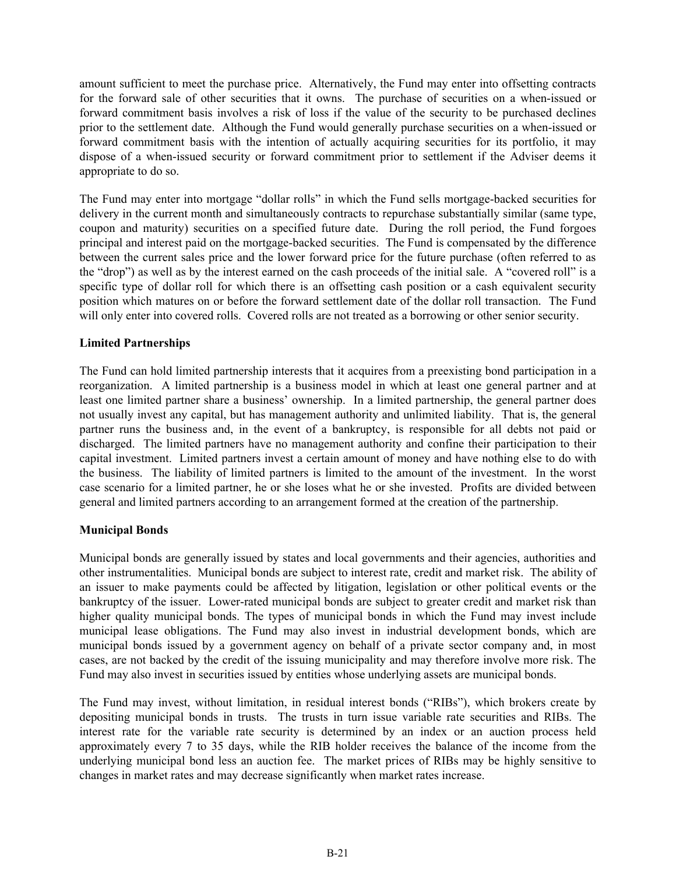amount sufficient to meet the purchase price. Alternatively, the Fund may enter into offsetting contracts for the forward sale of other securities that it owns. The purchase of securities on a when-issued or forward commitment basis involves a risk of loss if the value of the security to be purchased declines prior to the settlement date. Although the Fund would generally purchase securities on a when-issued or forward commitment basis with the intention of actually acquiring securities for its portfolio, it may dispose of a when-issued security or forward commitment prior to settlement if the Adviser deems it appropriate to do so.

The Fund may enter into mortgage "dollar rolls" in which the Fund sells mortgage-backed securities for delivery in the current month and simultaneously contracts to repurchase substantially similar (same type, coupon and maturity) securities on a specified future date. During the roll period, the Fund forgoes principal and interest paid on the mortgage-backed securities. The Fund is compensated by the difference between the current sales price and the lower forward price for the future purchase (often referred to as the "drop") as well as by the interest earned on the cash proceeds of the initial sale. A "covered roll" is a specific type of dollar roll for which there is an offsetting cash position or a cash equivalent security position which matures on or before the forward settlement date of the dollar roll transaction. The Fund will only enter into covered rolls. Covered rolls are not treated as a borrowing or other senior security.

### **Limited Partnerships**

The Fund can hold limited partnership interests that it acquires from a preexisting bond participation in a reorganization. A limited partnership is a business model in which at least one general partner and at least one limited partner share a business' ownership. In a limited partnership, the general partner does not usually invest any capital, but has management authority and unlimited liability. That is, the general partner runs the business and, in the event of a bankruptcy, is responsible for all debts not paid or discharged. The limited partners have no management authority and confine their participation to their capital investment. Limited partners invest a certain amount of money and have nothing else to do with the business. The liability of limited partners is limited to the amount of the investment. In the worst case scenario for a limited partner, he or she loses what he or she invested. Profits are divided between general and limited partners according to an arrangement formed at the creation of the partnership.

#### **Municipal Bonds**

Municipal bonds are generally issued by states and local governments and their agencies, authorities and other instrumentalities. Municipal bonds are subject to interest rate, credit and market risk. The ability of an issuer to make payments could be affected by litigation, legislation or other political events or the bankruptcy of the issuer. Lower-rated municipal bonds are subject to greater credit and market risk than higher quality municipal bonds. The types of municipal bonds in which the Fund may invest include municipal lease obligations. The Fund may also invest in industrial development bonds, which are municipal bonds issued by a government agency on behalf of a private sector company and, in most cases, are not backed by the credit of the issuing municipality and may therefore involve more risk. The Fund may also invest in securities issued by entities whose underlying assets are municipal bonds.

The Fund may invest, without limitation, in residual interest bonds ("RIBs"), which brokers create by depositing municipal bonds in trusts. The trusts in turn issue variable rate securities and RIBs. The interest rate for the variable rate security is determined by an index or an auction process held approximately every 7 to 35 days, while the RIB holder receives the balance of the income from the underlying municipal bond less an auction fee. The market prices of RIBs may be highly sensitive to changes in market rates and may decrease significantly when market rates increase.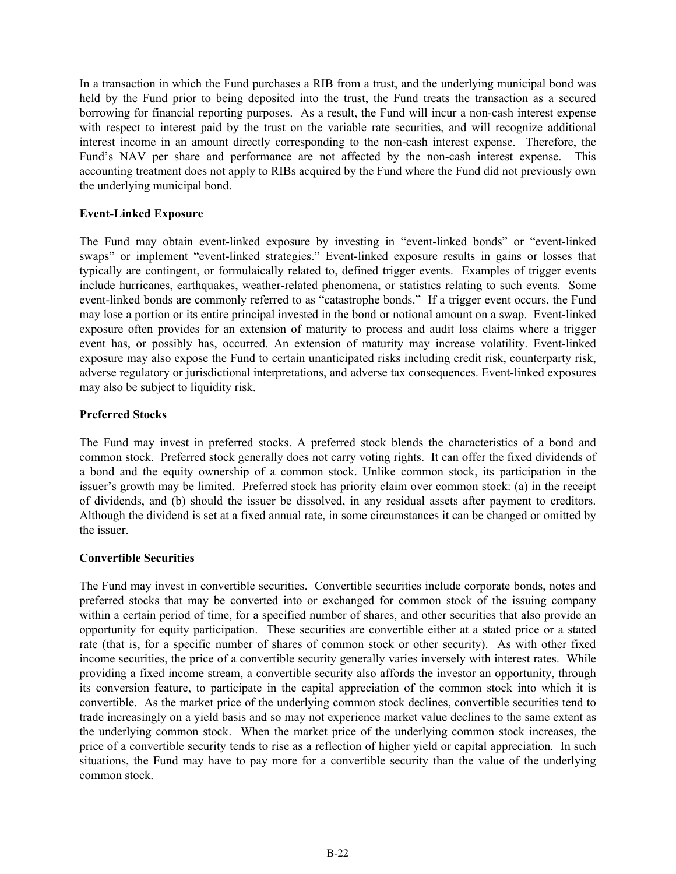In a transaction in which the Fund purchases a RIB from a trust, and the underlying municipal bond was held by the Fund prior to being deposited into the trust, the Fund treats the transaction as a secured borrowing for financial reporting purposes. As a result, the Fund will incur a non-cash interest expense with respect to interest paid by the trust on the variable rate securities, and will recognize additional interest income in an amount directly corresponding to the non-cash interest expense. Therefore, the Fund's NAV per share and performance are not affected by the non-cash interest expense. This accounting treatment does not apply to RIBs acquired by the Fund where the Fund did not previously own the underlying municipal bond.

#### **Event-Linked Exposure**

The Fund may obtain event-linked exposure by investing in "event-linked bonds" or "event-linked swaps" or implement "event-linked strategies." Event-linked exposure results in gains or losses that typically are contingent, or formulaically related to, defined trigger events. Examples of trigger events include hurricanes, earthquakes, weather-related phenomena, or statistics relating to such events. Some event-linked bonds are commonly referred to as "catastrophe bonds." If a trigger event occurs, the Fund may lose a portion or its entire principal invested in the bond or notional amount on a swap. Event-linked exposure often provides for an extension of maturity to process and audit loss claims where a trigger event has, or possibly has, occurred. An extension of maturity may increase volatility. Event-linked exposure may also expose the Fund to certain unanticipated risks including credit risk, counterparty risk, adverse regulatory or jurisdictional interpretations, and adverse tax consequences. Event-linked exposures may also be subject to liquidity risk.

#### **Preferred Stocks**

The Fund may invest in preferred stocks. A preferred stock blends the characteristics of a bond and common stock. Preferred stock generally does not carry voting rights. It can offer the fixed dividends of a bond and the equity ownership of a common stock. Unlike common stock, its participation in the issuer's growth may be limited. Preferred stock has priority claim over common stock: (a) in the receipt of dividends, and (b) should the issuer be dissolved, in any residual assets after payment to creditors. Although the dividend is set at a fixed annual rate, in some circumstances it can be changed or omitted by the issuer.

#### **Convertible Securities**

The Fund may invest in convertible securities. Convertible securities include corporate bonds, notes and preferred stocks that may be converted into or exchanged for common stock of the issuing company within a certain period of time, for a specified number of shares, and other securities that also provide an opportunity for equity participation. These securities are convertible either at a stated price or a stated rate (that is, for a specific number of shares of common stock or other security). As with other fixed income securities, the price of a convertible security generally varies inversely with interest rates. While providing a fixed income stream, a convertible security also affords the investor an opportunity, through its conversion feature, to participate in the capital appreciation of the common stock into which it is convertible. As the market price of the underlying common stock declines, convertible securities tend to trade increasingly on a yield basis and so may not experience market value declines to the same extent as the underlying common stock. When the market price of the underlying common stock increases, the price of a convertible security tends to rise as a reflection of higher yield or capital appreciation. In such situations, the Fund may have to pay more for a convertible security than the value of the underlying common stock.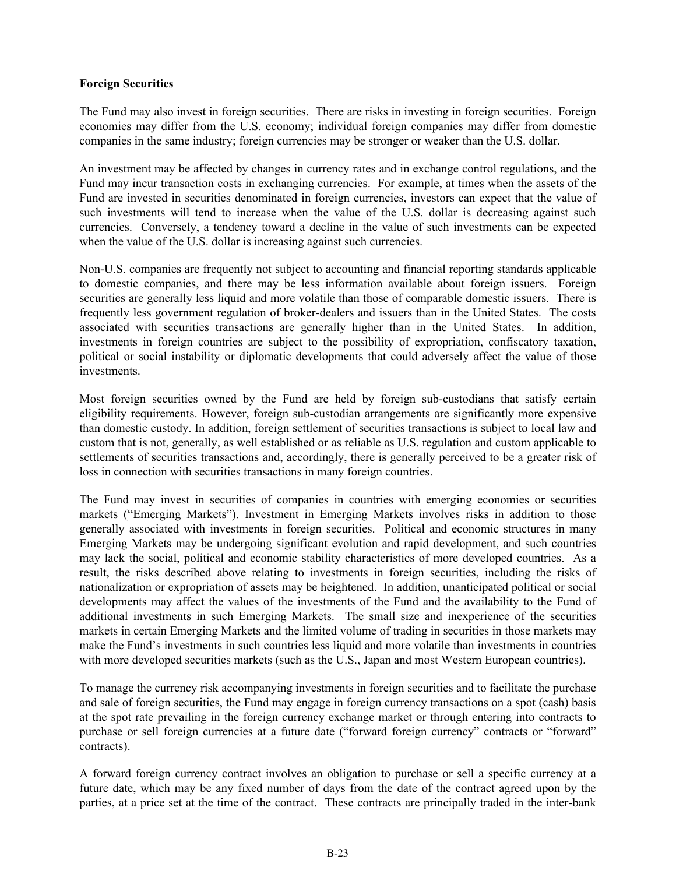#### **Foreign Securities**

The Fund may also invest in foreign securities. There are risks in investing in foreign securities. Foreign economies may differ from the U.S. economy; individual foreign companies may differ from domestic companies in the same industry; foreign currencies may be stronger or weaker than the U.S. dollar.

An investment may be affected by changes in currency rates and in exchange control regulations, and the Fund may incur transaction costs in exchanging currencies. For example, at times when the assets of the Fund are invested in securities denominated in foreign currencies, investors can expect that the value of such investments will tend to increase when the value of the U.S. dollar is decreasing against such currencies. Conversely, a tendency toward a decline in the value of such investments can be expected when the value of the U.S. dollar is increasing against such currencies.

Non-U.S. companies are frequently not subject to accounting and financial reporting standards applicable to domestic companies, and there may be less information available about foreign issuers. Foreign securities are generally less liquid and more volatile than those of comparable domestic issuers. There is frequently less government regulation of broker-dealers and issuers than in the United States. The costs associated with securities transactions are generally higher than in the United States. In addition, investments in foreign countries are subject to the possibility of expropriation, confiscatory taxation, political or social instability or diplomatic developments that could adversely affect the value of those investments.

Most foreign securities owned by the Fund are held by foreign sub-custodians that satisfy certain eligibility requirements. However, foreign sub-custodian arrangements are significantly more expensive than domestic custody. In addition, foreign settlement of securities transactions is subject to local law and custom that is not, generally, as well established or as reliable as U.S. regulation and custom applicable to settlements of securities transactions and, accordingly, there is generally perceived to be a greater risk of loss in connection with securities transactions in many foreign countries.

The Fund may invest in securities of companies in countries with emerging economies or securities markets ("Emerging Markets"). Investment in Emerging Markets involves risks in addition to those generally associated with investments in foreign securities. Political and economic structures in many Emerging Markets may be undergoing significant evolution and rapid development, and such countries may lack the social, political and economic stability characteristics of more developed countries. As a result, the risks described above relating to investments in foreign securities, including the risks of nationalization or expropriation of assets may be heightened. In addition, unanticipated political or social developments may affect the values of the investments of the Fund and the availability to the Fund of additional investments in such Emerging Markets. The small size and inexperience of the securities markets in certain Emerging Markets and the limited volume of trading in securities in those markets may make the Fund's investments in such countries less liquid and more volatile than investments in countries with more developed securities markets (such as the U.S., Japan and most Western European countries).

To manage the currency risk accompanying investments in foreign securities and to facilitate the purchase and sale of foreign securities, the Fund may engage in foreign currency transactions on a spot (cash) basis at the spot rate prevailing in the foreign currency exchange market or through entering into contracts to purchase or sell foreign currencies at a future date ("forward foreign currency" contracts or "forward" contracts).

A forward foreign currency contract involves an obligation to purchase or sell a specific currency at a future date, which may be any fixed number of days from the date of the contract agreed upon by the parties, at a price set at the time of the contract. These contracts are principally traded in the inter-bank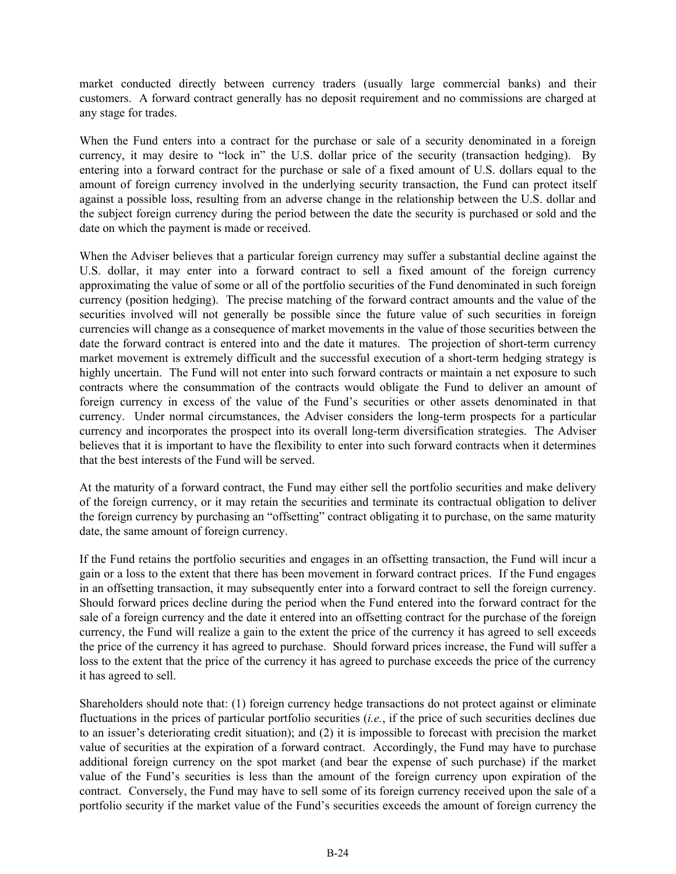market conducted directly between currency traders (usually large commercial banks) and their customers. A forward contract generally has no deposit requirement and no commissions are charged at any stage for trades.

When the Fund enters into a contract for the purchase or sale of a security denominated in a foreign currency, it may desire to "lock in" the U.S. dollar price of the security (transaction hedging). By entering into a forward contract for the purchase or sale of a fixed amount of U.S. dollars equal to the amount of foreign currency involved in the underlying security transaction, the Fund can protect itself against a possible loss, resulting from an adverse change in the relationship between the U.S. dollar and the subject foreign currency during the period between the date the security is purchased or sold and the date on which the payment is made or received.

When the Adviser believes that a particular foreign currency may suffer a substantial decline against the U.S. dollar, it may enter into a forward contract to sell a fixed amount of the foreign currency approximating the value of some or all of the portfolio securities of the Fund denominated in such foreign currency (position hedging). The precise matching of the forward contract amounts and the value of the securities involved will not generally be possible since the future value of such securities in foreign currencies will change as a consequence of market movements in the value of those securities between the date the forward contract is entered into and the date it matures. The projection of short-term currency market movement is extremely difficult and the successful execution of a short-term hedging strategy is highly uncertain. The Fund will not enter into such forward contracts or maintain a net exposure to such contracts where the consummation of the contracts would obligate the Fund to deliver an amount of foreign currency in excess of the value of the Fund's securities or other assets denominated in that currency. Under normal circumstances, the Adviser considers the long-term prospects for a particular currency and incorporates the prospect into its overall long-term diversification strategies. The Adviser believes that it is important to have the flexibility to enter into such forward contracts when it determines that the best interests of the Fund will be served.

At the maturity of a forward contract, the Fund may either sell the portfolio securities and make delivery of the foreign currency, or it may retain the securities and terminate its contractual obligation to deliver the foreign currency by purchasing an "offsetting" contract obligating it to purchase, on the same maturity date, the same amount of foreign currency.

If the Fund retains the portfolio securities and engages in an offsetting transaction, the Fund will incur a gain or a loss to the extent that there has been movement in forward contract prices. If the Fund engages in an offsetting transaction, it may subsequently enter into a forward contract to sell the foreign currency. Should forward prices decline during the period when the Fund entered into the forward contract for the sale of a foreign currency and the date it entered into an offsetting contract for the purchase of the foreign currency, the Fund will realize a gain to the extent the price of the currency it has agreed to sell exceeds the price of the currency it has agreed to purchase. Should forward prices increase, the Fund will suffer a loss to the extent that the price of the currency it has agreed to purchase exceeds the price of the currency it has agreed to sell.

Shareholders should note that: (1) foreign currency hedge transactions do not protect against or eliminate fluctuations in the prices of particular portfolio securities (*i.e.*, if the price of such securities declines due to an issuer's deteriorating credit situation); and (2) it is impossible to forecast with precision the market value of securities at the expiration of a forward contract. Accordingly, the Fund may have to purchase additional foreign currency on the spot market (and bear the expense of such purchase) if the market value of the Fund's securities is less than the amount of the foreign currency upon expiration of the contract. Conversely, the Fund may have to sell some of its foreign currency received upon the sale of a portfolio security if the market value of the Fund's securities exceeds the amount of foreign currency the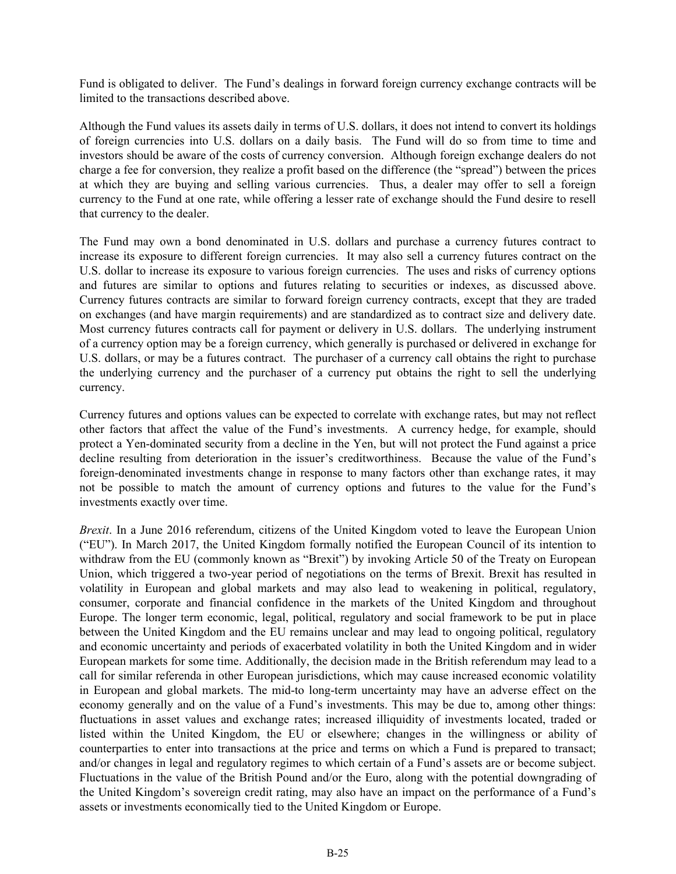Fund is obligated to deliver. The Fund's dealings in forward foreign currency exchange contracts will be limited to the transactions described above.

Although the Fund values its assets daily in terms of U.S. dollars, it does not intend to convert its holdings of foreign currencies into U.S. dollars on a daily basis. The Fund will do so from time to time and investors should be aware of the costs of currency conversion. Although foreign exchange dealers do not charge a fee for conversion, they realize a profit based on the difference (the "spread") between the prices at which they are buying and selling various currencies. Thus, a dealer may offer to sell a foreign currency to the Fund at one rate, while offering a lesser rate of exchange should the Fund desire to resell that currency to the dealer.

The Fund may own a bond denominated in U.S. dollars and purchase a currency futures contract to increase its exposure to different foreign currencies. It may also sell a currency futures contract on the U.S. dollar to increase its exposure to various foreign currencies. The uses and risks of currency options and futures are similar to options and futures relating to securities or indexes, as discussed above. Currency futures contracts are similar to forward foreign currency contracts, except that they are traded on exchanges (and have margin requirements) and are standardized as to contract size and delivery date. Most currency futures contracts call for payment or delivery in U.S. dollars. The underlying instrument of a currency option may be a foreign currency, which generally is purchased or delivered in exchange for U.S. dollars, or may be a futures contract. The purchaser of a currency call obtains the right to purchase the underlying currency and the purchaser of a currency put obtains the right to sell the underlying currency.

Currency futures and options values can be expected to correlate with exchange rates, but may not reflect other factors that affect the value of the Fund's investments. A currency hedge, for example, should protect a Yen-dominated security from a decline in the Yen, but will not protect the Fund against a price decline resulting from deterioration in the issuer's creditworthiness. Because the value of the Fund's foreign-denominated investments change in response to many factors other than exchange rates, it may not be possible to match the amount of currency options and futures to the value for the Fund's investments exactly over time.

*Brexit*. In a June 2016 referendum, citizens of the United Kingdom voted to leave the European Union ("EU"). In March 2017, the United Kingdom formally notified the European Council of its intention to withdraw from the EU (commonly known as "Brexit") by invoking Article 50 of the Treaty on European Union, which triggered a two-year period of negotiations on the terms of Brexit. Brexit has resulted in volatility in European and global markets and may also lead to weakening in political, regulatory, consumer, corporate and financial confidence in the markets of the United Kingdom and throughout Europe. The longer term economic, legal, political, regulatory and social framework to be put in place between the United Kingdom and the EU remains unclear and may lead to ongoing political, regulatory and economic uncertainty and periods of exacerbated volatility in both the United Kingdom and in wider European markets for some time. Additionally, the decision made in the British referendum may lead to a call for similar referenda in other European jurisdictions, which may cause increased economic volatility in European and global markets. The mid-to long-term uncertainty may have an adverse effect on the economy generally and on the value of a Fund's investments. This may be due to, among other things: fluctuations in asset values and exchange rates; increased illiquidity of investments located, traded or listed within the United Kingdom, the EU or elsewhere; changes in the willingness or ability of counterparties to enter into transactions at the price and terms on which a Fund is prepared to transact; and/or changes in legal and regulatory regimes to which certain of a Fund's assets are or become subject. Fluctuations in the value of the British Pound and/or the Euro, along with the potential downgrading of the United Kingdom's sovereign credit rating, may also have an impact on the performance of a Fund's assets or investments economically tied to the United Kingdom or Europe.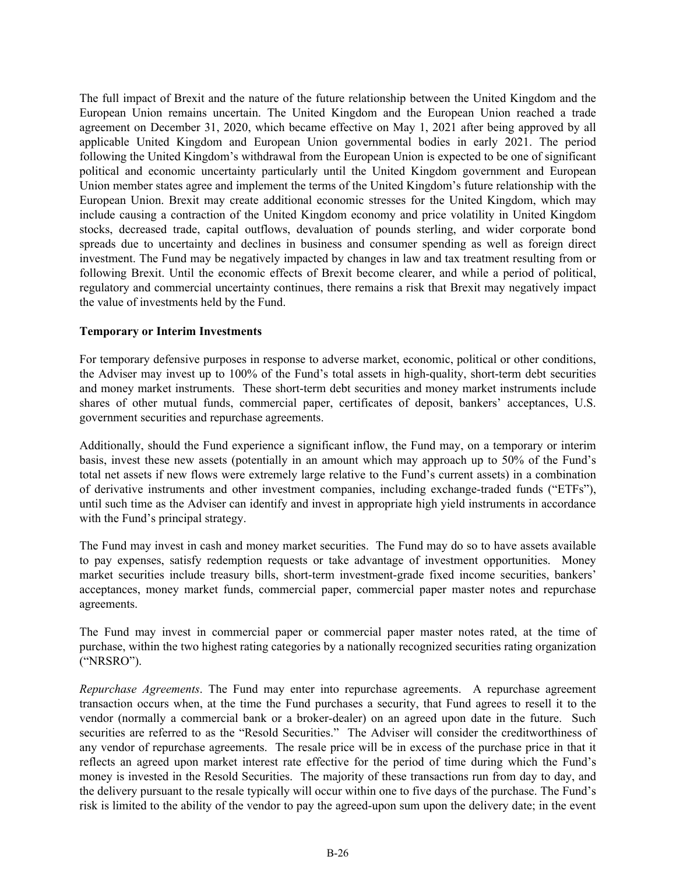The full impact of Brexit and the nature of the future relationship between the United Kingdom and the European Union remains uncertain. The United Kingdom and the European Union reached a trade agreement on December 31, 2020, which became effective on May 1, 2021 after being approved by all applicable United Kingdom and European Union governmental bodies in early 2021. The period following the United Kingdom's withdrawal from the European Union is expected to be one of significant political and economic uncertainty particularly until the United Kingdom government and European Union member states agree and implement the terms of the United Kingdom's future relationship with the European Union. Brexit may create additional economic stresses for the United Kingdom, which may include causing a contraction of the United Kingdom economy and price volatility in United Kingdom stocks, decreased trade, capital outflows, devaluation of pounds sterling, and wider corporate bond spreads due to uncertainty and declines in business and consumer spending as well as foreign direct investment. The Fund may be negatively impacted by changes in law and tax treatment resulting from or following Brexit. Until the economic effects of Brexit become clearer, and while a period of political, regulatory and commercial uncertainty continues, there remains a risk that Brexit may negatively impact the value of investments held by the Fund.

#### **Temporary or Interim Investments**

For temporary defensive purposes in response to adverse market, economic, political or other conditions, the Adviser may invest up to 100% of the Fund's total assets in high-quality, short-term debt securities and money market instruments. These short-term debt securities and money market instruments include shares of other mutual funds, commercial paper, certificates of deposit, bankers' acceptances, U.S. government securities and repurchase agreements.

Additionally, should the Fund experience a significant inflow, the Fund may, on a temporary or interim basis, invest these new assets (potentially in an amount which may approach up to 50% of the Fund's total net assets if new flows were extremely large relative to the Fund's current assets) in a combination of derivative instruments and other investment companies, including exchange-traded funds ("ETFs"), until such time as the Adviser can identify and invest in appropriate high yield instruments in accordance with the Fund's principal strategy.

The Fund may invest in cash and money market securities. The Fund may do so to have assets available to pay expenses, satisfy redemption requests or take advantage of investment opportunities. Money market securities include treasury bills, short-term investment-grade fixed income securities, bankers' acceptances, money market funds, commercial paper, commercial paper master notes and repurchase agreements.

The Fund may invest in commercial paper or commercial paper master notes rated, at the time of purchase, within the two highest rating categories by a nationally recognized securities rating organization ("NRSRO").

*Repurchase Agreements*. The Fund may enter into repurchase agreements. A repurchase agreement transaction occurs when, at the time the Fund purchases a security, that Fund agrees to resell it to the vendor (normally a commercial bank or a broker-dealer) on an agreed upon date in the future. Such securities are referred to as the "Resold Securities." The Adviser will consider the creditworthiness of any vendor of repurchase agreements. The resale price will be in excess of the purchase price in that it reflects an agreed upon market interest rate effective for the period of time during which the Fund's money is invested in the Resold Securities. The majority of these transactions run from day to day, and the delivery pursuant to the resale typically will occur within one to five days of the purchase. The Fund's risk is limited to the ability of the vendor to pay the agreed-upon sum upon the delivery date; in the event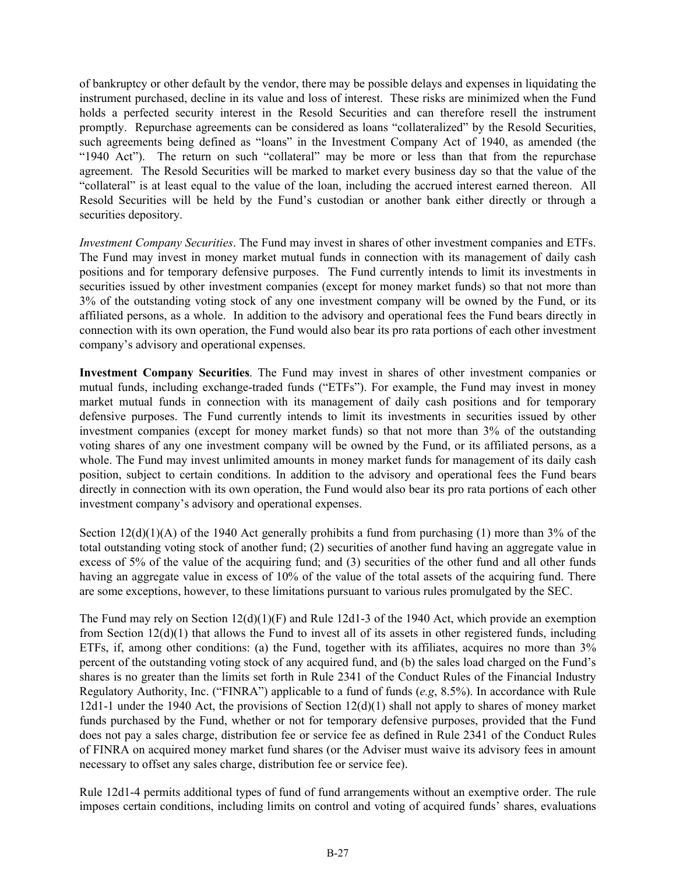of bankruptcy or other default by the vendor, there may be possible delays and expenses in liquidating the instrument purchased, decline in its value and loss of interest. These risks are minimized when the Fund holds a perfected security interest in the Resold Securities and can therefore resell the instrument promptly. Repurchase agreements can be considered as loans "collateralized" by the Resold Securities, such agreements being defined as "loans" in the Investment Company Act of 1940, as amended (the "1940 Act"). The return on such "collateral" may be more or less than that from the repurchase agreement. The Resold Securities will be marked to market every business day so that the value of the "collateral" is at least equal to the value of the loan, including the accrued interest earned thereon. All Resold Securities will be held by the Fund's custodian or another bank either directly or through a securities depository.

*Investment Company Securities*. The Fund may invest in shares of other investment companies and ETFs. The Fund may invest in money market mutual funds in connection with its management of daily cash positions and for temporary defensive purposes. The Fund currently intends to limit its investments in securities issued by other investment companies (except for money market funds) so that not more than 3% of the outstanding voting stock of any one investment company will be owned by the Fund, or its affiliated persons, as a whole. In addition to the advisory and operational fees the Fund bears directly in connection with its own operation, the Fund would also bear its pro rata portions of each other investment company's advisory and operational expenses.

**Investment Company Securities**. The Fund may invest in shares of other investment companies or mutual funds, including exchange-traded funds ("ETFs"). For example, the Fund may invest in money market mutual funds in connection with its management of daily cash positions and for temporary defensive purposes. The Fund currently intends to limit its investments in securities issued by other investment companies (except for money market funds) so that not more than 3% of the outstanding voting shares of any one investment company will be owned by the Fund, or its affiliated persons, as a whole. The Fund may invest unlimited amounts in money market funds for management of its daily cash position, subject to certain conditions. In addition to the advisory and operational fees the Fund bears directly in connection with its own operation, the Fund would also bear its pro rata portions of each other investment company's advisory and operational expenses.

Section  $12(d)(1)(A)$  of the 1940 Act generally prohibits a fund from purchasing (1) more than 3% of the total outstanding voting stock of another fund; (2) securities of another fund having an aggregate value in excess of 5% of the value of the acquiring fund; and (3) securities of the other fund and all other funds having an aggregate value in excess of 10% of the value of the total assets of the acquiring fund. There are some exceptions, however, to these limitations pursuant to various rules promulgated by the SEC.

The Fund may rely on Section 12(d)(1)(F) and Rule 12d1-3 of the 1940 Act, which provide an exemption from Section 12(d)(1) that allows the Fund to invest all of its assets in other registered funds, including ETFs, if, among other conditions: (a) the Fund, together with its affiliates, acquires no more than 3% percent of the outstanding voting stock of any acquired fund, and (b) the sales load charged on the Fund's shares is no greater than the limits set forth in Rule 2341 of the Conduct Rules of the Financial Industry Regulatory Authority, Inc. ("FINRA") applicable to a fund of funds (*e.g*, 8.5%). In accordance with Rule 12d1-1 under the 1940 Act, the provisions of Section 12(d)(1) shall not apply to shares of money market funds purchased by the Fund, whether or not for temporary defensive purposes, provided that the Fund does not pay a sales charge, distribution fee or service fee as defined in Rule 2341 of the Conduct Rules of FINRA on acquired money market fund shares (or the Adviser must waive its advisory fees in amount necessary to offset any sales charge, distribution fee or service fee).

Rule 12d1-4 permits additional types of fund of fund arrangements without an exemptive order. The rule imposes certain conditions, including limits on control and voting of acquired funds' shares, evaluations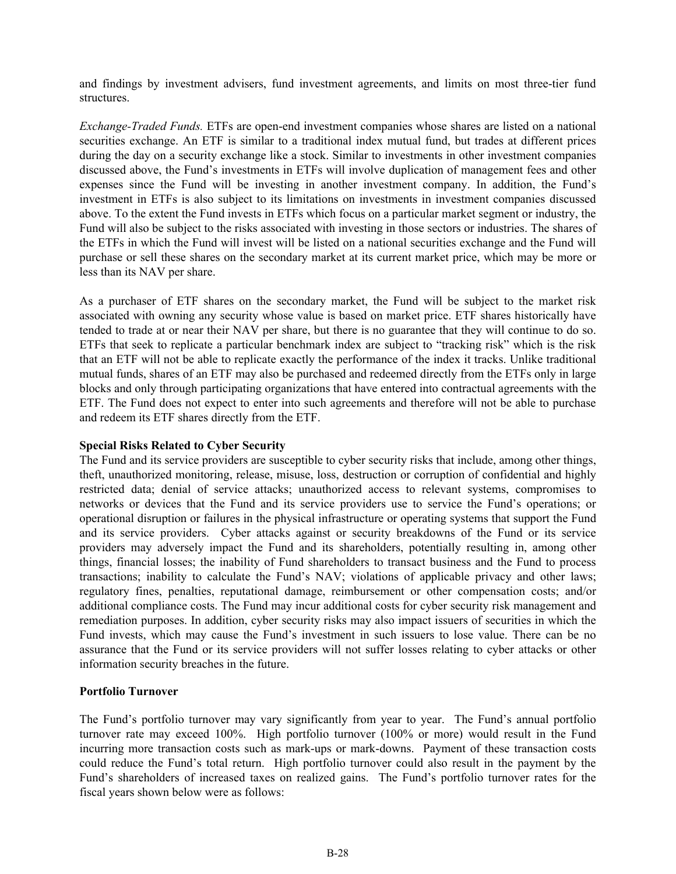and findings by investment advisers, fund investment agreements, and limits on most three-tier fund structures.

*Exchange-Traded Funds.* ETFs are open-end investment companies whose shares are listed on a national securities exchange. An ETF is similar to a traditional index mutual fund, but trades at different prices during the day on a security exchange like a stock. Similar to investments in other investment companies discussed above, the Fund's investments in ETFs will involve duplication of management fees and other expenses since the Fund will be investing in another investment company. In addition, the Fund's investment in ETFs is also subject to its limitations on investments in investment companies discussed above. To the extent the Fund invests in ETFs which focus on a particular market segment or industry, the Fund will also be subject to the risks associated with investing in those sectors or industries. The shares of the ETFs in which the Fund will invest will be listed on a national securities exchange and the Fund will purchase or sell these shares on the secondary market at its current market price, which may be more or less than its NAV per share.

As a purchaser of ETF shares on the secondary market, the Fund will be subject to the market risk associated with owning any security whose value is based on market price. ETF shares historically have tended to trade at or near their NAV per share, but there is no guarantee that they will continue to do so. ETFs that seek to replicate a particular benchmark index are subject to "tracking risk" which is the risk that an ETF will not be able to replicate exactly the performance of the index it tracks. Unlike traditional mutual funds, shares of an ETF may also be purchased and redeemed directly from the ETFs only in large blocks and only through participating organizations that have entered into contractual agreements with the ETF. The Fund does not expect to enter into such agreements and therefore will not be able to purchase and redeem its ETF shares directly from the ETF.

#### **Special Risks Related to Cyber Security**

The Fund and its service providers are susceptible to cyber security risks that include, among other things, theft, unauthorized monitoring, release, misuse, loss, destruction or corruption of confidential and highly restricted data; denial of service attacks; unauthorized access to relevant systems, compromises to networks or devices that the Fund and its service providers use to service the Fund's operations; or operational disruption or failures in the physical infrastructure or operating systems that support the Fund and its service providers. Cyber attacks against or security breakdowns of the Fund or its service providers may adversely impact the Fund and its shareholders, potentially resulting in, among other things, financial losses; the inability of Fund shareholders to transact business and the Fund to process transactions; inability to calculate the Fund's NAV; violations of applicable privacy and other laws; regulatory fines, penalties, reputational damage, reimbursement or other compensation costs; and/or additional compliance costs. The Fund may incur additional costs for cyber security risk management and remediation purposes. In addition, cyber security risks may also impact issuers of securities in which the Fund invests, which may cause the Fund's investment in such issuers to lose value. There can be no assurance that the Fund or its service providers will not suffer losses relating to cyber attacks or other information security breaches in the future.

### **Portfolio Turnover**

The Fund's portfolio turnover may vary significantly from year to year. The Fund's annual portfolio turnover rate may exceed 100%. High portfolio turnover (100% or more) would result in the Fund incurring more transaction costs such as mark-ups or mark-downs. Payment of these transaction costs could reduce the Fund's total return. High portfolio turnover could also result in the payment by the Fund's shareholders of increased taxes on realized gains. The Fund's portfolio turnover rates for the fiscal years shown below were as follows: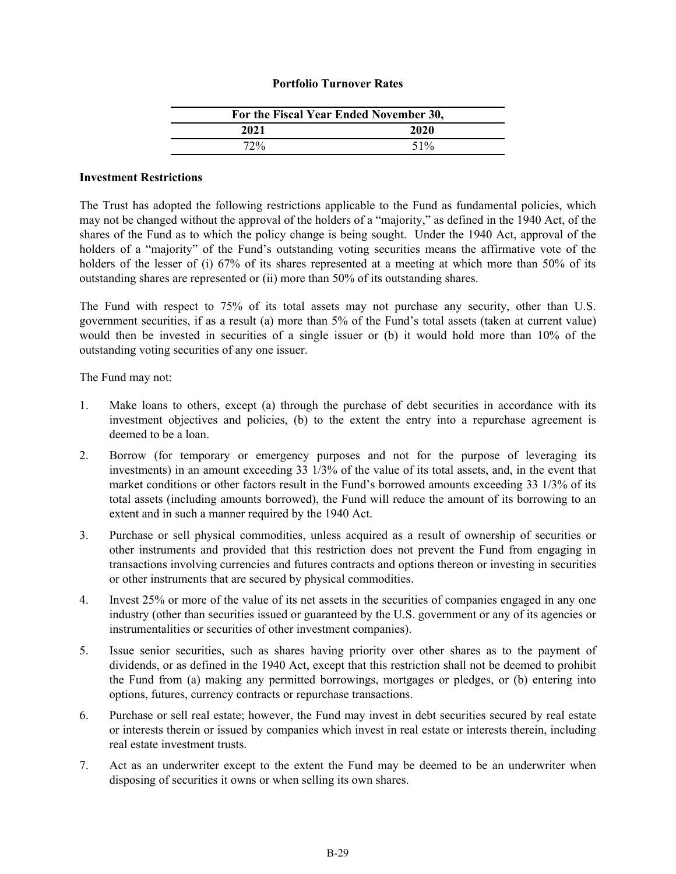#### **Portfolio Turnover Rates**

| For the Fiscal Year Ended November 30, |        |  |
|----------------------------------------|--------|--|
| 2021                                   | 2020   |  |
| 72%                                    | $51\%$ |  |

#### **Investment Restrictions**

The Trust has adopted the following restrictions applicable to the Fund as fundamental policies, which may not be changed without the approval of the holders of a "majority," as defined in the 1940 Act, of the shares of the Fund as to which the policy change is being sought. Under the 1940 Act, approval of the holders of a "majority" of the Fund's outstanding voting securities means the affirmative vote of the holders of the lesser of (i) 67% of its shares represented at a meeting at which more than 50% of its outstanding shares are represented or (ii) more than 50% of its outstanding shares.

The Fund with respect to 75% of its total assets may not purchase any security, other than U.S. government securities, if as a result (a) more than 5% of the Fund's total assets (taken at current value) would then be invested in securities of a single issuer or (b) it would hold more than 10% of the outstanding voting securities of any one issuer.

The Fund may not:

- 1. Make loans to others, except (a) through the purchase of debt securities in accordance with its investment objectives and policies, (b) to the extent the entry into a repurchase agreement is deemed to be a loan.
- 2. Borrow (for temporary or emergency purposes and not for the purpose of leveraging its investments) in an amount exceeding 33 1/3% of the value of its total assets, and, in the event that market conditions or other factors result in the Fund's borrowed amounts exceeding 33 1/3% of its total assets (including amounts borrowed), the Fund will reduce the amount of its borrowing to an extent and in such a manner required by the 1940 Act.
- 3. Purchase or sell physical commodities, unless acquired as a result of ownership of securities or other instruments and provided that this restriction does not prevent the Fund from engaging in transactions involving currencies and futures contracts and options thereon or investing in securities or other instruments that are secured by physical commodities.
- 4. Invest 25% or more of the value of its net assets in the securities of companies engaged in any one industry (other than securities issued or guaranteed by the U.S. government or any of its agencies or instrumentalities or securities of other investment companies).
- 5. Issue senior securities, such as shares having priority over other shares as to the payment of dividends, or as defined in the 1940 Act, except that this restriction shall not be deemed to prohibit the Fund from (a) making any permitted borrowings, mortgages or pledges, or (b) entering into options, futures, currency contracts or repurchase transactions.
- 6. Purchase or sell real estate; however, the Fund may invest in debt securities secured by real estate or interests therein or issued by companies which invest in real estate or interests therein, including real estate investment trusts.
- 7. Act as an underwriter except to the extent the Fund may be deemed to be an underwriter when disposing of securities it owns or when selling its own shares.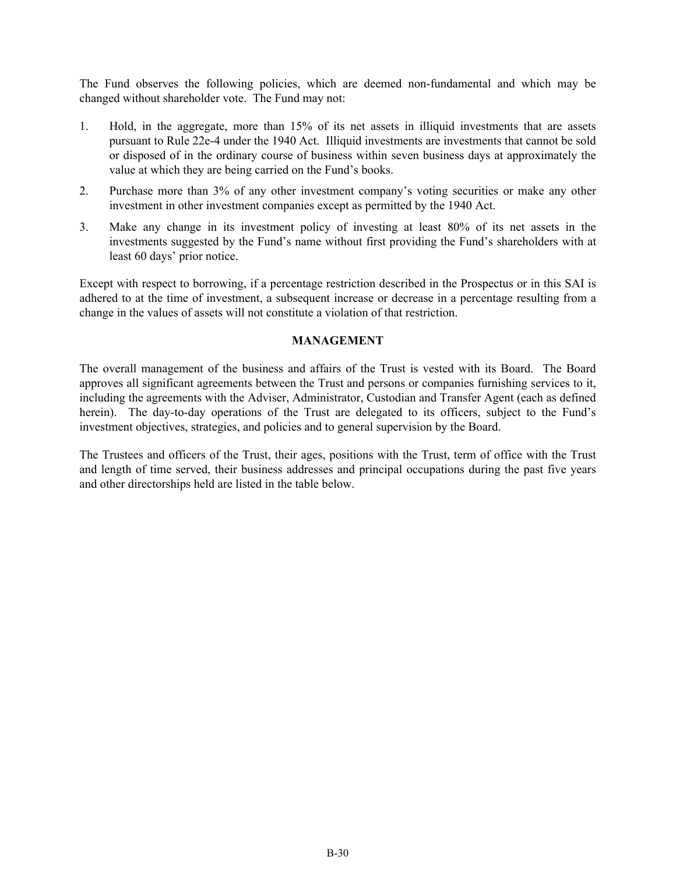<span id="page-29-0"></span>The Fund observes the following policies, which are deemed non-fundamental and which may be changed without shareholder vote. The Fund may not:

- 1. Hold, in the aggregate, more than 15% of its net assets in illiquid investments that are assets pursuant to Rule 22e-4 under the 1940 Act. Illiquid investments are investments that cannot be sold or disposed of in the ordinary course of business within seven business days at approximately the value at which they are being carried on the Fund's books.
- 2. Purchase more than 3% of any other investment company's voting securities or make any other investment in other investment companies except as permitted by the 1940 Act.
- 3. Make any change in its investment policy of investing at least 80% of its net assets in the investments suggested by the Fund's name without first providing the Fund's shareholders with at least 60 days' prior notice.

Except with respect to borrowing, if a percentage restriction described in the Prospectus or in this SAI is adhered to at the time of investment, a subsequent increase or decrease in a percentage resulting from a change in the values of assets will not constitute a violation of that restriction.

#### **MANAGEMENT**

The overall management of the business and affairs of the Trust is vested with its Board. The Board approves all significant agreements between the Trust and persons or companies furnishing services to it, including the agreements with the Adviser, Administrator, Custodian and Transfer Agent (each as defined herein). The day-to-day operations of the Trust are delegated to its officers, subject to the Fund's investment objectives, strategies, and policies and to general supervision by the Board.

The Trustees and officers of the Trust, their ages, positions with the Trust, term of office with the Trust and length of time served, their business addresses and principal occupations during the past five years and other directorships held are listed in the table below.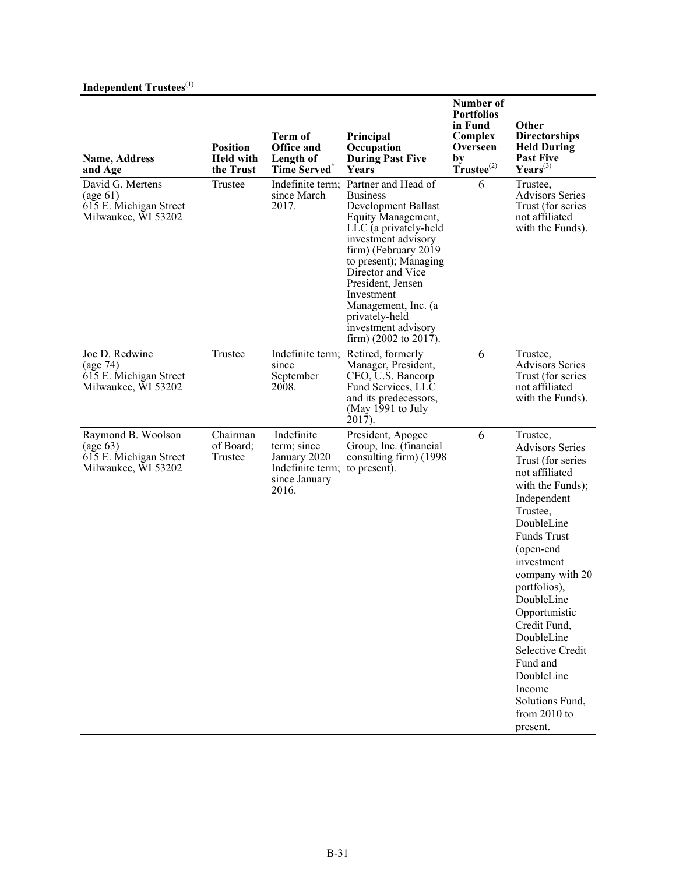# **Independent Trustees**(1)

| <b>Name, Address</b><br>and Age                                                                      | <b>Position</b><br><b>Held with</b><br>the Trust | <b>Term of</b><br><b>Office and</b><br>Length of<br><b>Time Served</b>                  | Principal<br>Occupation<br><b>During Past Five</b><br><b>Years</b>                                                                                                                                                                                                                                                                                | Number of<br><b>Portfolios</b><br>in Fund<br>Complex<br>Overseen<br>by<br>$T$ rustee $^{(2)}$ | Other<br><b>Directorships</b><br><b>Held During</b><br><b>Past Five</b><br>$\text{Years}^{(3)}$                                                                                                                                                                                                                                                                                                         |
|------------------------------------------------------------------------------------------------------|--------------------------------------------------|-----------------------------------------------------------------------------------------|---------------------------------------------------------------------------------------------------------------------------------------------------------------------------------------------------------------------------------------------------------------------------------------------------------------------------------------------------|-----------------------------------------------------------------------------------------------|---------------------------------------------------------------------------------------------------------------------------------------------------------------------------------------------------------------------------------------------------------------------------------------------------------------------------------------------------------------------------------------------------------|
| David G. Mertens<br>$\left(\text{age } 61\right)$<br>615 E. Michigan Street<br>Milwaukee, WI 53202   | Trustee                                          | Indefinite term;<br>since March<br>2017.                                                | Partner and Head of<br><b>Business</b><br>Development Ballast<br>Equity Management,<br>LLC (a privately-held<br>investment advisory<br>firm) (February 2019<br>to present); Managing<br>Director and Vice<br>President, Jensen<br>Investment<br>Management, Inc. (a<br>privately-held<br>investment advisory<br>firm) $(2002 \text{ to } 2017)$ . | 6                                                                                             | Trustee,<br><b>Advisors Series</b><br>Trust (for series<br>not affiliated<br>with the Funds).                                                                                                                                                                                                                                                                                                           |
| Joe D. Redwine<br>(age 74)<br>615 E. Michigan Street<br>Milwaukee, WI 53202                          | Trustee                                          | since<br>September<br>2008.                                                             | Indefinite term; Retired, formerly<br>Manager, President,<br>CEO, U.S. Bancorp<br>Fund Services, LLC<br>and its predecessors,<br>(May 1991 to July<br>$\hat{2}01\overline{7}$ ).                                                                                                                                                                  | 6                                                                                             | Trustee.<br><b>Advisors Series</b><br>Trust (for series<br>not affiliated<br>with the Funds).                                                                                                                                                                                                                                                                                                           |
| Raymond B. Woolson<br>$\left(\text{age } 63\right)$<br>615 E. Michigan Street<br>Milwaukee, WI 53202 | Chairman<br>of Board;<br>Trustee                 | Indefinite<br>term; since<br>January 2020<br>Indefinite term;<br>since January<br>2016. | President, Apogee<br>Group, Inc. (financial<br>consulting firm) (1998)<br>to present).                                                                                                                                                                                                                                                            | 6                                                                                             | Trustee,<br><b>Advisors Series</b><br>Trust (for series<br>not affiliated<br>with the Funds);<br>Independent<br>Trustee,<br>DoubleLine<br><b>Funds Trust</b><br>(open-end<br>investment<br>company with 20<br>portfolios),<br>DoubleLine<br>Opportunistic<br>Credit Fund,<br>DoubleLine<br><b>Selective Credit</b><br>Fund and<br>DoubleLine<br>Income<br>Solutions Fund,<br>from $2010$ to<br>present. |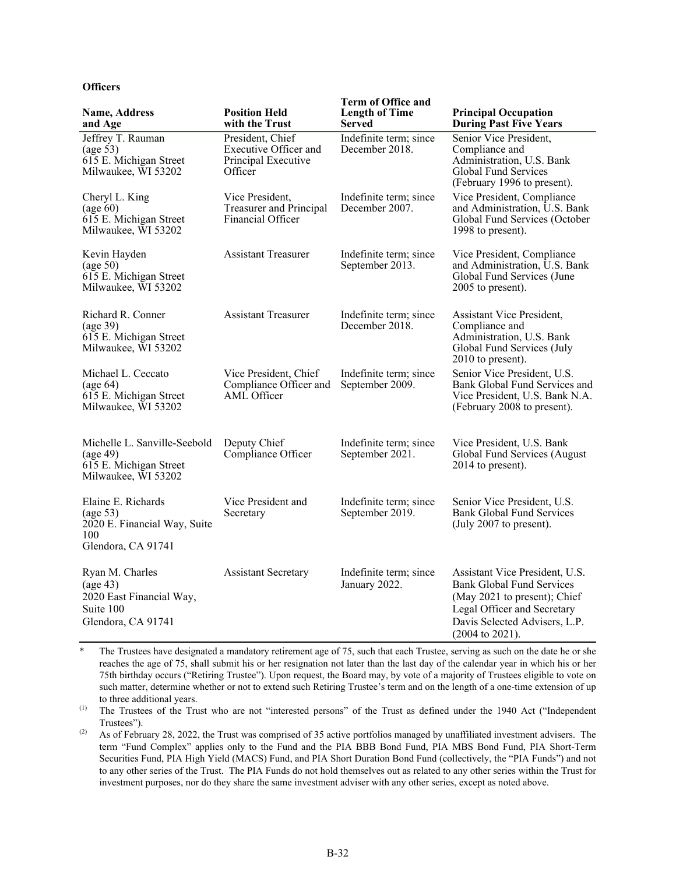#### **Officers**

| <b>Name, Address</b><br>and Age                                                                     | <b>Position Held</b><br>with the Trust                                             | <b>Term of Office and</b><br><b>Length of Time</b><br><b>Served</b> | <b>Principal Occupation</b><br><b>During Past Five Years</b>                                                                                                                                     |
|-----------------------------------------------------------------------------------------------------|------------------------------------------------------------------------------------|---------------------------------------------------------------------|--------------------------------------------------------------------------------------------------------------------------------------------------------------------------------------------------|
| Jeffrey T. Rauman<br>$\frac{\text{age}}{\text{9}}$<br>615 E. Michigan Street<br>Milwaukee, WI 53202 | President, Chief<br><b>Executive Officer and</b><br>Principal Executive<br>Officer | Indefinite term; since<br>December 2018.                            | Senior Vice President,<br>Compliance and<br>Administration, U.S. Bank<br><b>Global Fund Services</b><br>(February 1996 to present).                                                              |
| Cheryl L. King<br>(age 60)<br>615 E. Michigan Street<br>Milwaukee, WI 53202                         | Vice President,<br><b>Treasurer and Principal</b><br>Financial Officer             | Indefinite term; since<br>December 2007.                            | Vice President, Compliance<br>and Administration, U.S. Bank<br>Global Fund Services (October<br>1998 to present).                                                                                |
| Kevin Hayden<br>$\left(\text{age } 50\right)$<br>615 E. Michigan Street<br>Milwaukee, WI 53202      | <b>Assistant Treasurer</b>                                                         | Indefinite term; since<br>September 2013.                           | Vice President, Compliance<br>and Administration, U.S. Bank<br>Global Fund Services (June<br>2005 to present).                                                                                   |
| Richard R. Conner<br>$\left(\text{age } 39\right)$<br>615 E. Michigan Street<br>Milwaukee, WI 53202 | <b>Assistant Treasurer</b>                                                         | Indefinite term; since<br>December 2018.                            | <b>Assistant Vice President,</b><br>Compliance and<br>Administration, U.S. Bank<br>Global Fund Services (July<br>$2010$ to present).                                                             |
| Michael L. Ceccato<br>(age 64)<br>615 E. Michigan Street<br>Milwaukee, WI 53202                     | Vice President, Chief<br>Compliance Officer and<br>AML Officer                     | Indefinite term; since<br>September 2009.                           | Senior Vice President, U.S.<br>Bank Global Fund Services and<br>Vice President, U.S. Bank N.A.<br>(February 2008 to present).                                                                    |
| Michelle L. Sanville-Seebold<br>(age 49)<br>615 E. Michigan Street<br>Milwaukee, WI 53202           | Deputy Chief<br>Compliance Officer                                                 | Indefinite term; since<br>September 2021.                           | Vice President, U.S. Bank<br>Global Fund Services (August<br>2014 to present).                                                                                                                   |
| Elaine E. Richards<br>(age 53)<br>2020 E. Financial Way, Suite<br>100<br>Glendora, CA 91741         | Vice President and<br>Secretary                                                    | Indefinite term; since<br>September 2019.                           | Senior Vice President, U.S.<br><b>Bank Global Fund Services</b><br>(July 2007 to present).                                                                                                       |
| Ryan M. Charles<br>(age 43)<br>2020 East Financial Way,<br>Suite 100<br>Glendora, CA 91741          | <b>Assistant Secretary</b>                                                         | Indefinite term; since<br>January 2022.                             | Assistant Vice President, U.S.<br><b>Bank Global Fund Services</b><br>(May 2021 to present); Chief<br>Legal Officer and Secretary<br>Davis Selected Advisers, L.P.<br>$(2004 \text{ to } 2021).$ |

The Trustees have designated a mandatory retirement age of 75, such that each Trustee, serving as such on the date he or she reaches the age of 75, shall submit his or her resignation not later than the last day of the calendar year in which his or her 75th birthday occurs ("Retiring Trustee"). Upon request, the Board may, by vote of a majority of Trustees eligible to vote on such matter, determine whether or not to extend such Retiring Trustee's term and on the length of a one-time extension of up to three additional years.

(1) The Trustees of the Trust who are not "interested persons" of the Trust as defined under the 1940 Act ("Independent Trustees").

<sup>(2)</sup> As of February 28, 2022, the Trust was comprised of 35 active portfolios managed by unaffiliated investment advisers. The term "Fund Complex" applies only to the Fund and the PIA BBB Bond Fund, PIA MBS Bond Fund, PIA Short-Term Securities Fund, PIA High Yield (MACS) Fund, and PIA Short Duration Bond Fund (collectively, the "PIA Funds") and not to any other series of the Trust. The PIA Funds do not hold themselves out as related to any other series within the Trust for investment purposes, nor do they share the same investment adviser with any other series, except as noted above.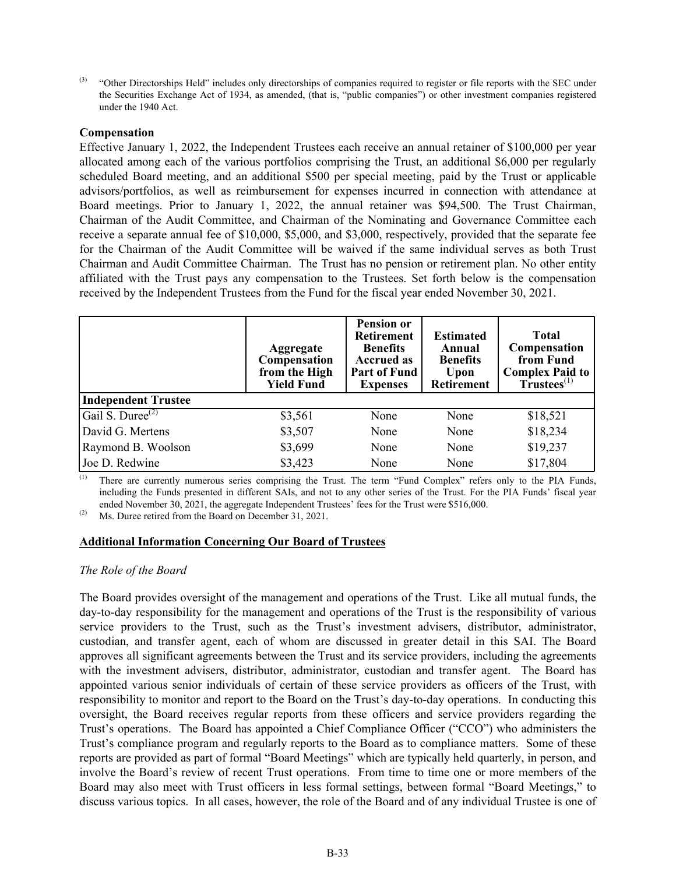<sup>(3)</sup> "Other Directorships Held" includes only directorships of companies required to register or file reports with the SEC under the Securities Exchange Act of 1934, as amended, (that is, "public companies") or other investment companies registered under the 1940 Act.

#### **Compensation**

Effective January 1, 2022, the Independent Trustees each receive an annual retainer of \$100,000 per year allocated among each of the various portfolios comprising the Trust, an additional \$6,000 per regularly scheduled Board meeting, and an additional \$500 per special meeting, paid by the Trust or applicable advisors/portfolios, as well as reimbursement for expenses incurred in connection with attendance at Board meetings. Prior to January 1, 2022, the annual retainer was \$94,500. The Trust Chairman, Chairman of the Audit Committee, and Chairman of the Nominating and Governance Committee each receive a separate annual fee of \$10,000, \$5,000, and \$3,000, respectively, provided that the separate fee for the Chairman of the Audit Committee will be waived if the same individual serves as both Trust Chairman and Audit Committee Chairman. The Trust has no pension or retirement plan. No other entity affiliated with the Trust pays any compensation to the Trustees. Set forth below is the compensation received by the Independent Trustees from the Fund for the fiscal year ended November 30, 2021.

|                              | <b>Aggregate</b><br>Compensation<br>from the High<br><b>Yield Fund</b> | <b>Pension or</b><br><b>Retirement</b><br><b>Benefits</b><br><b>Accrued as</b><br><b>Part of Fund</b><br><b>Expenses</b> | <b>Estimated</b><br>Annual<br><b>Benefits</b><br>Upon<br><b>Retirement</b> | <b>Total</b><br>Compensation<br>from Fund<br><b>Complex Paid to</b><br>T <sup>2</sup> rustees <sup>(1)</sup> |
|------------------------------|------------------------------------------------------------------------|--------------------------------------------------------------------------------------------------------------------------|----------------------------------------------------------------------------|--------------------------------------------------------------------------------------------------------------|
| <b>Independent Trustee</b>   |                                                                        |                                                                                                                          |                                                                            |                                                                                                              |
| Gail S. Duree <sup>(2)</sup> | \$3,561                                                                | None                                                                                                                     | None                                                                       | \$18,521                                                                                                     |
| David G. Mertens             | \$3,507                                                                | None                                                                                                                     | None                                                                       | \$18,234                                                                                                     |
| Raymond B. Woolson           | \$3,699                                                                | None                                                                                                                     | None                                                                       | \$19,237                                                                                                     |
| Joe D. Redwine               | \$3,423                                                                | None                                                                                                                     | None                                                                       | \$17,804                                                                                                     |

(1) There are currently numerous series comprising the Trust. The term "Fund Complex" refers only to the PIA Funds, including the Funds presented in different SAIs, and not to any other series of the Trust. For the PIA Funds' fiscal year ended November 30, 2021, the aggregate Independent Trustees' fees for the Trust were \$516,000.

(2) Ms. Duree retired from the Board on December 31, 2021.

#### **Additional Information Concerning Our Board of Trustees**

#### *The Role of the Board*

The Board provides oversight of the management and operations of the Trust. Like all mutual funds, the day-to-day responsibility for the management and operations of the Trust is the responsibility of various service providers to the Trust, such as the Trust's investment advisers, distributor, administrator, custodian, and transfer agent, each of whom are discussed in greater detail in this SAI. The Board approves all significant agreements between the Trust and its service providers, including the agreements with the investment advisers, distributor, administrator, custodian and transfer agent. The Board has appointed various senior individuals of certain of these service providers as officers of the Trust, with responsibility to monitor and report to the Board on the Trust's day-to-day operations. In conducting this oversight, the Board receives regular reports from these officers and service providers regarding the Trust's operations. The Board has appointed a Chief Compliance Officer ("CCO") who administers the Trust's compliance program and regularly reports to the Board as to compliance matters. Some of these reports are provided as part of formal "Board Meetings" which are typically held quarterly, in person, and involve the Board's review of recent Trust operations. From time to time one or more members of the Board may also meet with Trust officers in less formal settings, between formal "Board Meetings," to discuss various topics. In all cases, however, the role of the Board and of any individual Trustee is one of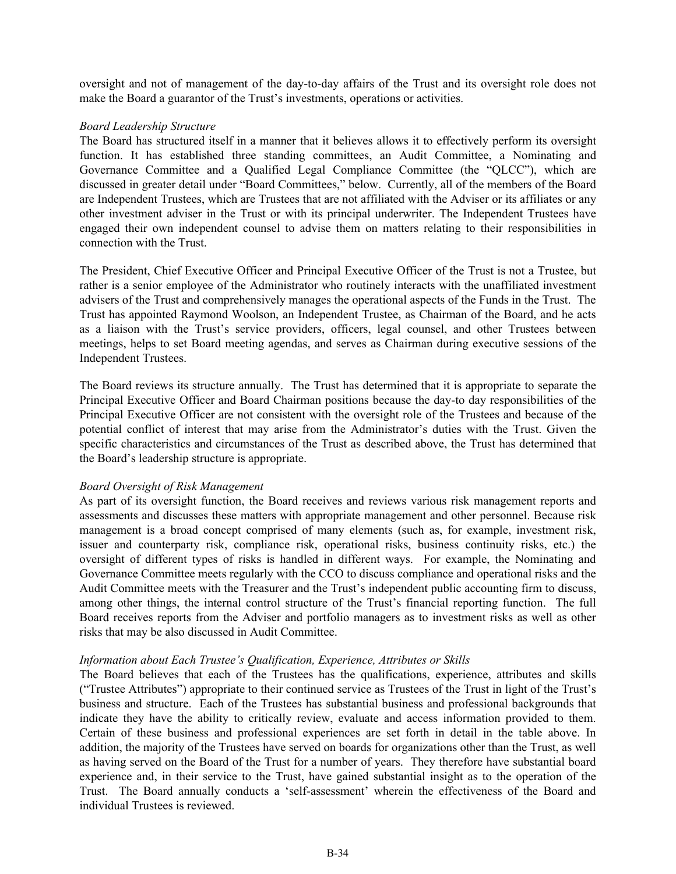oversight and not of management of the day-to-day affairs of the Trust and its oversight role does not make the Board a guarantor of the Trust's investments, operations or activities.

#### *Board Leadership Structure*

The Board has structured itself in a manner that it believes allows it to effectively perform its oversight function. It has established three standing committees, an Audit Committee, a Nominating and Governance Committee and a Qualified Legal Compliance Committee (the "QLCC"), which are discussed in greater detail under "Board Committees," below. Currently, all of the members of the Board are Independent Trustees, which are Trustees that are not affiliated with the Adviser or its affiliates or any other investment adviser in the Trust or with its principal underwriter. The Independent Trustees have engaged their own independent counsel to advise them on matters relating to their responsibilities in connection with the Trust.

The President, Chief Executive Officer and Principal Executive Officer of the Trust is not a Trustee, but rather is a senior employee of the Administrator who routinely interacts with the unaffiliated investment advisers of the Trust and comprehensively manages the operational aspects of the Funds in the Trust. The Trust has appointed Raymond Woolson, an Independent Trustee, as Chairman of the Board, and he acts as a liaison with the Trust's service providers, officers, legal counsel, and other Trustees between meetings, helps to set Board meeting agendas, and serves as Chairman during executive sessions of the Independent Trustees.

The Board reviews its structure annually. The Trust has determined that it is appropriate to separate the Principal Executive Officer and Board Chairman positions because the day-to day responsibilities of the Principal Executive Officer are not consistent with the oversight role of the Trustees and because of the potential conflict of interest that may arise from the Administrator's duties with the Trust. Given the specific characteristics and circumstances of the Trust as described above, the Trust has determined that the Board's leadership structure is appropriate.

#### *Board Oversight of Risk Management*

As part of its oversight function, the Board receives and reviews various risk management reports and assessments and discusses these matters with appropriate management and other personnel. Because risk management is a broad concept comprised of many elements (such as, for example, investment risk, issuer and counterparty risk, compliance risk, operational risks, business continuity risks, etc.) the oversight of different types of risks is handled in different ways. For example, the Nominating and Governance Committee meets regularly with the CCO to discuss compliance and operational risks and the Audit Committee meets with the Treasurer and the Trust's independent public accounting firm to discuss, among other things, the internal control structure of the Trust's financial reporting function. The full Board receives reports from the Adviser and portfolio managers as to investment risks as well as other risks that may be also discussed in Audit Committee.

#### *Information about Each Trustee's Qualification, Experience, Attributes or Skills*

The Board believes that each of the Trustees has the qualifications, experience, attributes and skills ("Trustee Attributes") appropriate to their continued service as Trustees of the Trust in light of the Trust's business and structure. Each of the Trustees has substantial business and professional backgrounds that indicate they have the ability to critically review, evaluate and access information provided to them. Certain of these business and professional experiences are set forth in detail in the table above. In addition, the majority of the Trustees have served on boards for organizations other than the Trust, as well as having served on the Board of the Trust for a number of years. They therefore have substantial board experience and, in their service to the Trust, have gained substantial insight as to the operation of the Trust. The Board annually conducts a 'self-assessment' wherein the effectiveness of the Board and individual Trustees is reviewed.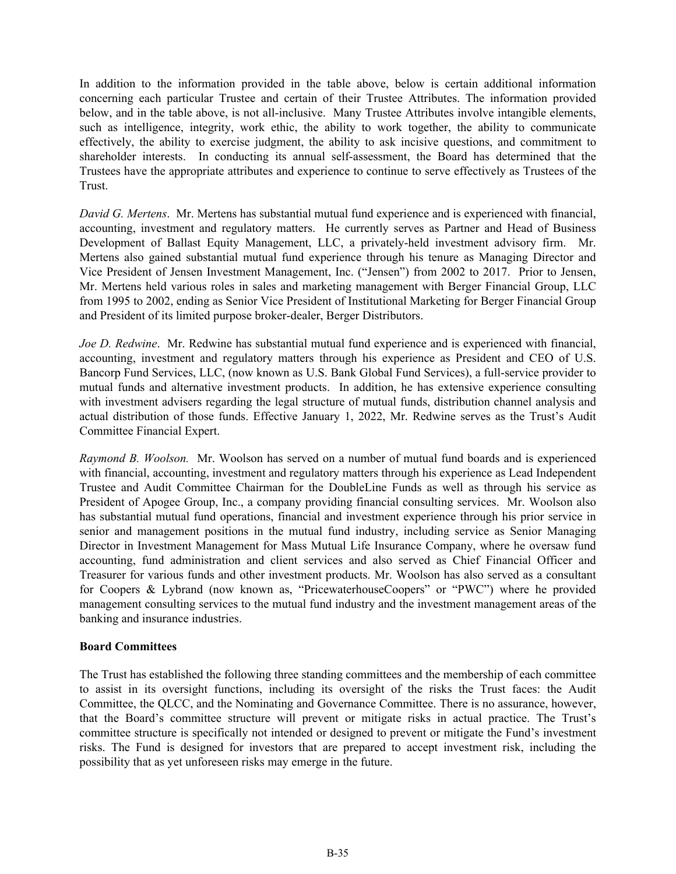In addition to the information provided in the table above, below is certain additional information concerning each particular Trustee and certain of their Trustee Attributes. The information provided below, and in the table above, is not all-inclusive. Many Trustee Attributes involve intangible elements, such as intelligence, integrity, work ethic, the ability to work together, the ability to communicate effectively, the ability to exercise judgment, the ability to ask incisive questions, and commitment to shareholder interests. In conducting its annual self-assessment, the Board has determined that the Trustees have the appropriate attributes and experience to continue to serve effectively as Trustees of the Trust.

*David G. Mertens*. Mr. Mertens has substantial mutual fund experience and is experienced with financial, accounting, investment and regulatory matters. He currently serves as Partner and Head of Business Development of Ballast Equity Management, LLC, a privately-held investment advisory firm. Mr. Mertens also gained substantial mutual fund experience through his tenure as Managing Director and Vice President of Jensen Investment Management, Inc. ("Jensen") from 2002 to 2017. Prior to Jensen, Mr. Mertens held various roles in sales and marketing management with Berger Financial Group, LLC from 1995 to 2002, ending as Senior Vice President of Institutional Marketing for Berger Financial Group and President of its limited purpose broker-dealer, Berger Distributors.

*Joe D. Redwine.* Mr. Redwine has substantial mutual fund experience and is experienced with financial, accounting, investment and regulatory matters through his experience as President and CEO of U.S. Bancorp Fund Services, LLC, (now known as U.S. Bank Global Fund Services), a full-service provider to mutual funds and alternative investment products. In addition, he has extensive experience consulting with investment advisers regarding the legal structure of mutual funds, distribution channel analysis and actual distribution of those funds. Effective January 1, 2022, Mr. Redwine serves as the Trust's Audit Committee Financial Expert.

*Raymond B. Woolson.* Mr. Woolson has served on a number of mutual fund boards and is experienced with financial, accounting, investment and regulatory matters through his experience as Lead Independent Trustee and Audit Committee Chairman for the DoubleLine Funds as well as through his service as President of Apogee Group, Inc., a company providing financial consulting services. Mr. Woolson also has substantial mutual fund operations, financial and investment experience through his prior service in senior and management positions in the mutual fund industry, including service as Senior Managing Director in Investment Management for Mass Mutual Life Insurance Company, where he oversaw fund accounting, fund administration and client services and also served as Chief Financial Officer and Treasurer for various funds and other investment products. Mr. Woolson has also served as a consultant for Coopers & Lybrand (now known as, "PricewaterhouseCoopers" or "PWC") where he provided management consulting services to the mutual fund industry and the investment management areas of the banking and insurance industries.

#### **Board Committees**

The Trust has established the following three standing committees and the membership of each committee to assist in its oversight functions, including its oversight of the risks the Trust faces: the Audit Committee, the QLCC, and the Nominating and Governance Committee. There is no assurance, however, that the Board's committee structure will prevent or mitigate risks in actual practice. The Trust's committee structure is specifically not intended or designed to prevent or mitigate the Fund's investment risks. The Fund is designed for investors that are prepared to accept investment risk, including the possibility that as yet unforeseen risks may emerge in the future.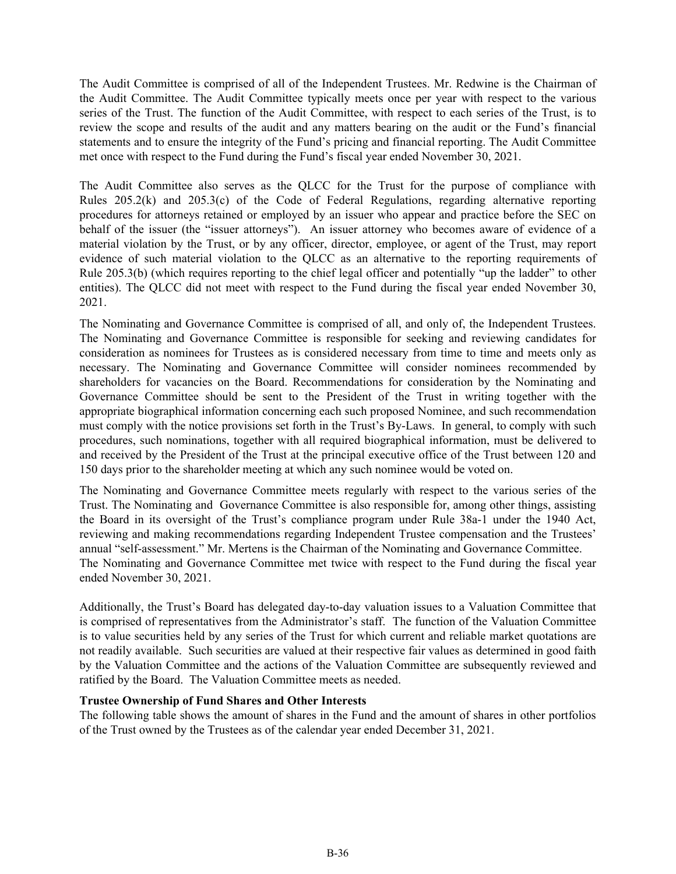The Audit Committee is comprised of all of the Independent Trustees. Mr. Redwine is the Chairman of the Audit Committee. The Audit Committee typically meets once per year with respect to the various series of the Trust. The function of the Audit Committee, with respect to each series of the Trust, is to review the scope and results of the audit and any matters bearing on the audit or the Fund's financial statements and to ensure the integrity of the Fund's pricing and financial reporting. The Audit Committee met once with respect to the Fund during the Fund's fiscal year ended November 30, 2021.

The Audit Committee also serves as the QLCC for the Trust for the purpose of compliance with Rules 205.2(k) and 205.3(c) of the Code of Federal Regulations, regarding alternative reporting procedures for attorneys retained or employed by an issuer who appear and practice before the SEC on behalf of the issuer (the "issuer attorneys"). An issuer attorney who becomes aware of evidence of a material violation by the Trust, or by any officer, director, employee, or agent of the Trust, may report evidence of such material violation to the QLCC as an alternative to the reporting requirements of Rule 205.3(b) (which requires reporting to the chief legal officer and potentially "up the ladder" to other entities). The QLCC did not meet with respect to the Fund during the fiscal year ended November 30, 2021.

The Nominating and Governance Committee is comprised of all, and only of, the Independent Trustees. The Nominating and Governance Committee is responsible for seeking and reviewing candidates for consideration as nominees for Trustees as is considered necessary from time to time and meets only as necessary. The Nominating and Governance Committee will consider nominees recommended by shareholders for vacancies on the Board. Recommendations for consideration by the Nominating and Governance Committee should be sent to the President of the Trust in writing together with the appropriate biographical information concerning each such proposed Nominee, and such recommendation must comply with the notice provisions set forth in the Trust's By-Laws. In general, to comply with such procedures, such nominations, together with all required biographical information, must be delivered to and received by the President of the Trust at the principal executive office of the Trust between 120 and 150 days prior to the shareholder meeting at which any such nominee would be voted on.

The Nominating and Governance Committee meets regularly with respect to the various series of the Trust. The Nominating and Governance Committee is also responsible for, among other things, assisting the Board in its oversight of the Trust's compliance program under Rule 38a-1 under the 1940 Act, reviewing and making recommendations regarding Independent Trustee compensation and the Trustees' annual "self-assessment." Mr. Mertens is the Chairman of the Nominating and Governance Committee. The Nominating and Governance Committee met twice with respect to the Fund during the fiscal year ended November 30, 2021.

Additionally, the Trust's Board has delegated day-to-day valuation issues to a Valuation Committee that is comprised of representatives from the Administrator's staff. The function of the Valuation Committee is to value securities held by any series of the Trust for which current and reliable market quotations are not readily available. Such securities are valued at their respective fair values as determined in good faith by the Valuation Committee and the actions of the Valuation Committee are subsequently reviewed and ratified by the Board. The Valuation Committee meets as needed.

#### **Trustee Ownership of Fund Shares and Other Interests**

The following table shows the amount of shares in the Fund and the amount of shares in other portfolios of the Trust owned by the Trustees as of the calendar year ended December 31, 2021.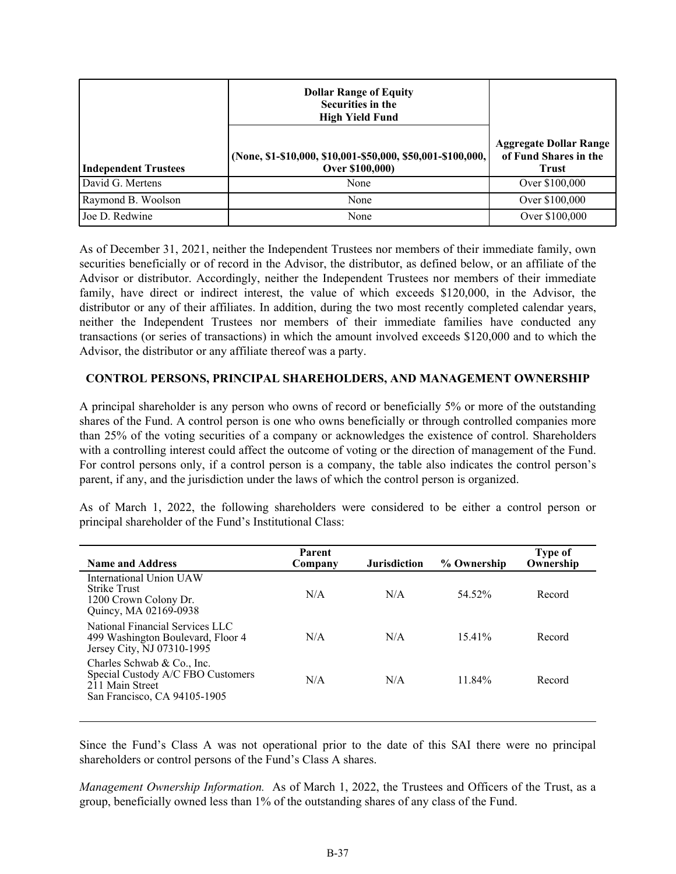<span id="page-36-0"></span>

|                             | <b>Dollar Range of Equity</b><br><b>Securities in the</b><br><b>High Yield Fund</b> |                                                                        |
|-----------------------------|-------------------------------------------------------------------------------------|------------------------------------------------------------------------|
| <b>Independent Trustees</b> | (None, \$1-\$10,000, \$10,001-\$50,000, \$50,001-\$100,000,  <br>Over \$100,000)    | <b>Aggregate Dollar Range</b><br>of Fund Shares in the<br><b>Trust</b> |
| David G. Mertens            | None                                                                                | Over \$100,000                                                         |
| Raymond B. Woolson          | None                                                                                | Over \$100,000                                                         |
| Joe D. Redwine              | None                                                                                | Over \$100,000                                                         |

As of December 31, 2021, neither the Independent Trustees nor members of their immediate family, own securities beneficially or of record in the Advisor, the distributor, as defined below, or an affiliate of the Advisor or distributor. Accordingly, neither the Independent Trustees nor members of their immediate family, have direct or indirect interest, the value of which exceeds \$120,000, in the Advisor, the distributor or any of their affiliates. In addition, during the two most recently completed calendar years, neither the Independent Trustees nor members of their immediate families have conducted any transactions (or series of transactions) in which the amount involved exceeds \$120,000 and to which the Advisor, the distributor or any affiliate thereof was a party.

#### **CONTROL PERSONS, PRINCIPAL SHAREHOLDERS, AND MANAGEMENT OWNERSHIP**

A principal shareholder is any person who owns of record or beneficially 5% or more of the outstanding shares of the Fund. A control person is one who owns beneficially or through controlled companies more than 25% of the voting securities of a company or acknowledges the existence of control. Shareholders with a controlling interest could affect the outcome of voting or the direction of management of the Fund. For control persons only, if a control person is a company, the table also indicates the control person's parent, if any, and the jurisdiction under the laws of which the control person is organized.

As of March 1, 2022, the following shareholders were considered to be either a control person or principal shareholder of the Fund's Institutional Class:

| Parent<br>Company | <b>Jurisdiction</b> | % Ownership | Type of<br>Ownership |
|-------------------|---------------------|-------------|----------------------|
| N/A               | N/A                 | 54 52%      | Record               |
| N/A               | N/A                 | $15.41\%$   | Record               |
| N/A               | N/A                 | 11 $84\%$   | Record               |
|                   |                     |             |                      |

Since the Fund's Class A was not operational prior to the date of this SAI there were no principal shareholders or control persons of the Fund's Class A shares.

*Management Ownership Information.* As of March 1, 2022, the Trustees and Officers of the Trust, as a group, beneficially owned less than 1% of the outstanding shares of any class of the Fund.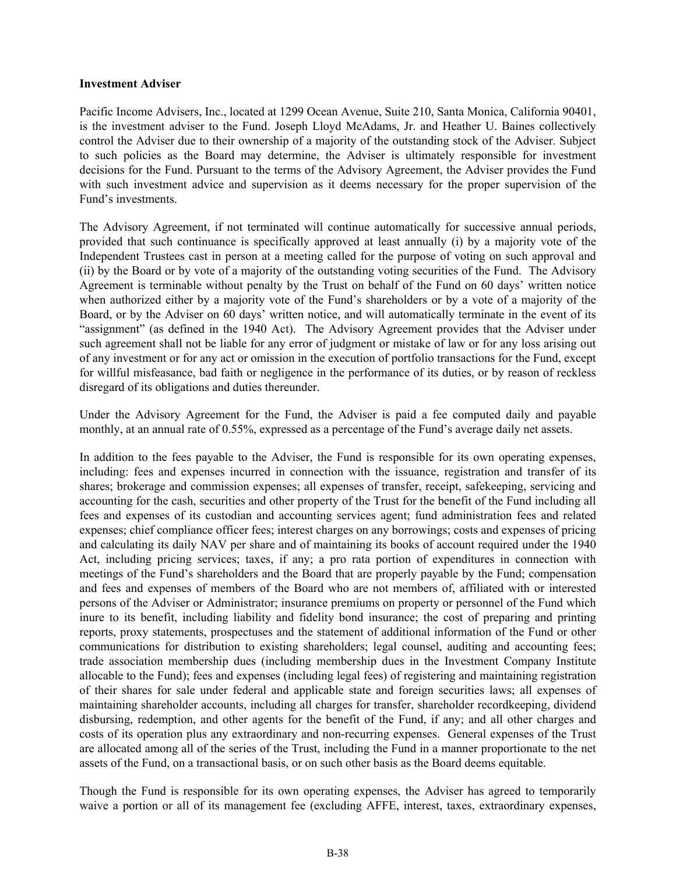#### **Investment Adviser**

Pacific Income Advisers, Inc., located at 1299 Ocean Avenue, Suite 210, Santa Monica, California 90401, is the investment adviser to the Fund. Joseph Lloyd McAdams, Jr. and Heather U. Baines collectively control the Adviser due to their ownership of a majority of the outstanding stock of the Adviser. Subject to such policies as the Board may determine, the Adviser is ultimately responsible for investment decisions for the Fund. Pursuant to the terms of the Advisory Agreement, the Adviser provides the Fund with such investment advice and supervision as it deems necessary for the proper supervision of the Fund's investments.

The Advisory Agreement, if not terminated will continue automatically for successive annual periods, provided that such continuance is specifically approved at least annually (i) by a majority vote of the Independent Trustees cast in person at a meeting called for the purpose of voting on such approval and (ii) by the Board or by vote of a majority of the outstanding voting securities of the Fund. The Advisory Agreement is terminable without penalty by the Trust on behalf of the Fund on 60 days' written notice when authorized either by a majority vote of the Fund's shareholders or by a vote of a majority of the Board, or by the Adviser on 60 days' written notice, and will automatically terminate in the event of its "assignment" (as defined in the 1940 Act). The Advisory Agreement provides that the Adviser under such agreement shall not be liable for any error of judgment or mistake of law or for any loss arising out of any investment or for any act or omission in the execution of portfolio transactions for the Fund, except for willful misfeasance, bad faith or negligence in the performance of its duties, or by reason of reckless disregard of its obligations and duties thereunder.

Under the Advisory Agreement for the Fund, the Adviser is paid a fee computed daily and payable monthly, at an annual rate of 0.55%, expressed as a percentage of the Fund's average daily net assets.

In addition to the fees payable to the Adviser, the Fund is responsible for its own operating expenses, including: fees and expenses incurred in connection with the issuance, registration and transfer of its shares; brokerage and commission expenses; all expenses of transfer, receipt, safekeeping, servicing and accounting for the cash, securities and other property of the Trust for the benefit of the Fund including all fees and expenses of its custodian and accounting services agent; fund administration fees and related expenses; chief compliance officer fees; interest charges on any borrowings; costs and expenses of pricing and calculating its daily NAV per share and of maintaining its books of account required under the 1940 Act, including pricing services; taxes, if any; a pro rata portion of expenditures in connection with meetings of the Fund's shareholders and the Board that are properly payable by the Fund; compensation and fees and expenses of members of the Board who are not members of, affiliated with or interested persons of the Adviser or Administrator; insurance premiums on property or personnel of the Fund which inure to its benefit, including liability and fidelity bond insurance; the cost of preparing and printing reports, proxy statements, prospectuses and the statement of additional information of the Fund or other communications for distribution to existing shareholders; legal counsel, auditing and accounting fees; trade association membership dues (including membership dues in the Investment Company Institute allocable to the Fund); fees and expenses (including legal fees) of registering and maintaining registration of their shares for sale under federal and applicable state and foreign securities laws; all expenses of maintaining shareholder accounts, including all charges for transfer, shareholder recordkeeping, dividend disbursing, redemption, and other agents for the benefit of the Fund, if any; and all other charges and costs of its operation plus any extraordinary and non-recurring expenses. General expenses of the Trust are allocated among all of the series of the Trust, including the Fund in a manner proportionate to the net assets of the Fund, on a transactional basis, or on such other basis as the Board deems equitable.

Though the Fund is responsible for its own operating expenses, the Adviser has agreed to temporarily waive a portion or all of its management fee (excluding AFFE, interest, taxes, extraordinary expenses,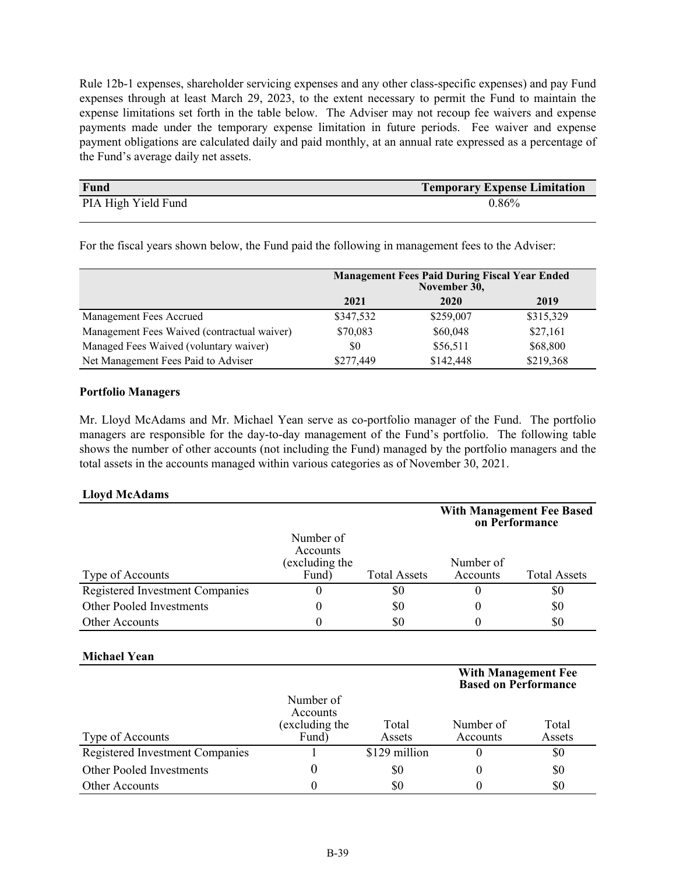Rule 12b-1 expenses, shareholder servicing expenses and any other class-specific expenses) and pay Fund expenses through at least March 29, 2023, to the extent necessary to permit the Fund to maintain the expense limitations set forth in the table below. The Adviser may not recoup fee waivers and expense payments made under the temporary expense limitation in future periods. Fee waiver and expense payment obligations are calculated daily and paid monthly, at an annual rate expressed as a percentage of the Fund's average daily net assets.

| <b>Fund</b>         | <b>Temporary Expense Limitation</b> |
|---------------------|-------------------------------------|
| PIA High Yield Fund | 0.86%                               |

For the fiscal years shown below, the Fund paid the following in management fees to the Adviser:

|                                             | <b>Management Fees Paid During Fiscal Year Ended</b><br>November 30, |           |           |  |
|---------------------------------------------|----------------------------------------------------------------------|-----------|-----------|--|
|                                             | 2021                                                                 | 2020      | 2019      |  |
| Management Fees Accrued                     | \$347,532                                                            | \$259,007 | \$315,329 |  |
| Management Fees Waived (contractual waiver) | \$70,083                                                             | \$60,048  | \$27,161  |  |
| Managed Fees Waived (voluntary waiver)      | \$0                                                                  | \$56,511  | \$68,800  |  |
| Net Management Fees Paid to Adviser         | \$277.449                                                            | \$142,448 | \$219,368 |  |

#### **Portfolio Managers**

Mr. Lloyd McAdams and Mr. Michael Yean serve as co-portfolio manager of the Fund. The portfolio managers are responsible for the day-to-day management of the Fund's portfolio. The following table shows the number of other accounts (not including the Fund) managed by the portfolio managers and the total assets in the accounts managed within various categories as of November 30, 2021.

#### **Lloyd McAdams**

|                                 |                                        |                     |           | <b>With Management Fee Based</b><br>on Performance |
|---------------------------------|----------------------------------------|---------------------|-----------|----------------------------------------------------|
|                                 | Number of<br>Accounts<br>excluding the |                     | Number of |                                                    |
| Type of Accounts                | Fund)                                  | <b>Total Assets</b> | Accounts  | <b>Total Assets</b>                                |
| Registered Investment Companies | O                                      | \$0                 |           | \$0                                                |
| Other Pooled Investments        | 0                                      | \$0                 | O         | \$0                                                |
| <b>Other Accounts</b>           | 0                                      | \$0                 |           | \$0                                                |

#### **Michael Yean**

|                                 |                                                  |                 | <b>With Management Fee</b><br><b>Based on Performance</b> |                 |
|---------------------------------|--------------------------------------------------|-----------------|-----------------------------------------------------------|-----------------|
| Type of Accounts                | Number of<br>Accounts<br>(excluding the<br>Fund) | Total<br>Assets | Number of<br>Accounts                                     | Total<br>Assets |
| Registered Investment Companies |                                                  | \$129 million   |                                                           | \$0             |
| Other Pooled Investments        |                                                  | \$0             |                                                           | \$0             |
| <b>Other Accounts</b>           |                                                  | \$0             |                                                           | \$0             |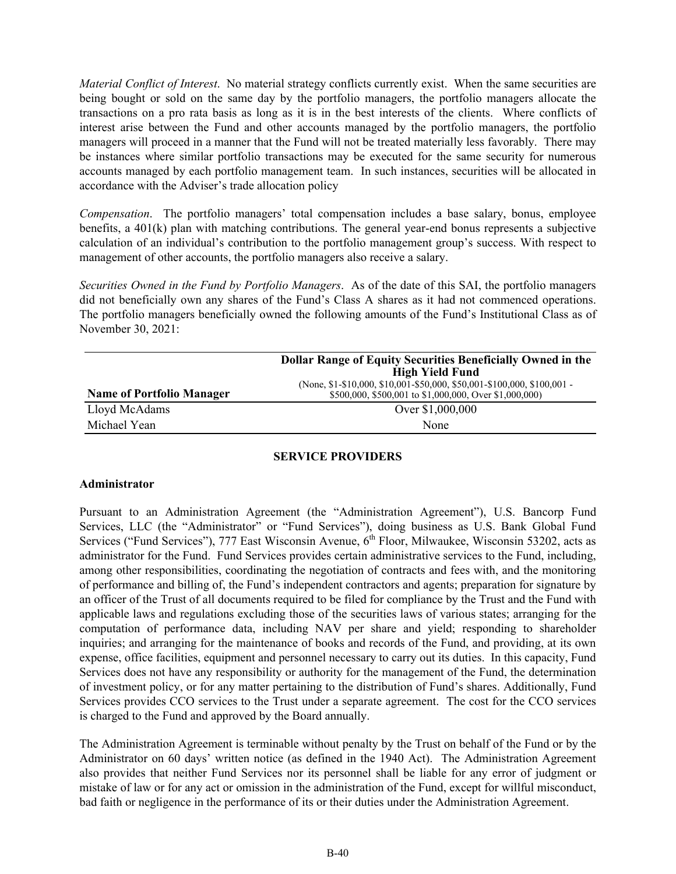<span id="page-39-0"></span>*Material Conflict of Interest*. No material strategy conflicts currently exist. When the same securities are being bought or sold on the same day by the portfolio managers, the portfolio managers allocate the transactions on a pro rata basis as long as it is in the best interests of the clients. Where conflicts of interest arise between the Fund and other accounts managed by the portfolio managers, the portfolio managers will proceed in a manner that the Fund will not be treated materially less favorably. There may be instances where similar portfolio transactions may be executed for the same security for numerous accounts managed by each portfolio management team. In such instances, securities will be allocated in accordance with the Adviser's trade allocation policy

*Compensation*. The portfolio managers' total compensation includes a base salary, bonus, employee benefits, a 401(k) plan with matching contributions. The general year-end bonus represents a subjective calculation of an individual's contribution to the portfolio management group's success. With respect to management of other accounts, the portfolio managers also receive a salary.

*Securities Owned in the Fund by Portfolio Managers*. As of the date of this SAI, the portfolio managers did not beneficially own any shares of the Fund's Class A shares as it had not commenced operations. The portfolio managers beneficially owned the following amounts of the Fund's Institutional Class as of November 30, 2021:

|                                  | <b>Dollar Range of Equity Securities Beneficially Owned in the</b><br><b>High Yield Fund</b>                                      |
|----------------------------------|-----------------------------------------------------------------------------------------------------------------------------------|
| <b>Name of Portfolio Manager</b> | (None, \$1-\$10,000, \$10,001-\$50,000, \$50,001-\$100,000, \$100,001 -<br>\$500,000, \$500,001 to \$1,000,000, Over \$1,000,000) |
| Lloyd McAdams                    | Over \$1,000,000                                                                                                                  |
| Michael Yean                     | None                                                                                                                              |

#### **SERVICE PROVIDERS**

#### **Administrator**

Pursuant to an Administration Agreement (the "Administration Agreement"), U.S. Bancorp Fund Services, LLC (the "Administrator" or "Fund Services"), doing business as U.S. Bank Global Fund Services ("Fund Services"), 777 East Wisconsin Avenue, 6<sup>th</sup> Floor, Milwaukee, Wisconsin 53202, acts as administrator for the Fund. Fund Services provides certain administrative services to the Fund, including, among other responsibilities, coordinating the negotiation of contracts and fees with, and the monitoring of performance and billing of, the Fund's independent contractors and agents; preparation for signature by an officer of the Trust of all documents required to be filed for compliance by the Trust and the Fund with applicable laws and regulations excluding those of the securities laws of various states; arranging for the computation of performance data, including NAV per share and yield; responding to shareholder inquiries; and arranging for the maintenance of books and records of the Fund, and providing, at its own expense, office facilities, equipment and personnel necessary to carry out its duties. In this capacity, Fund Services does not have any responsibility or authority for the management of the Fund, the determination of investment policy, or for any matter pertaining to the distribution of Fund's shares. Additionally, Fund Services provides CCO services to the Trust under a separate agreement. The cost for the CCO services is charged to the Fund and approved by the Board annually.

The Administration Agreement is terminable without penalty by the Trust on behalf of the Fund or by the Administrator on 60 days' written notice (as defined in the 1940 Act). The Administration Agreement also provides that neither Fund Services nor its personnel shall be liable for any error of judgment or mistake of law or for any act or omission in the administration of the Fund, except for willful misconduct, bad faith or negligence in the performance of its or their duties under the Administration Agreement.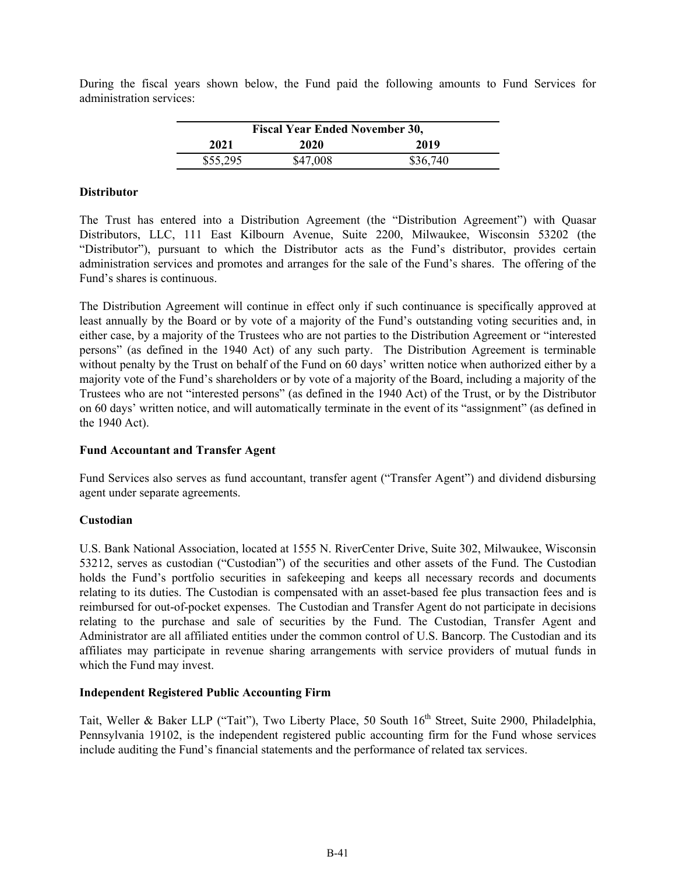During the fiscal years shown below, the Fund paid the following amounts to Fund Services for administration services:

| <b>Fiscal Year Ended November 30,</b> |          |          |  |  |
|---------------------------------------|----------|----------|--|--|
| 2021                                  | 2020     | 2019     |  |  |
| \$55,295                              | \$47,008 | \$36,740 |  |  |

#### **Distributor**

The Trust has entered into a Distribution Agreement (the "Distribution Agreement") with Quasar Distributors, LLC, 111 East Kilbourn Avenue, Suite 2200, Milwaukee, Wisconsin 53202 (the "Distributor"), pursuant to which the Distributor acts as the Fund's distributor, provides certain administration services and promotes and arranges for the sale of the Fund's shares. The offering of the Fund's shares is continuous.

The Distribution Agreement will continue in effect only if such continuance is specifically approved at least annually by the Board or by vote of a majority of the Fund's outstanding voting securities and, in either case, by a majority of the Trustees who are not parties to the Distribution Agreement or "interested persons" (as defined in the 1940 Act) of any such party. The Distribution Agreement is terminable without penalty by the Trust on behalf of the Fund on 60 days' written notice when authorized either by a majority vote of the Fund's shareholders or by vote of a majority of the Board, including a majority of the Trustees who are not "interested persons" (as defined in the 1940 Act) of the Trust, or by the Distributor on 60 days' written notice, and will automatically terminate in the event of its "assignment" (as defined in the 1940 Act).

#### **Fund Accountant and Transfer Agent**

Fund Services also serves as fund accountant, transfer agent ("Transfer Agent") and dividend disbursing agent under separate agreements.

#### **Custodian**

U.S. Bank National Association, located at 1555 N. RiverCenter Drive, Suite 302, Milwaukee, Wisconsin 53212, serves as custodian ("Custodian") of the securities and other assets of the Fund. The Custodian holds the Fund's portfolio securities in safekeeping and keeps all necessary records and documents relating to its duties. The Custodian is compensated with an asset-based fee plus transaction fees and is reimbursed for out-of-pocket expenses. The Custodian and Transfer Agent do not participate in decisions relating to the purchase and sale of securities by the Fund. The Custodian, Transfer Agent and Administrator are all affiliated entities under the common control of U.S. Bancorp. The Custodian and its affiliates may participate in revenue sharing arrangements with service providers of mutual funds in which the Fund may invest.

#### **Independent Registered Public Accounting Firm**

Tait, Weller & Baker LLP ("Tait"), Two Liberty Place, 50 South 16<sup>th</sup> Street, Suite 2900, Philadelphia, Pennsylvania 19102, is the independent registered public accounting firm for the Fund whose services include auditing the Fund's financial statements and the performance of related tax services.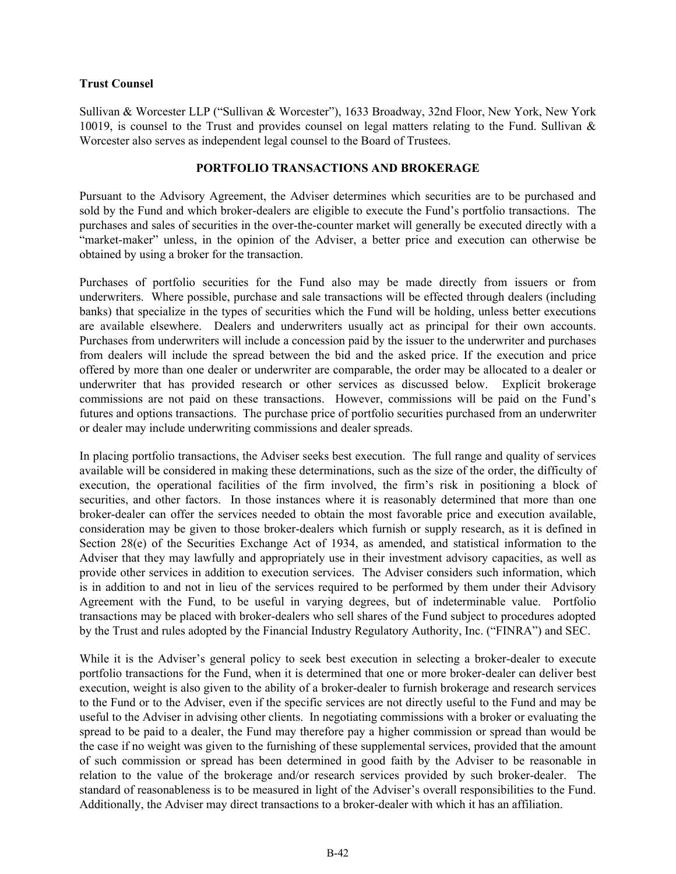#### <span id="page-41-0"></span>**Trust Counsel**

Sullivan & Worcester LLP ("Sullivan & Worcester"), 1633 Broadway, 32nd Floor, New York, New York 10019, is counsel to the Trust and provides counsel on legal matters relating to the Fund. Sullivan & Worcester also serves as independent legal counsel to the Board of Trustees.

#### **PORTFOLIO TRANSACTIONS AND BROKERAGE**

Pursuant to the Advisory Agreement, the Adviser determines which securities are to be purchased and sold by the Fund and which broker-dealers are eligible to execute the Fund's portfolio transactions. The purchases and sales of securities in the over-the-counter market will generally be executed directly with a "market-maker" unless, in the opinion of the Adviser, a better price and execution can otherwise be obtained by using a broker for the transaction.

Purchases of portfolio securities for the Fund also may be made directly from issuers or from underwriters. Where possible, purchase and sale transactions will be effected through dealers (including banks) that specialize in the types of securities which the Fund will be holding, unless better executions are available elsewhere. Dealers and underwriters usually act as principal for their own accounts. Purchases from underwriters will include a concession paid by the issuer to the underwriter and purchases from dealers will include the spread between the bid and the asked price. If the execution and price offered by more than one dealer or underwriter are comparable, the order may be allocated to a dealer or underwriter that has provided research or other services as discussed below. Explicit brokerage commissions are not paid on these transactions. However, commissions will be paid on the Fund's futures and options transactions. The purchase price of portfolio securities purchased from an underwriter or dealer may include underwriting commissions and dealer spreads.

In placing portfolio transactions, the Adviser seeks best execution. The full range and quality of services available will be considered in making these determinations, such as the size of the order, the difficulty of execution, the operational facilities of the firm involved, the firm's risk in positioning a block of securities, and other factors. In those instances where it is reasonably determined that more than one broker-dealer can offer the services needed to obtain the most favorable price and execution available, consideration may be given to those broker-dealers which furnish or supply research, as it is defined in Section 28(e) of the Securities Exchange Act of 1934, as amended, and statistical information to the Adviser that they may lawfully and appropriately use in their investment advisory capacities, as well as provide other services in addition to execution services. The Adviser considers such information, which is in addition to and not in lieu of the services required to be performed by them under their Advisory Agreement with the Fund, to be useful in varying degrees, but of indeterminable value. Portfolio transactions may be placed with broker-dealers who sell shares of the Fund subject to procedures adopted by the Trust and rules adopted by the Financial Industry Regulatory Authority, Inc. ("FINRA") and SEC.

While it is the Adviser's general policy to seek best execution in selecting a broker-dealer to execute portfolio transactions for the Fund, when it is determined that one or more broker-dealer can deliver best execution, weight is also given to the ability of a broker-dealer to furnish brokerage and research services to the Fund or to the Adviser, even if the specific services are not directly useful to the Fund and may be useful to the Adviser in advising other clients. In negotiating commissions with a broker or evaluating the spread to be paid to a dealer, the Fund may therefore pay a higher commission or spread than would be the case if no weight was given to the furnishing of these supplemental services, provided that the amount of such commission or spread has been determined in good faith by the Adviser to be reasonable in relation to the value of the brokerage and/or research services provided by such broker-dealer. The standard of reasonableness is to be measured in light of the Adviser's overall responsibilities to the Fund. Additionally, the Adviser may direct transactions to a broker-dealer with which it has an affiliation.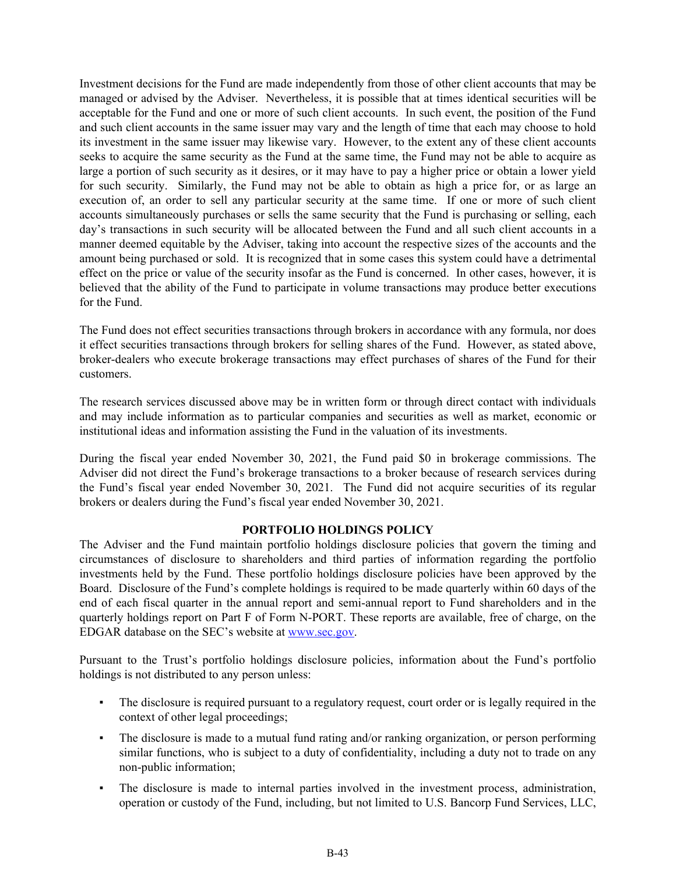<span id="page-42-0"></span>Investment decisions for the Fund are made independently from those of other client accounts that may be managed or advised by the Adviser. Nevertheless, it is possible that at times identical securities will be acceptable for the Fund and one or more of such client accounts. In such event, the position of the Fund and such client accounts in the same issuer may vary and the length of time that each may choose to hold its investment in the same issuer may likewise vary. However, to the extent any of these client accounts seeks to acquire the same security as the Fund at the same time, the Fund may not be able to acquire as large a portion of such security as it desires, or it may have to pay a higher price or obtain a lower yield for such security. Similarly, the Fund may not be able to obtain as high a price for, or as large an execution of, an order to sell any particular security at the same time. If one or more of such client accounts simultaneously purchases or sells the same security that the Fund is purchasing or selling, each day's transactions in such security will be allocated between the Fund and all such client accounts in a manner deemed equitable by the Adviser, taking into account the respective sizes of the accounts and the amount being purchased or sold. It is recognized that in some cases this system could have a detrimental effect on the price or value of the security insofar as the Fund is concerned. In other cases, however, it is believed that the ability of the Fund to participate in volume transactions may produce better executions for the Fund.

The Fund does not effect securities transactions through brokers in accordance with any formula, nor does it effect securities transactions through brokers for selling shares of the Fund. However, as stated above, broker-dealers who execute brokerage transactions may effect purchases of shares of the Fund for their customers.

The research services discussed above may be in written form or through direct contact with individuals and may include information as to particular companies and securities as well as market, economic or institutional ideas and information assisting the Fund in the valuation of its investments.

During the fiscal year ended November 30, 2021, the Fund paid \$0 in brokerage commissions. The Adviser did not direct the Fund's brokerage transactions to a broker because of research services during the Fund's fiscal year ended November 30, 2021. The Fund did not acquire securities of its regular brokers or dealers during the Fund's fiscal year ended November 30, 2021.

#### **PORTFOLIO HOLDINGS POLICY**

The Adviser and the Fund maintain portfolio holdings disclosure policies that govern the timing and circumstances of disclosure to shareholders and third parties of information regarding the portfolio investments held by the Fund. These portfolio holdings disclosure policies have been approved by the Board. Disclosure of the Fund's complete holdings is required to be made quarterly within 60 days of the end of each fiscal quarter in the annual report and semi-annual report to Fund shareholders and in the quarterly holdings report on Part F of Form N-PORT. These reports are available, free of charge, on the EDGAR database on the SEC's website at www.sec.gov.

Pursuant to the Trust's portfolio holdings disclosure policies, information about the Fund's portfolio holdings is not distributed to any person unless:

- The disclosure is required pursuant to a regulatory request, court order or is legally required in the context of other legal proceedings;
- The disclosure is made to a mutual fund rating and/or ranking organization, or person performing similar functions, who is subject to a duty of confidentiality, including a duty not to trade on any non-public information;
- The disclosure is made to internal parties involved in the investment process, administration, operation or custody of the Fund, including, but not limited to U.S. Bancorp Fund Services, LLC,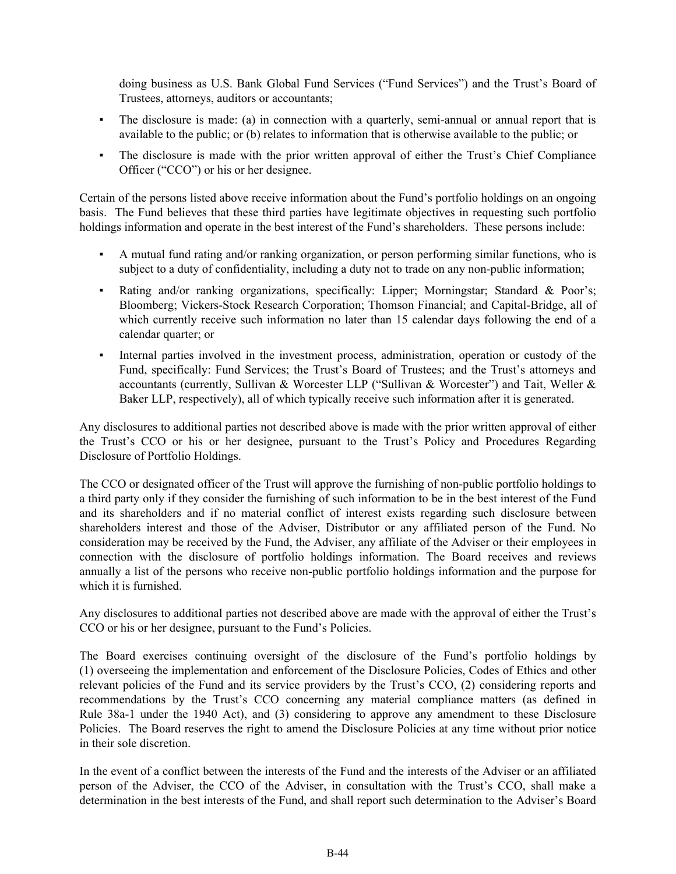doing business as U.S. Bank Global Fund Services ("Fund Services") and the Trust's Board of Trustees, attorneys, auditors or accountants;

- The disclosure is made: (a) in connection with a quarterly, semi-annual or annual report that is available to the public; or (b) relates to information that is otherwise available to the public; or
- The disclosure is made with the prior written approval of either the Trust's Chief Compliance Officer ("CCO") or his or her designee.

Certain of the persons listed above receive information about the Fund's portfolio holdings on an ongoing basis. The Fund believes that these third parties have legitimate objectives in requesting such portfolio holdings information and operate in the best interest of the Fund's shareholders. These persons include:

- A mutual fund rating and/or ranking organization, or person performing similar functions, who is subject to a duty of confidentiality, including a duty not to trade on any non-public information;
- Rating and/or ranking organizations, specifically: Lipper; Morningstar; Standard & Poor's; Bloomberg; Vickers-Stock Research Corporation; Thomson Financial; and Capital-Bridge, all of which currently receive such information no later than 15 calendar days following the end of a calendar quarter; or
- Internal parties involved in the investment process, administration, operation or custody of the Fund, specifically: Fund Services; the Trust's Board of Trustees; and the Trust's attorneys and accountants (currently, Sullivan & Worcester LLP ("Sullivan & Worcester") and Tait, Weller & Baker LLP, respectively), all of which typically receive such information after it is generated.

Any disclosures to additional parties not described above is made with the prior written approval of either the Trust's CCO or his or her designee, pursuant to the Trust's Policy and Procedures Regarding Disclosure of Portfolio Holdings.

The CCO or designated officer of the Trust will approve the furnishing of non-public portfolio holdings to a third party only if they consider the furnishing of such information to be in the best interest of the Fund and its shareholders and if no material conflict of interest exists regarding such disclosure between shareholders interest and those of the Adviser, Distributor or any affiliated person of the Fund. No consideration may be received by the Fund, the Adviser, any affiliate of the Adviser or their employees in connection with the disclosure of portfolio holdings information. The Board receives and reviews annually a list of the persons who receive non-public portfolio holdings information and the purpose for which it is furnished.

Any disclosures to additional parties not described above are made with the approval of either the Trust's CCO or his or her designee, pursuant to the Fund's Policies.

The Board exercises continuing oversight of the disclosure of the Fund's portfolio holdings by (1) overseeing the implementation and enforcement of the Disclosure Policies, Codes of Ethics and other relevant policies of the Fund and its service providers by the Trust's CCO, (2) considering reports and recommendations by the Trust's CCO concerning any material compliance matters (as defined in Rule 38a-1 under the 1940 Act), and (3) considering to approve any amendment to these Disclosure Policies. The Board reserves the right to amend the Disclosure Policies at any time without prior notice in their sole discretion.

In the event of a conflict between the interests of the Fund and the interests of the Adviser or an affiliated person of the Adviser, the CCO of the Adviser, in consultation with the Trust's CCO, shall make a determination in the best interests of the Fund, and shall report such determination to the Adviser's Board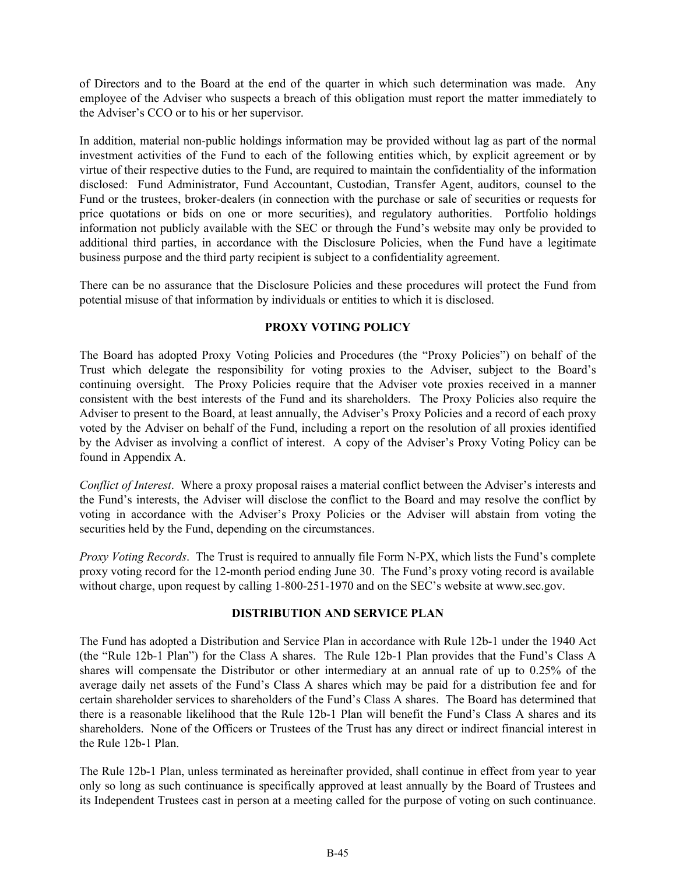<span id="page-44-0"></span>of Directors and to the Board at the end of the quarter in which such determination was made. Any employee of the Adviser who suspects a breach of this obligation must report the matter immediately to the Adviser's CCO or to his or her supervisor.

In addition, material non-public holdings information may be provided without lag as part of the normal investment activities of the Fund to each of the following entities which, by explicit agreement or by virtue of their respective duties to the Fund, are required to maintain the confidentiality of the information disclosed: Fund Administrator, Fund Accountant, Custodian, Transfer Agent, auditors, counsel to the Fund or the trustees, broker-dealers (in connection with the purchase or sale of securities or requests for price quotations or bids on one or more securities), and regulatory authorities. Portfolio holdings information not publicly available with the SEC or through the Fund's website may only be provided to additional third parties, in accordance with the Disclosure Policies, when the Fund have a legitimate business purpose and the third party recipient is subject to a confidentiality agreement.

There can be no assurance that the Disclosure Policies and these procedures will protect the Fund from potential misuse of that information by individuals or entities to which it is disclosed.

### **PROXY VOTING POLICY**

The Board has adopted Proxy Voting Policies and Procedures (the "Proxy Policies") on behalf of the Trust which delegate the responsibility for voting proxies to the Adviser, subject to the Board's continuing oversight. The Proxy Policies require that the Adviser vote proxies received in a manner consistent with the best interests of the Fund and its shareholders. The Proxy Policies also require the Adviser to present to the Board, at least annually, the Adviser's Proxy Policies and a record of each proxy voted by the Adviser on behalf of the Fund, including a report on the resolution of all proxies identified by the Adviser as involving a conflict of interest. A copy of the Adviser's Proxy Voting Policy can be found in Appendix A.

*Conflict of Interest*. Where a proxy proposal raises a material conflict between the Adviser's interests and the Fund's interests, the Adviser will disclose the conflict to the Board and may resolve the conflict by voting in accordance with the Adviser's Proxy Policies or the Adviser will abstain from voting the securities held by the Fund, depending on the circumstances.

*Proxy Voting Records*. The Trust is required to annually file Form N-PX, which lists the Fund's complete proxy voting record for the 12-month period ending June 30. The Fund's proxy voting record is available without charge, upon request by calling 1-800-251-1970 and on the SEC's website at www.sec.gov.

# **DISTRIBUTION AND SERVICE PLAN**

The Fund has adopted a Distribution and Service Plan in accordance with Rule 12b-1 under the 1940 Act (the "Rule 12b-1 Plan") for the Class A shares. The Rule 12b-1 Plan provides that the Fund's Class A shares will compensate the Distributor or other intermediary at an annual rate of up to 0.25% of the average daily net assets of the Fund's Class A shares which may be paid for a distribution fee and for certain shareholder services to shareholders of the Fund's Class A shares. The Board has determined that there is a reasonable likelihood that the Rule 12b-1 Plan will benefit the Fund's Class A shares and its shareholders. None of the Officers or Trustees of the Trust has any direct or indirect financial interest in the Rule 12b-1 Plan.

The Rule 12b-1 Plan, unless terminated as hereinafter provided, shall continue in effect from year to year only so long as such continuance is specifically approved at least annually by the Board of Trustees and its Independent Trustees cast in person at a meeting called for the purpose of voting on such continuance.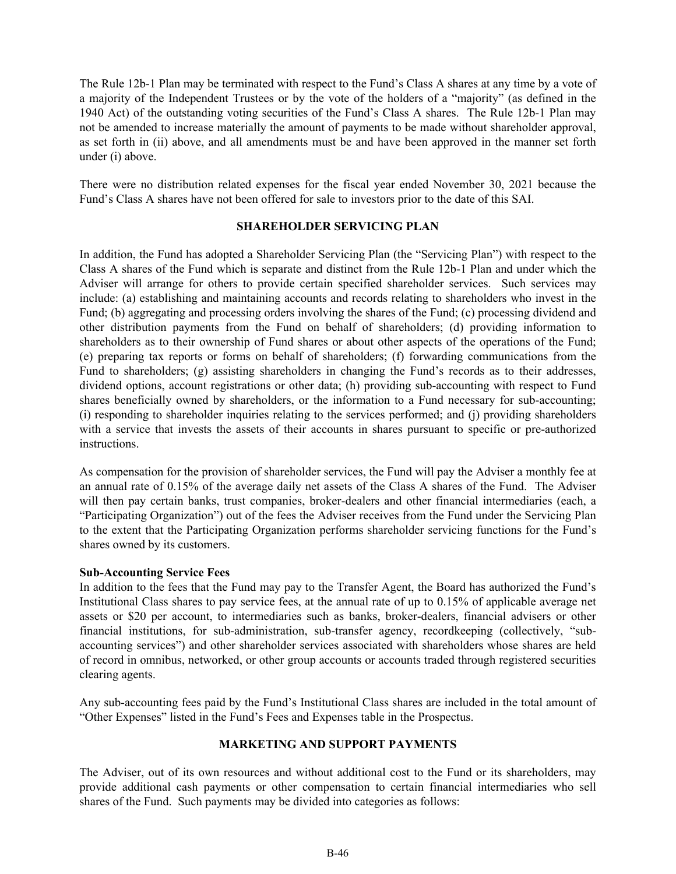<span id="page-45-0"></span>The Rule 12b-1 Plan may be terminated with respect to the Fund's Class A shares at any time by a vote of a majority of the Independent Trustees or by the vote of the holders of a "majority" (as defined in the 1940 Act) of the outstanding voting securities of the Fund's Class A shares. The Rule 12b-1 Plan may not be amended to increase materially the amount of payments to be made without shareholder approval, as set forth in (ii) above, and all amendments must be and have been approved in the manner set forth under (i) above.

There were no distribution related expenses for the fiscal year ended November 30, 2021 because the Fund's Class A shares have not been offered for sale to investors prior to the date of this SAI.

#### **SHAREHOLDER SERVICING PLAN**

In addition, the Fund has adopted a Shareholder Servicing Plan (the "Servicing Plan") with respect to the Class A shares of the Fund which is separate and distinct from the Rule 12b-1 Plan and under which the Adviser will arrange for others to provide certain specified shareholder services. Such services may include: (a) establishing and maintaining accounts and records relating to shareholders who invest in the Fund; (b) aggregating and processing orders involving the shares of the Fund; (c) processing dividend and other distribution payments from the Fund on behalf of shareholders; (d) providing information to shareholders as to their ownership of Fund shares or about other aspects of the operations of the Fund; (e) preparing tax reports or forms on behalf of shareholders; (f) forwarding communications from the Fund to shareholders; (g) assisting shareholders in changing the Fund's records as to their addresses, dividend options, account registrations or other data; (h) providing sub-accounting with respect to Fund shares beneficially owned by shareholders, or the information to a Fund necessary for sub-accounting; (i) responding to shareholder inquiries relating to the services performed; and (j) providing shareholders with a service that invests the assets of their accounts in shares pursuant to specific or pre-authorized instructions.

As compensation for the provision of shareholder services, the Fund will pay the Adviser a monthly fee at an annual rate of 0.15% of the average daily net assets of the Class A shares of the Fund. The Adviser will then pay certain banks, trust companies, broker-dealers and other financial intermediaries (each, a "Participating Organization") out of the fees the Adviser receives from the Fund under the Servicing Plan to the extent that the Participating Organization performs shareholder servicing functions for the Fund's shares owned by its customers.

#### **Sub-Accounting Service Fees**

In addition to the fees that the Fund may pay to the Transfer Agent, the Board has authorized the Fund's Institutional Class shares to pay service fees, at the annual rate of up to 0.15% of applicable average net assets or \$20 per account, to intermediaries such as banks, broker-dealers, financial advisers or other financial institutions, for sub-administration, sub-transfer agency, recordkeeping (collectively, "subaccounting services") and other shareholder services associated with shareholders whose shares are held of record in omnibus, networked, or other group accounts or accounts traded through registered securities clearing agents.

Any sub-accounting fees paid by the Fund's Institutional Class shares are included in the total amount of "Other Expenses" listed in the Fund's Fees and Expenses table in the Prospectus.

#### **MARKETING AND SUPPORT PAYMENTS**

The Adviser, out of its own resources and without additional cost to the Fund or its shareholders, may provide additional cash payments or other compensation to certain financial intermediaries who sell shares of the Fund. Such payments may be divided into categories as follows: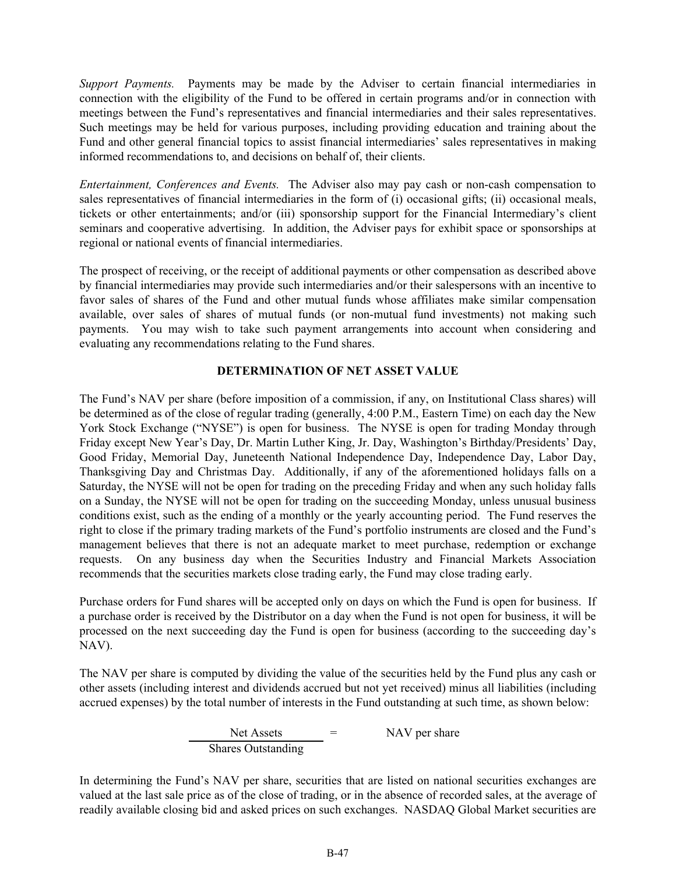<span id="page-46-0"></span>*Support Payments.* Payments may be made by the Adviser to certain financial intermediaries in connection with the eligibility of the Fund to be offered in certain programs and/or in connection with meetings between the Fund's representatives and financial intermediaries and their sales representatives. Such meetings may be held for various purposes, including providing education and training about the Fund and other general financial topics to assist financial intermediaries' sales representatives in making informed recommendations to, and decisions on behalf of, their clients.

*Entertainment, Conferences and Events.* The Adviser also may pay cash or non-cash compensation to sales representatives of financial intermediaries in the form of (i) occasional gifts; (ii) occasional meals, tickets or other entertainments; and/or (iii) sponsorship support for the Financial Intermediary's client seminars and cooperative advertising. In addition, the Adviser pays for exhibit space or sponsorships at regional or national events of financial intermediaries.

The prospect of receiving, or the receipt of additional payments or other compensation as described above by financial intermediaries may provide such intermediaries and/or their salespersons with an incentive to favor sales of shares of the Fund and other mutual funds whose affiliates make similar compensation available, over sales of shares of mutual funds (or non-mutual fund investments) not making such payments. You may wish to take such payment arrangements into account when considering and evaluating any recommendations relating to the Fund shares.

### **DETERMINATION OF NET ASSET VALUE**

The Fund's NAV per share (before imposition of a commission, if any, on Institutional Class shares) will be determined as of the close of regular trading (generally, 4:00 P.M., Eastern Time) on each day the New York Stock Exchange ("NYSE") is open for business. The NYSE is open for trading Monday through Friday except New Year's Day, Dr. Martin Luther King, Jr. Day, Washington's Birthday/Presidents' Day, Good Friday, Memorial Day, Juneteenth National Independence Day, Independence Day, Labor Day, Thanksgiving Day and Christmas Day. Additionally, if any of the aforementioned holidays falls on a Saturday, the NYSE will not be open for trading on the preceding Friday and when any such holiday falls on a Sunday, the NYSE will not be open for trading on the succeeding Monday, unless unusual business conditions exist, such as the ending of a monthly or the yearly accounting period. The Fund reserves the right to close if the primary trading markets of the Fund's portfolio instruments are closed and the Fund's management believes that there is not an adequate market to meet purchase, redemption or exchange requests. On any business day when the Securities Industry and Financial Markets Association recommends that the securities markets close trading early, the Fund may close trading early.

Purchase orders for Fund shares will be accepted only on days on which the Fund is open for business. If a purchase order is received by the Distributor on a day when the Fund is not open for business, it will be processed on the next succeeding day the Fund is open for business (according to the succeeding day's NAV).

The NAV per share is computed by dividing the value of the securities held by the Fund plus any cash or other assets (including interest and dividends accrued but not yet received) minus all liabilities (including accrued expenses) by the total number of interests in the Fund outstanding at such time, as shown below:

> $Net$  Assets  $=$  NAV per share Shares Outstanding

In determining the Fund's NAV per share, securities that are listed on national securities exchanges are valued at the last sale price as of the close of trading, or in the absence of recorded sales, at the average of readily available closing bid and asked prices on such exchanges. NASDAQ Global Market securities are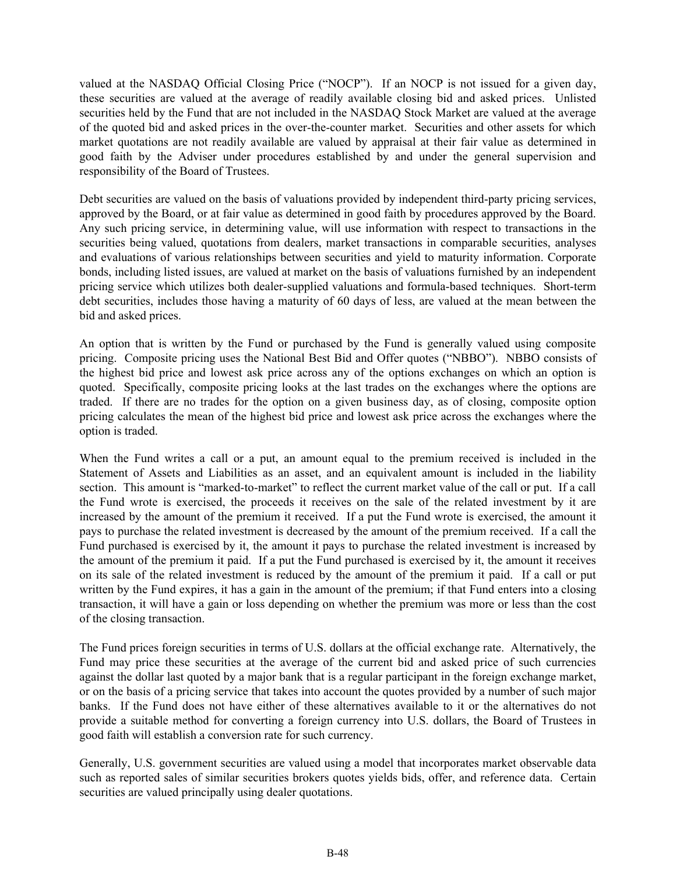valued at the NASDAQ Official Closing Price ("NOCP"). If an NOCP is not issued for a given day, these securities are valued at the average of readily available closing bid and asked prices. Unlisted securities held by the Fund that are not included in the NASDAQ Stock Market are valued at the average of the quoted bid and asked prices in the over-the-counter market. Securities and other assets for which market quotations are not readily available are valued by appraisal at their fair value as determined in good faith by the Adviser under procedures established by and under the general supervision and responsibility of the Board of Trustees.

Debt securities are valued on the basis of valuations provided by independent third-party pricing services, approved by the Board, or at fair value as determined in good faith by procedures approved by the Board. Any such pricing service, in determining value, will use information with respect to transactions in the securities being valued, quotations from dealers, market transactions in comparable securities, analyses and evaluations of various relationships between securities and yield to maturity information. Corporate bonds, including listed issues, are valued at market on the basis of valuations furnished by an independent pricing service which utilizes both dealer-supplied valuations and formula-based techniques. Short-term debt securities, includes those having a maturity of 60 days of less, are valued at the mean between the bid and asked prices.

An option that is written by the Fund or purchased by the Fund is generally valued using composite pricing. Composite pricing uses the National Best Bid and Offer quotes ("NBBO"). NBBO consists of the highest bid price and lowest ask price across any of the options exchanges on which an option is quoted. Specifically, composite pricing looks at the last trades on the exchanges where the options are traded. If there are no trades for the option on a given business day, as of closing, composite option pricing calculates the mean of the highest bid price and lowest ask price across the exchanges where the option is traded.

When the Fund writes a call or a put, an amount equal to the premium received is included in the Statement of Assets and Liabilities as an asset, and an equivalent amount is included in the liability section. This amount is "marked-to-market" to reflect the current market value of the call or put. If a call the Fund wrote is exercised, the proceeds it receives on the sale of the related investment by it are increased by the amount of the premium it received. If a put the Fund wrote is exercised, the amount it pays to purchase the related investment is decreased by the amount of the premium received. If a call the Fund purchased is exercised by it, the amount it pays to purchase the related investment is increased by the amount of the premium it paid. If a put the Fund purchased is exercised by it, the amount it receives on its sale of the related investment is reduced by the amount of the premium it paid. If a call or put written by the Fund expires, it has a gain in the amount of the premium; if that Fund enters into a closing transaction, it will have a gain or loss depending on whether the premium was more or less than the cost of the closing transaction.

The Fund prices foreign securities in terms of U.S. dollars at the official exchange rate. Alternatively, the Fund may price these securities at the average of the current bid and asked price of such currencies against the dollar last quoted by a major bank that is a regular participant in the foreign exchange market, or on the basis of a pricing service that takes into account the quotes provided by a number of such major banks. If the Fund does not have either of these alternatives available to it or the alternatives do not provide a suitable method for converting a foreign currency into U.S. dollars, the Board of Trustees in good faith will establish a conversion rate for such currency.

Generally, U.S. government securities are valued using a model that incorporates market observable data such as reported sales of similar securities brokers quotes yields bids, offer, and reference data. Certain securities are valued principally using dealer quotations.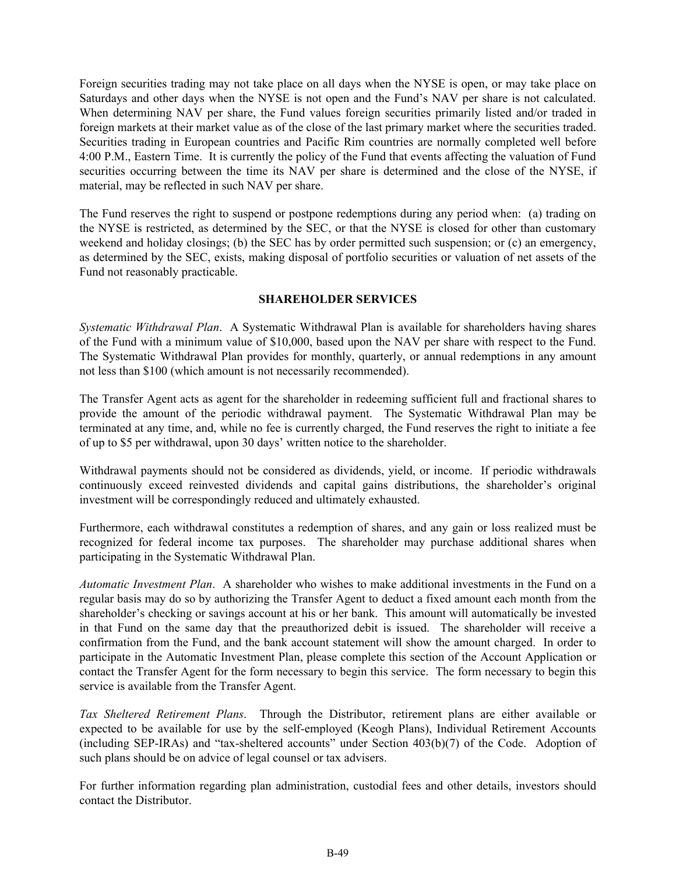<span id="page-48-0"></span>Foreign securities trading may not take place on all days when the NYSE is open, or may take place on Saturdays and other days when the NYSE is not open and the Fund's NAV per share is not calculated. When determining NAV per share, the Fund values foreign securities primarily listed and/or traded in foreign markets at their market value as of the close of the last primary market where the securities traded. Securities trading in European countries and Pacific Rim countries are normally completed well before 4:00 P.M., Eastern Time. It is currently the policy of the Fund that events affecting the valuation of Fund securities occurring between the time its NAV per share is determined and the close of the NYSE, if material, may be reflected in such NAV per share.

The Fund reserves the right to suspend or postpone redemptions during any period when: (a) trading on the NYSE is restricted, as determined by the SEC, or that the NYSE is closed for other than customary weekend and holiday closings; (b) the SEC has by order permitted such suspension; or (c) an emergency, as determined by the SEC, exists, making disposal of portfolio securities or valuation of net assets of the Fund not reasonably practicable.

#### **SHAREHOLDER SERVICES**

*Systematic Withdrawal Plan*. A Systematic Withdrawal Plan is available for shareholders having shares of the Fund with a minimum value of \$10,000, based upon the NAV per share with respect to the Fund. The Systematic Withdrawal Plan provides for monthly, quarterly, or annual redemptions in any amount not less than \$100 (which amount is not necessarily recommended).

The Transfer Agent acts as agent for the shareholder in redeeming sufficient full and fractional shares to provide the amount of the periodic withdrawal payment. The Systematic Withdrawal Plan may be terminated at any time, and, while no fee is currently charged, the Fund reserves the right to initiate a fee of up to \$5 per withdrawal, upon 30 days' written notice to the shareholder.

Withdrawal payments should not be considered as dividends, yield, or income. If periodic withdrawals continuously exceed reinvested dividends and capital gains distributions, the shareholder's original investment will be correspondingly reduced and ultimately exhausted.

Furthermore, each withdrawal constitutes a redemption of shares, and any gain or loss realized must be recognized for federal income tax purposes. The shareholder may purchase additional shares when participating in the Systematic Withdrawal Plan.

*Automatic Investment Plan*. A shareholder who wishes to make additional investments in the Fund on a regular basis may do so by authorizing the Transfer Agent to deduct a fixed amount each month from the shareholder's checking or savings account at his or her bank. This amount will automatically be invested in that Fund on the same day that the preauthorized debit is issued. The shareholder will receive a confirmation from the Fund, and the bank account statement will show the amount charged. In order to participate in the Automatic Investment Plan, please complete this section of the Account Application or contact the Transfer Agent for the form necessary to begin this service. The form necessary to begin this service is available from the Transfer Agent.

*Tax Sheltered Retirement Plans*. Through the Distributor, retirement plans are either available or expected to be available for use by the self-employed (Keogh Plans), Individual Retirement Accounts (including SEP-IRAs) and "tax‑sheltered accounts" under Section 403(b)(7) of the Code. Adoption of such plans should be on advice of legal counsel or tax advisers.

For further information regarding plan administration, custodial fees and other details, investors should contact the Distributor.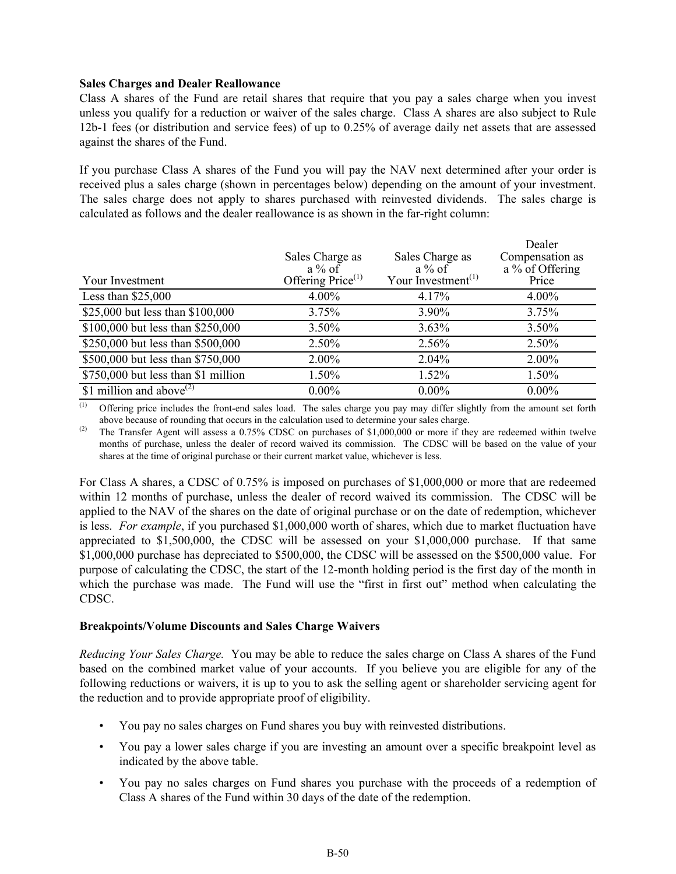#### **Sales Charges and Dealer Reallowance**

Class A shares of the Fund are retail shares that require that you pay a sales charge when you invest unless you qualify for a reduction or waiver of the sales charge. Class A shares are also subject to Rule 12b-1 fees (or distribution and service fees) of up to 0.25% of average daily net assets that are assessed against the shares of the Fund.

If you purchase Class A shares of the Fund you will pay the NAV next determined after your order is received plus a sales charge (shown in percentages below) depending on the amount of your investment. The sales charge does not apply to shares purchased with reinvested dividends. The sales charge is calculated as follows and the dealer reallowance is as shown in the far-right column:

| Your Investment                     | Sales Charge as<br>$a\%$ of<br>Offering Price <sup>(1)</sup> | Sales Charge as<br>$a\%$ of<br>Your Investment <sup>(1)</sup> | Dealer<br>Compensation as<br>a % of Offering<br>Price |
|-------------------------------------|--------------------------------------------------------------|---------------------------------------------------------------|-------------------------------------------------------|
| Less than $$25,000$                 | $4.00\%$                                                     | 4.17%                                                         | $4.00\%$                                              |
| \$25,000 but less than \$100,000    | 3.75%                                                        | 3.90%                                                         | 3.75%                                                 |
| \$100,000 but less than \$250,000   | 3.50%                                                        | $3.63\%$                                                      | $3.50\%$                                              |
| \$250,000 but less than \$500,000   | 2.50%                                                        | 2.56%                                                         | 2.50%                                                 |
| \$500,000 but less than \$750,000   | $2.00\%$                                                     | 2.04%                                                         | 2.00%                                                 |
| \$750,000 but less than \$1 million | 1.50%                                                        | 1.52%                                                         | 1.50%                                                 |
| \$1 million and above $^{(2)}$      | $0.00\%$                                                     | $0.00\%$                                                      | $0.00\%$                                              |

(1) Offering price includes the front-end sales load. The sales charge you pay may differ slightly from the amount set forth above because of rounding that occurs in the calculation used to determine your sales charge.

<sup>(2)</sup> The Transfer Agent will assess a 0.75% CDSC on purchases of \$1,000,000 or more if they are redeemed within twelve months of purchase, unless the dealer of record waived its commission. The CDSC will be based on the value of your shares at the time of original purchase or their current market value, whichever is less.

For Class A shares, a CDSC of 0.75% is imposed on purchases of \$1,000,000 or more that are redeemed within 12 months of purchase, unless the dealer of record waived its commission. The CDSC will be applied to the NAV of the shares on the date of original purchase or on the date of redemption, whichever is less. *For example*, if you purchased \$1,000,000 worth of shares, which due to market fluctuation have appreciated to \$1,500,000, the CDSC will be assessed on your \$1,000,000 purchase. If that same \$1,000,000 purchase has depreciated to \$500,000, the CDSC will be assessed on the \$500,000 value. For purpose of calculating the CDSC, the start of the 12-month holding period is the first day of the month in which the purchase was made. The Fund will use the "first in first out" method when calculating the CDSC.

#### **Breakpoints/Volume Discounts and Sales Charge Waivers**

*Reducing Your Sales Charge.* You may be able to reduce the sales charge on Class A shares of the Fund based on the combined market value of your accounts. If you believe you are eligible for any of the following reductions or waivers, it is up to you to ask the selling agent or shareholder servicing agent for the reduction and to provide appropriate proof of eligibility.

- You pay no sales charges on Fund shares you buy with reinvested distributions.
- You pay a lower sales charge if you are investing an amount over a specific breakpoint level as indicated by the above table.
- You pay no sales charges on Fund shares you purchase with the proceeds of a redemption of Class A shares of the Fund within 30 days of the date of the redemption.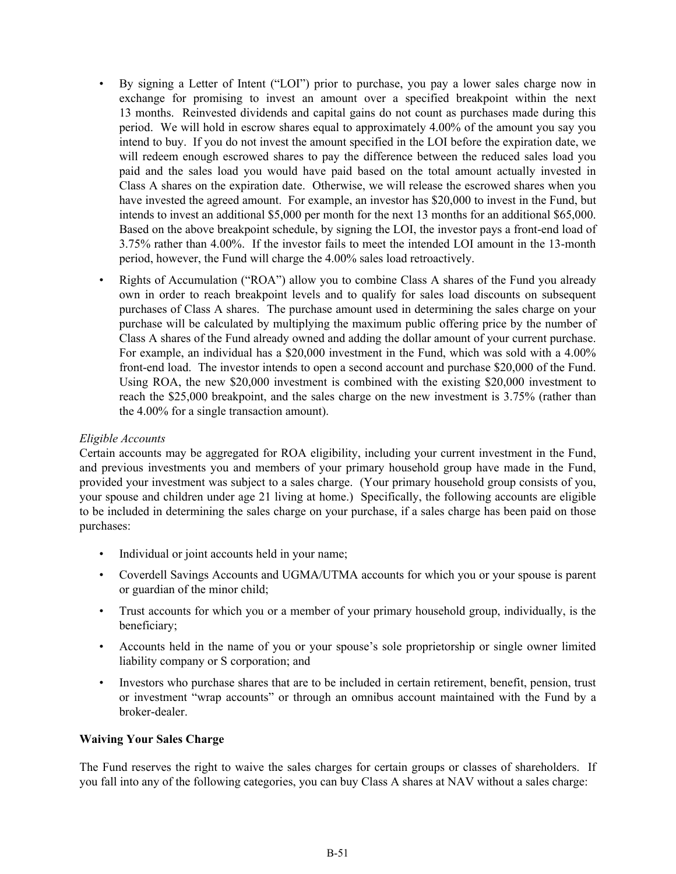- By signing a Letter of Intent ("LOI") prior to purchase, you pay a lower sales charge now in exchange for promising to invest an amount over a specified breakpoint within the next 13 months. Reinvested dividends and capital gains do not count as purchases made during this period. We will hold in escrow shares equal to approximately 4.00% of the amount you say you intend to buy. If you do not invest the amount specified in the LOI before the expiration date, we will redeem enough escrowed shares to pay the difference between the reduced sales load you paid and the sales load you would have paid based on the total amount actually invested in Class A shares on the expiration date. Otherwise, we will release the escrowed shares when you have invested the agreed amount. For example, an investor has \$20,000 to invest in the Fund, but intends to invest an additional \$5,000 per month for the next 13 months for an additional \$65,000. Based on the above breakpoint schedule, by signing the LOI, the investor pays a front-end load of 3.75% rather than 4.00%. If the investor fails to meet the intended LOI amount in the 13‑month period, however, the Fund will charge the 4.00% sales load retroactively.
- Rights of Accumulation ("ROA") allow you to combine Class A shares of the Fund you already own in order to reach breakpoint levels and to qualify for sales load discounts on subsequent purchases of Class A shares. The purchase amount used in determining the sales charge on your purchase will be calculated by multiplying the maximum public offering price by the number of Class A shares of the Fund already owned and adding the dollar amount of your current purchase. For example, an individual has a \$20,000 investment in the Fund, which was sold with a 4.00% front-end load. The investor intends to open a second account and purchase \$20,000 of the Fund. Using ROA, the new \$20,000 investment is combined with the existing \$20,000 investment to reach the \$25,000 breakpoint, and the sales charge on the new investment is 3.75% (rather than the 4.00% for a single transaction amount).

#### *Eligible Accounts*

Certain accounts may be aggregated for ROA eligibility, including your current investment in the Fund, and previous investments you and members of your primary household group have made in the Fund, provided your investment was subject to a sales charge. (Your primary household group consists of you, your spouse and children under age 21 living at home.) Specifically, the following accounts are eligible to be included in determining the sales charge on your purchase, if a sales charge has been paid on those purchases:

- Individual or joint accounts held in your name;
- Coverdell Savings Accounts and UGMA/UTMA accounts for which you or your spouse is parent or guardian of the minor child;
- Trust accounts for which you or a member of your primary household group, individually, is the beneficiary;
- Accounts held in the name of you or your spouse's sole proprietorship or single owner limited liability company or S corporation; and
- Investors who purchase shares that are to be included in certain retirement, benefit, pension, trust or investment "wrap accounts" or through an omnibus account maintained with the Fund by a broker-dealer.

#### **Waiving Your Sales Charge**

The Fund reserves the right to waive the sales charges for certain groups or classes of shareholders. If you fall into any of the following categories, you can buy Class A shares at NAV without a sales charge: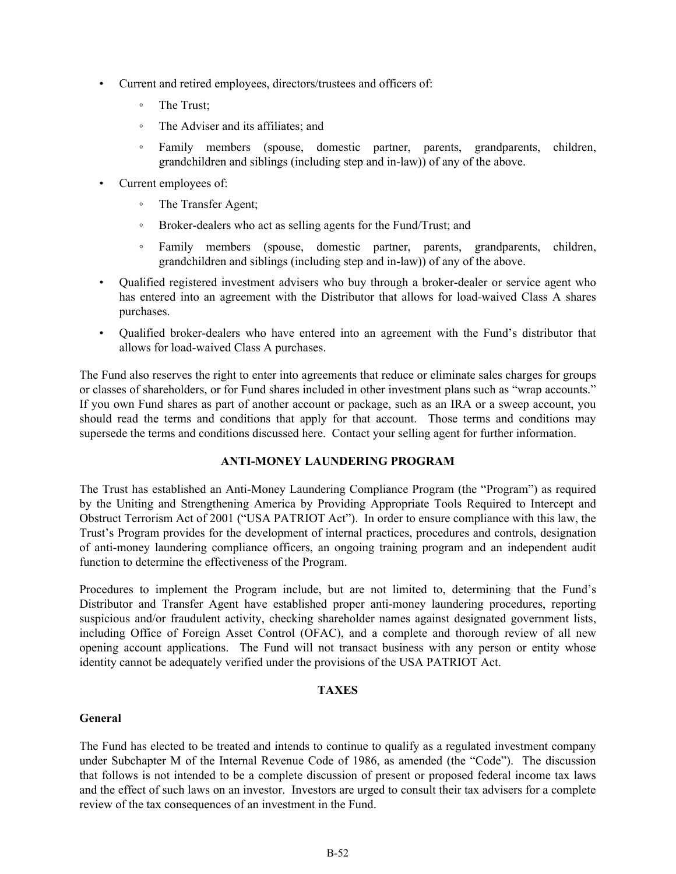- <span id="page-51-0"></span>• Current and retired employees, directors/trustees and officers of:
	- The Trust;
	- The Adviser and its affiliates; and
	- Family members (spouse, domestic partner, parents, grandparents, children, grandchildren and siblings (including step and in-law)) of any of the above.
- Current employees of:
	- The Transfer Agent;
	- Broker-dealers who act as selling agents for the Fund/Trust; and
	- Family members (spouse, domestic partner, parents, grandparents, children, grandchildren and siblings (including step and in-law)) of any of the above.
- Qualified registered investment advisers who buy through a broker-dealer or service agent who has entered into an agreement with the Distributor that allows for load-waived Class A shares purchases.
- Qualified broker-dealers who have entered into an agreement with the Fund's distributor that allows for load-waived Class A purchases.

The Fund also reserves the right to enter into agreements that reduce or eliminate sales charges for groups or classes of shareholders, or for Fund shares included in other investment plans such as "wrap accounts." If you own Fund shares as part of another account or package, such as an IRA or a sweep account, you should read the terms and conditions that apply for that account. Those terms and conditions may supersede the terms and conditions discussed here. Contact your selling agent for further information.

#### **ANTI-MONEY LAUNDERING PROGRAM**

The Trust has established an Anti-Money Laundering Compliance Program (the "Program") as required by the Uniting and Strengthening America by Providing Appropriate Tools Required to Intercept and Obstruct Terrorism Act of 2001 ("USA PATRIOT Act"). In order to ensure compliance with this law, the Trust's Program provides for the development of internal practices, procedures and controls, designation of anti-money laundering compliance officers, an ongoing training program and an independent audit function to determine the effectiveness of the Program.

Procedures to implement the Program include, but are not limited to, determining that the Fund's Distributor and Transfer Agent have established proper anti-money laundering procedures, reporting suspicious and/or fraudulent activity, checking shareholder names against designated government lists, including Office of Foreign Asset Control (OFAC), and a complete and thorough review of all new opening account applications. The Fund will not transact business with any person or entity whose identity cannot be adequately verified under the provisions of the USA PATRIOT Act.

#### **TAXES**

#### **General**

The Fund has elected to be treated and intends to continue to qualify as a regulated investment company under Subchapter M of the Internal Revenue Code of 1986, as amended (the "Code"). The discussion that follows is not intended to be a complete discussion of present or proposed federal income tax laws and the effect of such laws on an investor. Investors are urged to consult their tax advisers for a complete review of the tax consequences of an investment in the Fund.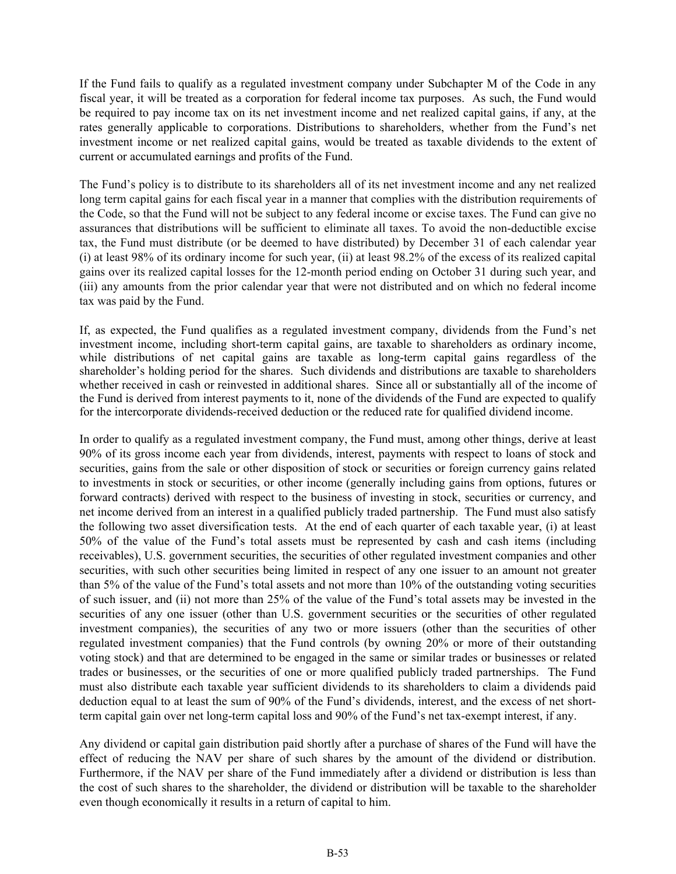If the Fund fails to qualify as a regulated investment company under Subchapter M of the Code in any fiscal year, it will be treated as a corporation for federal income tax purposes. As such, the Fund would be required to pay income tax on its net investment income and net realized capital gains, if any, at the rates generally applicable to corporations. Distributions to shareholders, whether from the Fund's net investment income or net realized capital gains, would be treated as taxable dividends to the extent of current or accumulated earnings and profits of the Fund.

The Fund's policy is to distribute to its shareholders all of its net investment income and any net realized long term capital gains for each fiscal year in a manner that complies with the distribution requirements of the Code, so that the Fund will not be subject to any federal income or excise taxes. The Fund can give no assurances that distributions will be sufficient to eliminate all taxes. To avoid the non-deductible excise tax, the Fund must distribute (or be deemed to have distributed) by December 31 of each calendar year (i) at least 98% of its ordinary income for such year, (ii) at least 98.2% of the excess of its realized capital gains over its realized capital losses for the 12-month period ending on October 31 during such year, and (iii) any amounts from the prior calendar year that were not distributed and on which no federal income tax was paid by the Fund.

If, as expected, the Fund qualifies as a regulated investment company, dividends from the Fund's net investment income, including short-term capital gains, are taxable to shareholders as ordinary income, while distributions of net capital gains are taxable as long-term capital gains regardless of the shareholder's holding period for the shares. Such dividends and distributions are taxable to shareholders whether received in cash or reinvested in additional shares. Since all or substantially all of the income of the Fund is derived from interest payments to it, none of the dividends of the Fund are expected to qualify for the intercorporate dividends-received deduction or the reduced rate for qualified dividend income.

In order to qualify as a regulated investment company, the Fund must, among other things, derive at least 90% of its gross income each year from dividends, interest, payments with respect to loans of stock and securities, gains from the sale or other disposition of stock or securities or foreign currency gains related to investments in stock or securities, or other income (generally including gains from options, futures or forward contracts) derived with respect to the business of investing in stock, securities or currency, and net income derived from an interest in a qualified publicly traded partnership. The Fund must also satisfy the following two asset diversification tests. At the end of each quarter of each taxable year, (i) at least 50% of the value of the Fund's total assets must be represented by cash and cash items (including receivables), U.S. government securities, the securities of other regulated investment companies and other securities, with such other securities being limited in respect of any one issuer to an amount not greater than 5% of the value of the Fund's total assets and not more than 10% of the outstanding voting securities of such issuer, and (ii) not more than 25% of the value of the Fund's total assets may be invested in the securities of any one issuer (other than U.S. government securities or the securities of other regulated investment companies), the securities of any two or more issuers (other than the securities of other regulated investment companies) that the Fund controls (by owning 20% or more of their outstanding voting stock) and that are determined to be engaged in the same or similar trades or businesses or related trades or businesses, or the securities of one or more qualified publicly traded partnerships. The Fund must also distribute each taxable year sufficient dividends to its shareholders to claim a dividends paid deduction equal to at least the sum of 90% of the Fund's dividends, interest, and the excess of net shortterm capital gain over net long-term capital loss and 90% of the Fund's net tax-exempt interest, if any.

Any dividend or capital gain distribution paid shortly after a purchase of shares of the Fund will have the effect of reducing the NAV per share of such shares by the amount of the dividend or distribution. Furthermore, if the NAV per share of the Fund immediately after a dividend or distribution is less than the cost of such shares to the shareholder, the dividend or distribution will be taxable to the shareholder even though economically it results in a return of capital to him.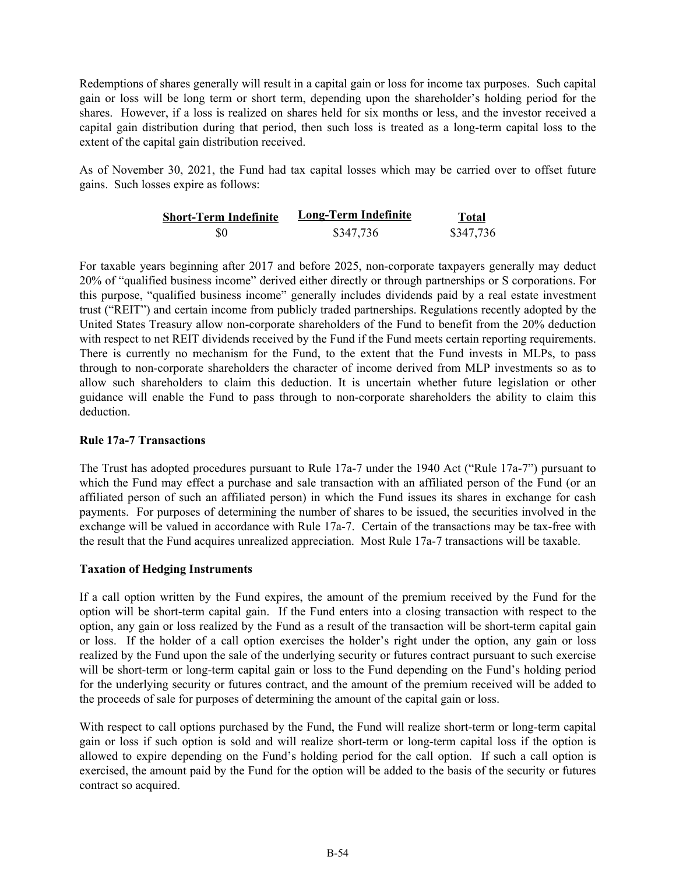Redemptions of shares generally will result in a capital gain or loss for income tax purposes. Such capital gain or loss will be long term or short term, depending upon the shareholder's holding period for the shares. However, if a loss is realized on shares held for six months or less, and the investor received a capital gain distribution during that period, then such loss is treated as a long-term capital loss to the extent of the capital gain distribution received.

As of November 30, 2021, the Fund had tax capital losses which may be carried over to offset future gains. Such losses expire as follows:

| <b>Short-Term Indefinite</b> | Long-Term Indefinite | Total     |
|------------------------------|----------------------|-----------|
| \$0                          | \$347,736            | \$347,736 |

For taxable years beginning after 2017 and before 2025, non-corporate taxpayers generally may deduct 20% of "qualified business income" derived either directly or through partnerships or S corporations. For this purpose, "qualified business income" generally includes dividends paid by a real estate investment trust ("REIT") and certain income from publicly traded partnerships. Regulations recently adopted by the United States Treasury allow non-corporate shareholders of the Fund to benefit from the 20% deduction with respect to net REIT dividends received by the Fund if the Fund meets certain reporting requirements. There is currently no mechanism for the Fund, to the extent that the Fund invests in MLPs, to pass through to non-corporate shareholders the character of income derived from MLP investments so as to allow such shareholders to claim this deduction. It is uncertain whether future legislation or other guidance will enable the Fund to pass through to non-corporate shareholders the ability to claim this deduction.

#### **Rule 17a-7 Transactions**

The Trust has adopted procedures pursuant to Rule 17a-7 under the 1940 Act ("Rule 17a-7") pursuant to which the Fund may effect a purchase and sale transaction with an affiliated person of the Fund (or an affiliated person of such an affiliated person) in which the Fund issues its shares in exchange for cash payments. For purposes of determining the number of shares to be issued, the securities involved in the exchange will be valued in accordance with Rule 17a-7. Certain of the transactions may be tax-free with the result that the Fund acquires unrealized appreciation. Most Rule 17a–7 transactions will be taxable.

#### **Taxation of Hedging Instruments**

If a call option written by the Fund expires, the amount of the premium received by the Fund for the option will be short-term capital gain. If the Fund enters into a closing transaction with respect to the option, any gain or loss realized by the Fund as a result of the transaction will be short-term capital gain or loss. If the holder of a call option exercises the holder's right under the option, any gain or loss realized by the Fund upon the sale of the underlying security or futures contract pursuant to such exercise will be short-term or long-term capital gain or loss to the Fund depending on the Fund's holding period for the underlying security or futures contract, and the amount of the premium received will be added to the proceeds of sale for purposes of determining the amount of the capital gain or loss.

With respect to call options purchased by the Fund, the Fund will realize short-term or long-term capital gain or loss if such option is sold and will realize short-term or long-term capital loss if the option is allowed to expire depending on the Fund's holding period for the call option. If such a call option is exercised, the amount paid by the Fund for the option will be added to the basis of the security or futures contract so acquired.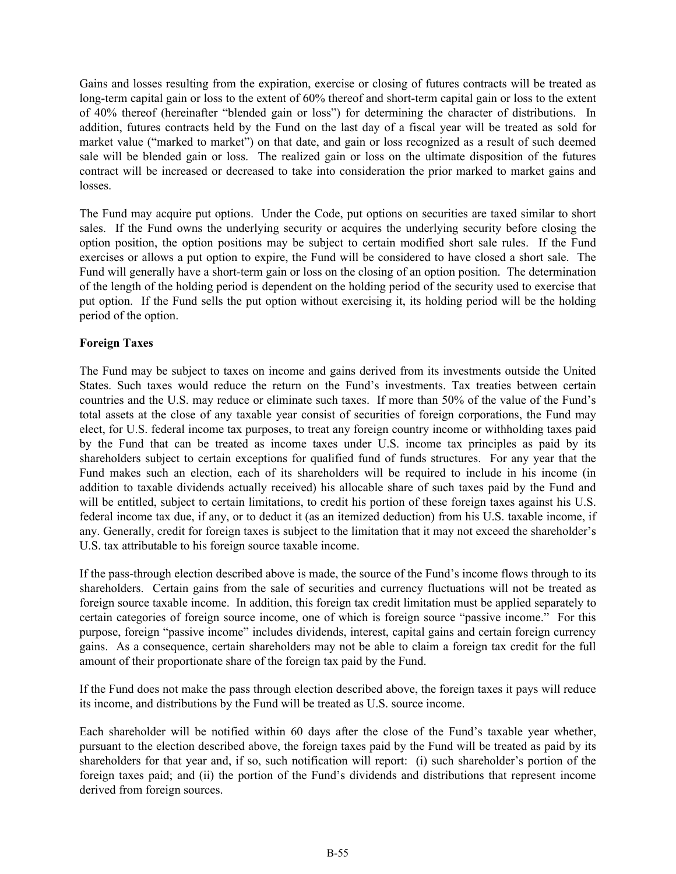Gains and losses resulting from the expiration, exercise or closing of futures contracts will be treated as long-term capital gain or loss to the extent of 60% thereof and short-term capital gain or loss to the extent of 40% thereof (hereinafter "blended gain or loss") for determining the character of distributions. In addition, futures contracts held by the Fund on the last day of a fiscal year will be treated as sold for market value ("marked to market") on that date, and gain or loss recognized as a result of such deemed sale will be blended gain or loss. The realized gain or loss on the ultimate disposition of the futures contract will be increased or decreased to take into consideration the prior marked to market gains and losses.

The Fund may acquire put options. Under the Code, put options on securities are taxed similar to short sales. If the Fund owns the underlying security or acquires the underlying security before closing the option position, the option positions may be subject to certain modified short sale rules. If the Fund exercises or allows a put option to expire, the Fund will be considered to have closed a short sale. The Fund will generally have a short-term gain or loss on the closing of an option position. The determination of the length of the holding period is dependent on the holding period of the security used to exercise that put option. If the Fund sells the put option without exercising it, its holding period will be the holding period of the option.

### **Foreign Taxes**

The Fund may be subject to taxes on income and gains derived from its investments outside the United States. Such taxes would reduce the return on the Fund's investments. Tax treaties between certain countries and the U.S. may reduce or eliminate such taxes. If more than 50% of the value of the Fund's total assets at the close of any taxable year consist of securities of foreign corporations, the Fund may elect, for U.S. federal income tax purposes, to treat any foreign country income or withholding taxes paid by the Fund that can be treated as income taxes under U.S. income tax principles as paid by its shareholders subject to certain exceptions for qualified fund of funds structures. For any year that the Fund makes such an election, each of its shareholders will be required to include in his income (in addition to taxable dividends actually received) his allocable share of such taxes paid by the Fund and will be entitled, subject to certain limitations, to credit his portion of these foreign taxes against his U.S. federal income tax due, if any, or to deduct it (as an itemized deduction) from his U.S. taxable income, if any. Generally, credit for foreign taxes is subject to the limitation that it may not exceed the shareholder's U.S. tax attributable to his foreign source taxable income.

If the pass-through election described above is made, the source of the Fund's income flows through to its shareholders. Certain gains from the sale of securities and currency fluctuations will not be treated as foreign source taxable income. In addition, this foreign tax credit limitation must be applied separately to certain categories of foreign source income, one of which is foreign source "passive income." For this purpose, foreign "passive income" includes dividends, interest, capital gains and certain foreign currency gains. As a consequence, certain shareholders may not be able to claim a foreign tax credit for the full amount of their proportionate share of the foreign tax paid by the Fund.

If the Fund does not make the pass through election described above, the foreign taxes it pays will reduce its income, and distributions by the Fund will be treated as U.S. source income.

Each shareholder will be notified within 60 days after the close of the Fund's taxable year whether, pursuant to the election described above, the foreign taxes paid by the Fund will be treated as paid by its shareholders for that year and, if so, such notification will report: (i) such shareholder's portion of the foreign taxes paid; and (ii) the portion of the Fund's dividends and distributions that represent income derived from foreign sources.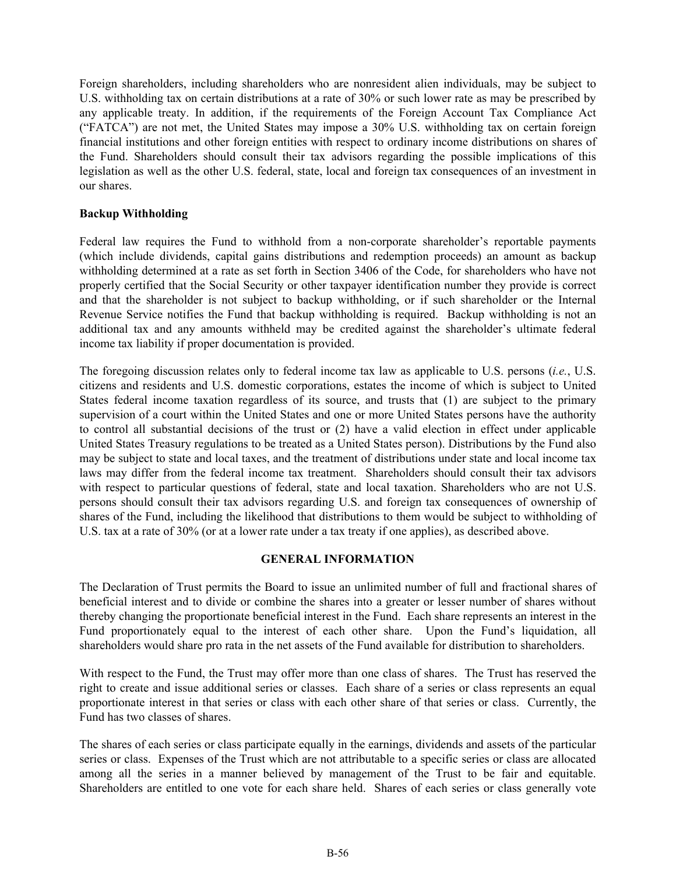<span id="page-55-0"></span>Foreign shareholders, including shareholders who are nonresident alien individuals, may be subject to U.S. withholding tax on certain distributions at a rate of 30% or such lower rate as may be prescribed by any applicable treaty. In addition, if the requirements of the Foreign Account Tax Compliance Act ("FATCA") are not met, the United States may impose a 30% U.S. withholding tax on certain foreign financial institutions and other foreign entities with respect to ordinary income distributions on shares of the Fund. Shareholders should consult their tax advisors regarding the possible implications of this legislation as well as the other U.S. federal, state, local and foreign tax consequences of an investment in our shares.

#### **Backup Withholding**

Federal law requires the Fund to withhold from a non-corporate shareholder's reportable payments (which include dividends, capital gains distributions and redemption proceeds) an amount as backup withholding determined at a rate as set forth in Section 3406 of the Code, for shareholders who have not properly certified that the Social Security or other taxpayer identification number they provide is correct and that the shareholder is not subject to backup withholding, or if such shareholder or the Internal Revenue Service notifies the Fund that backup withholding is required. Backup withholding is not an additional tax and any amounts withheld may be credited against the shareholder's ultimate federal income tax liability if proper documentation is provided.

The foregoing discussion relates only to federal income tax law as applicable to U.S. persons (*i.e.*, U.S. citizens and residents and U.S. domestic corporations, estates the income of which is subject to United States federal income taxation regardless of its source, and trusts that (1) are subject to the primary supervision of a court within the United States and one or more United States persons have the authority to control all substantial decisions of the trust or (2) have a valid election in effect under applicable United States Treasury regulations to be treated as a United States person). Distributions by the Fund also may be subject to state and local taxes, and the treatment of distributions under state and local income tax laws may differ from the federal income tax treatment. Shareholders should consult their tax advisors with respect to particular questions of federal, state and local taxation. Shareholders who are not U.S. persons should consult their tax advisors regarding U.S. and foreign tax consequences of ownership of shares of the Fund, including the likelihood that distributions to them would be subject to withholding of U.S. tax at a rate of 30% (or at a lower rate under a tax treaty if one applies), as described above.

# **GENERAL INFORMATION**

The Declaration of Trust permits the Board to issue an unlimited number of full and fractional shares of beneficial interest and to divide or combine the shares into a greater or lesser number of shares without thereby changing the proportionate beneficial interest in the Fund. Each share represents an interest in the Fund proportionately equal to the interest of each other share. Upon the Fund's liquidation, all shareholders would share pro rata in the net assets of the Fund available for distribution to shareholders.

With respect to the Fund, the Trust may offer more than one class of shares. The Trust has reserved the right to create and issue additional series or classes. Each share of a series or class represents an equal proportionate interest in that series or class with each other share of that series or class. Currently, the Fund has two classes of shares.

The shares of each series or class participate equally in the earnings, dividends and assets of the particular series or class. Expenses of the Trust which are not attributable to a specific series or class are allocated among all the series in a manner believed by management of the Trust to be fair and equitable. Shareholders are entitled to one vote for each share held. Shares of each series or class generally vote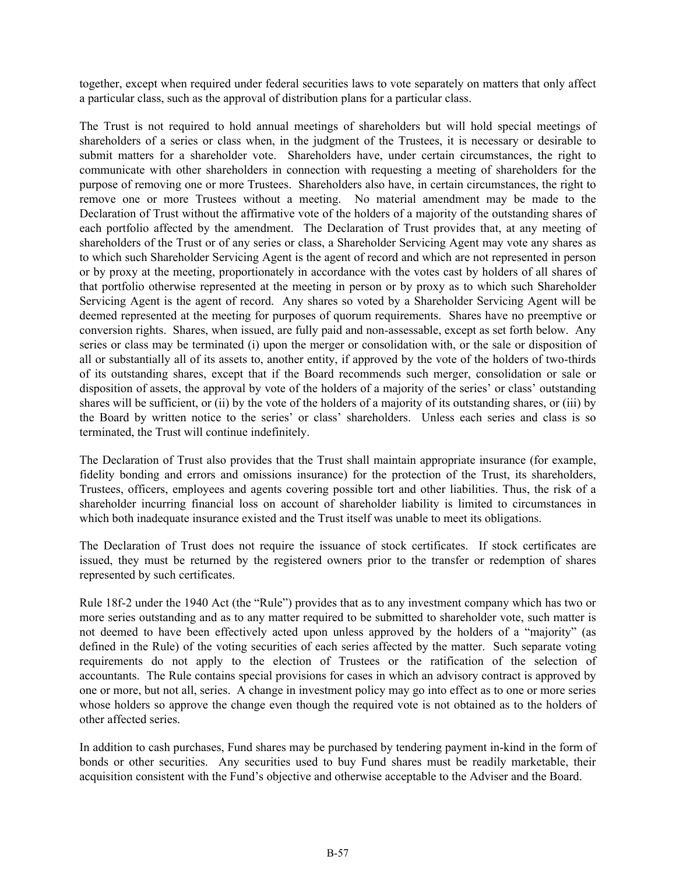together, except when required under federal securities laws to vote separately on matters that only affect a particular class, such as the approval of distribution plans for a particular class.

The Trust is not required to hold annual meetings of shareholders but will hold special meetings of shareholders of a series or class when, in the judgment of the Trustees, it is necessary or desirable to submit matters for a shareholder vote. Shareholders have, under certain circumstances, the right to communicate with other shareholders in connection with requesting a meeting of shareholders for the purpose of removing one or more Trustees. Shareholders also have, in certain circumstances, the right to remove one or more Trustees without a meeting. No material amendment may be made to the Declaration of Trust without the affirmative vote of the holders of a majority of the outstanding shares of each portfolio affected by the amendment. The Declaration of Trust provides that, at any meeting of shareholders of the Trust or of any series or class, a Shareholder Servicing Agent may vote any shares as to which such Shareholder Servicing Agent is the agent of record and which are not represented in person or by proxy at the meeting, proportionately in accordance with the votes cast by holders of all shares of that portfolio otherwise represented at the meeting in person or by proxy as to which such Shareholder Servicing Agent is the agent of record. Any shares so voted by a Shareholder Servicing Agent will be deemed represented at the meeting for purposes of quorum requirements. Shares have no preemptive or conversion rights. Shares, when issued, are fully paid and non‑assessable, except as set forth below. Any series or class may be terminated (i) upon the merger or consolidation with, or the sale or disposition of all or substantially all of its assets to, another entity, if approved by the vote of the holders of two-thirds of its outstanding shares, except that if the Board recommends such merger, consolidation or sale or disposition of assets, the approval by vote of the holders of a majority of the series' or class' outstanding shares will be sufficient, or (ii) by the vote of the holders of a majority of its outstanding shares, or (iii) by the Board by written notice to the series' or class' shareholders. Unless each series and class is so terminated, the Trust will continue indefinitely.

The Declaration of Trust also provides that the Trust shall maintain appropriate insurance (for example, fidelity bonding and errors and omissions insurance) for the protection of the Trust, its shareholders, Trustees, officers, employees and agents covering possible tort and other liabilities. Thus, the risk of a shareholder incurring financial loss on account of shareholder liability is limited to circumstances in which both inadequate insurance existed and the Trust itself was unable to meet its obligations.

The Declaration of Trust does not require the issuance of stock certificates. If stock certificates are issued, they must be returned by the registered owners prior to the transfer or redemption of shares represented by such certificates.

Rule 18f-2 under the 1940 Act (the "Rule") provides that as to any investment company which has two or more series outstanding and as to any matter required to be submitted to shareholder vote, such matter is not deemed to have been effectively acted upon unless approved by the holders of a "majority" (as defined in the Rule) of the voting securities of each series affected by the matter. Such separate voting requirements do not apply to the election of Trustees or the ratification of the selection of accountants. The Rule contains special provisions for cases in which an advisory contract is approved by one or more, but not all, series. A change in investment policy may go into effect as to one or more series whose holders so approve the change even though the required vote is not obtained as to the holders of other affected series.

In addition to cash purchases, Fund shares may be purchased by tendering payment in-kind in the form of bonds or other securities. Any securities used to buy Fund shares must be readily marketable, their acquisition consistent with the Fund's objective and otherwise acceptable to the Adviser and the Board.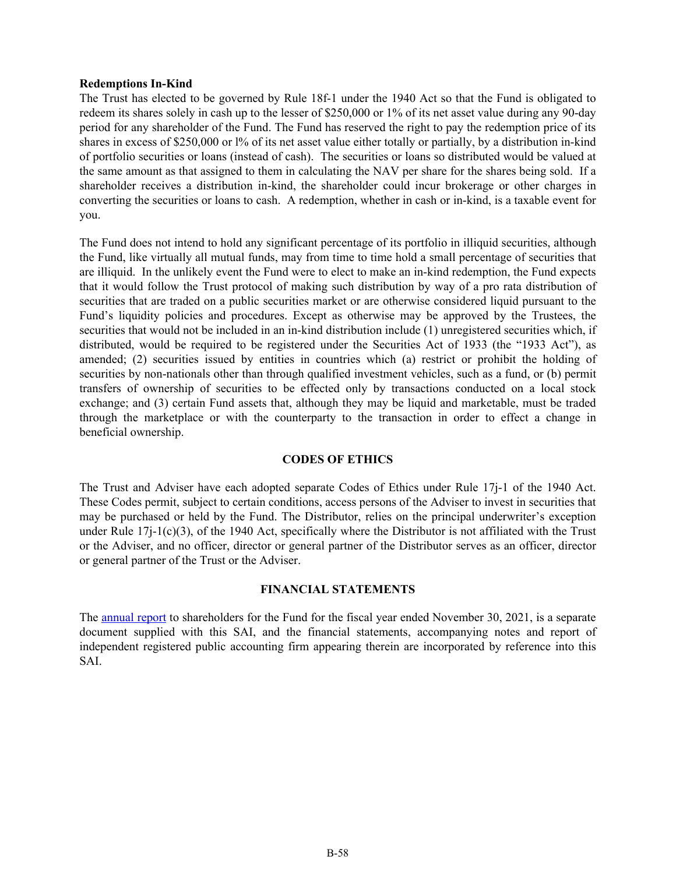#### <span id="page-57-0"></span>**Redemptions In-Kind**

The Trust has elected to be governed by Rule 18f-1 under the 1940 Act so that the Fund is obligated to redeem its shares solely in cash up to the lesser of \$250,000 or 1% of its net asset value during any 90-day period for any shareholder of the Fund. The Fund has reserved the right to pay the redemption price of its shares in excess of \$250,000 or 1% of its net asset value either totally or partially, by a distribution in-kind of portfolio securities or loans (instead of cash). The securities or loans so distributed would be valued at the same amount as that assigned to them in calculating the NAV per share for the shares being sold. If a shareholder receives a distribution in-kind, the shareholder could incur brokerage or other charges in converting the securities or loans to cash. A redemption, whether in cash or in-kind, is a taxable event for you.

The Fund does not intend to hold any significant percentage of its portfolio in illiquid securities, although the Fund, like virtually all mutual funds, may from time to time hold a small percentage of securities that are illiquid. In the unlikely event the Fund were to elect to make an in-kind redemption, the Fund expects that it would follow the Trust protocol of making such distribution by way of a pro rata distribution of securities that are traded on a public securities market or are otherwise considered liquid pursuant to the Fund's liquidity policies and procedures. Except as otherwise may be approved by the Trustees, the securities that would not be included in an in-kind distribution include (1) unregistered securities which, if distributed, would be required to be registered under the Securities Act of 1933 (the "1933 Act"), as amended; (2) securities issued by entities in countries which (a) restrict or prohibit the holding of securities by non-nationals other than through qualified investment vehicles, such as a fund, or (b) permit transfers of ownership of securities to be effected only by transactions conducted on a local stock exchange; and (3) certain Fund assets that, although they may be liquid and marketable, must be traded through the marketplace or with the counterparty to the transaction in order to effect a change in beneficial ownership.

#### **CODES OF ETHICS**

The Trust and Adviser have each adopted separate Codes of Ethics under Rule 17j-1 of the 1940 Act. These Codes permit, subject to certain conditions, access persons of the Adviser to invest in securities that may be purchased or held by the Fund. The Distributor, relies on the principal underwriter's exception under Rule  $17j-1(c)(3)$ , of the 1940 Act, specifically where the Distributor is not affiliated with the Trust or the Adviser, and no officer, director or general partner of the Distributor serves as an officer, director or general partner of the Trust or the Adviser.

#### **FINANCIAL STATEMENTS**

The [annual report](http://www.sec.gov/Archives/edgar/data/1027596/000089853122000056/piafunds-ncsra.htm) to shareholders for the Fund for the fiscal year ended November 30, 2021, is a separate document supplied with this SAI, and the financial statements, accompanying notes and report of independent registered public accounting firm appearing therein are incorporated by reference into this SAI.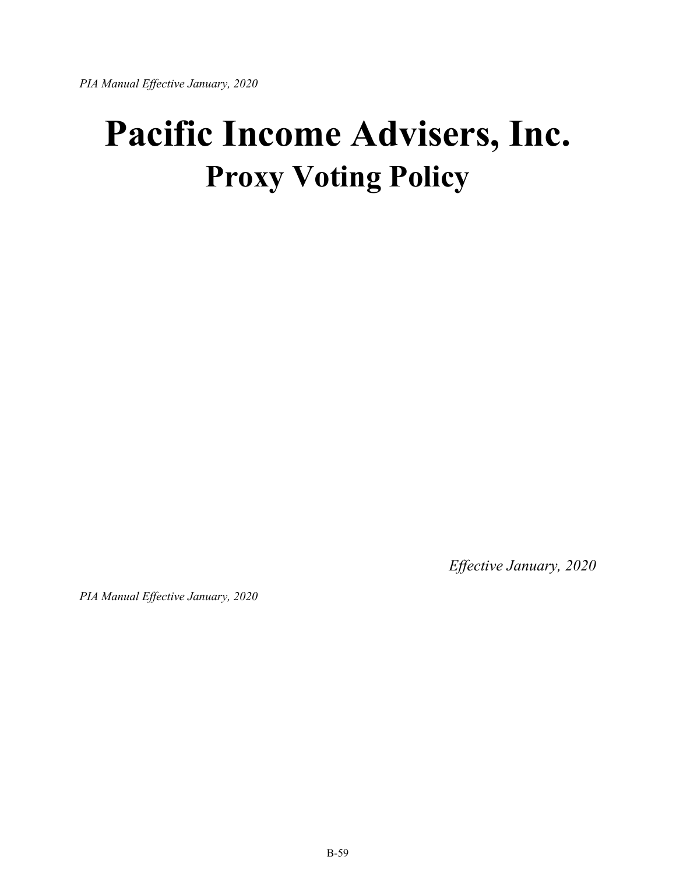<span id="page-58-0"></span>*PIA Manual Effective January, 2020*

# **Pacific Income Advisers, Inc. Proxy Voting Policy**

*Effective January, 2020*

*PIA Manual Effective January, 2020*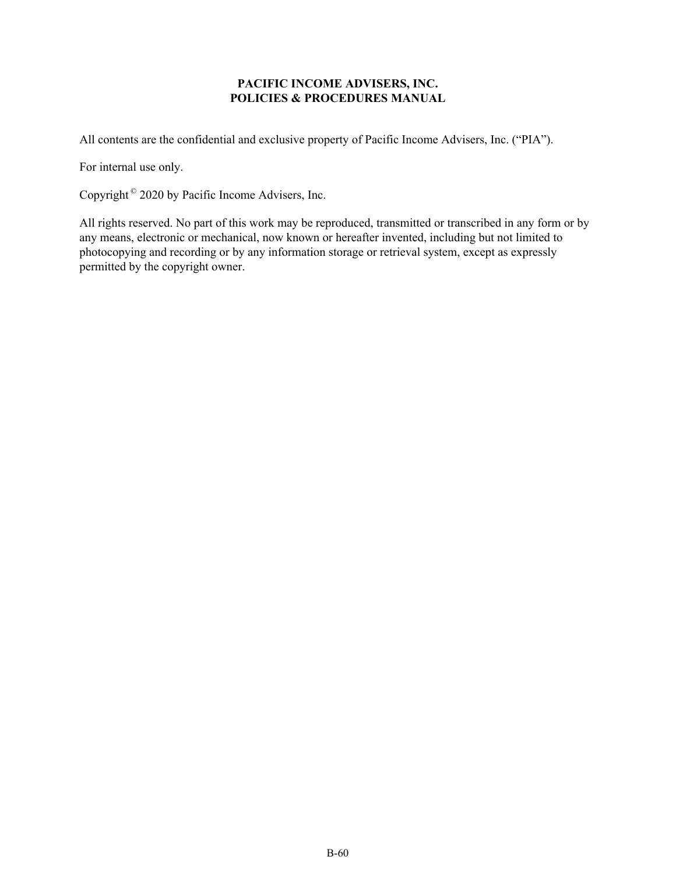# **PACIFIC INCOME ADVISERS, INC. POLICIES & PROCEDURES MANUAL**

All contents are the confidential and exclusive property of Pacific Income Advisers, Inc. ("PIA").

For internal use only.

Copyright © 2020 by Pacific Income Advisers, Inc.

All rights reserved. No part of this work may be reproduced, transmitted or transcribed in any form or by any means, electronic or mechanical, now known or hereafter invented, including but not limited to photocopying and recording or by any information storage or retrieval system, except as expressly permitted by the copyright owner.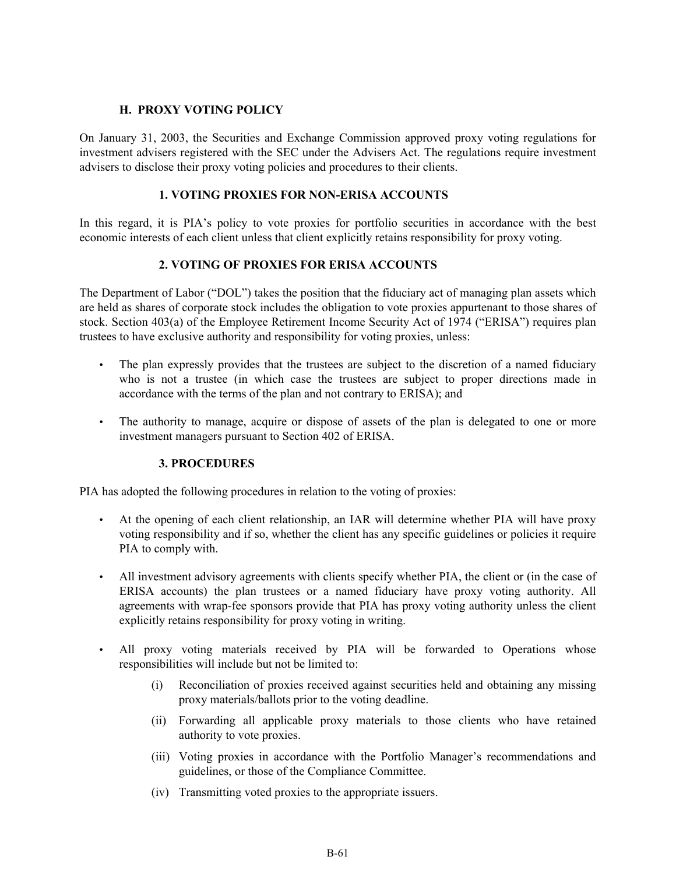# **H. PROXY VOTING POLICY**

On January 31, 2003, the Securities and Exchange Commission approved proxy voting regulations for investment advisers registered with the SEC under the Advisers Act. The regulations require investment advisers to disclose their proxy voting policies and procedures to their clients.

# **1. VOTING PROXIES FOR NON-ERISA ACCOUNTS**

In this regard, it is PIA's policy to vote proxies for portfolio securities in accordance with the best economic interests of each client unless that client explicitly retains responsibility for proxy voting.

# **2. VOTING OF PROXIES FOR ERISA ACCOUNTS**

The Department of Labor ("DOL") takes the position that the fiduciary act of managing plan assets which are held as shares of corporate stock includes the obligation to vote proxies appurtenant to those shares of stock. Section 403(a) of the Employee Retirement Income Security Act of 1974 ("ERISA") requires plan trustees to have exclusive authority and responsibility for voting proxies, unless:

- The plan expressly provides that the trustees are subject to the discretion of a named fiduciary who is not a trustee (in which case the trustees are subject to proper directions made in accordance with the terms of the plan and not contrary to ERISA); and
- The authority to manage, acquire or dispose of assets of the plan is delegated to one or more investment managers pursuant to Section 402 of ERISA.

#### **3. PROCEDURES**

PIA has adopted the following procedures in relation to the voting of proxies:

- At the opening of each client relationship, an IAR will determine whether PIA will have proxy voting responsibility and if so, whether the client has any specific guidelines or policies it require PIA to comply with.
- All investment advisory agreements with clients specify whether PIA, the client or (in the case of ERISA accounts) the plan trustees or a named fiduciary have proxy voting authority. All agreements with wrap-fee sponsors provide that PIA has proxy voting authority unless the client explicitly retains responsibility for proxy voting in writing.
- All proxy voting materials received by PIA will be forwarded to Operations whose responsibilities will include but not be limited to:
	- (i) Reconciliation of proxies received against securities held and obtaining any missing proxy materials/ballots prior to the voting deadline.
	- (ii) Forwarding all applicable proxy materials to those clients who have retained authority to vote proxies.
	- (iii) Voting proxies in accordance with the Portfolio Manager's recommendations and guidelines, or those of the Compliance Committee.
	- (iv) Transmitting voted proxies to the appropriate issuers.